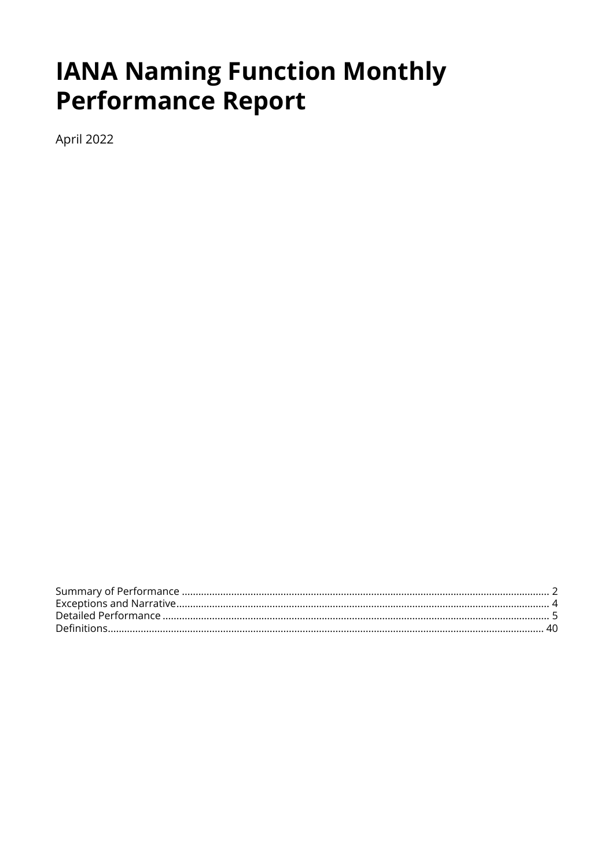# **IANA Naming Function Monthly Performance Report**

April 2022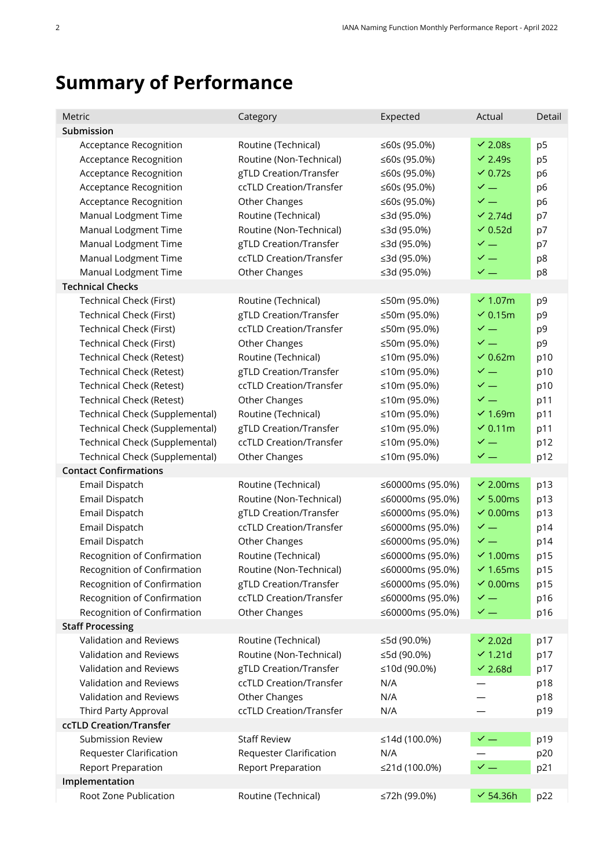# <span id="page-1-0"></span>**Summary of Performance**

| Metric                                                                                                                                                                                                                                                                                                                                                                   | Category                                                                                                                                                                                                                                                           | Expected                                                                                                                                                                                             | Actual                                                                                                                                                                                                 | Detail                                                                                                         |
|--------------------------------------------------------------------------------------------------------------------------------------------------------------------------------------------------------------------------------------------------------------------------------------------------------------------------------------------------------------------------|--------------------------------------------------------------------------------------------------------------------------------------------------------------------------------------------------------------------------------------------------------------------|------------------------------------------------------------------------------------------------------------------------------------------------------------------------------------------------------|--------------------------------------------------------------------------------------------------------------------------------------------------------------------------------------------------------|----------------------------------------------------------------------------------------------------------------|
| Submission                                                                                                                                                                                                                                                                                                                                                               |                                                                                                                                                                                                                                                                    |                                                                                                                                                                                                      |                                                                                                                                                                                                        |                                                                                                                |
| Acceptance Recognition<br><b>Acceptance Recognition</b><br>Acceptance Recognition<br><b>Acceptance Recognition</b><br>Acceptance Recognition<br>Manual Lodgment Time<br>Manual Lodgment Time<br>Manual Lodgment Time<br>Manual Lodgment Time                                                                                                                             | Routine (Technical)<br>Routine (Non-Technical)<br>gTLD Creation/Transfer<br>ccTLD Creation/Transfer<br>Other Changes<br>Routine (Technical)<br>Routine (Non-Technical)<br>gTLD Creation/Transfer<br>ccTLD Creation/Transfer                                        | ≤60s (95.0%)<br>≤60s (95.0%)<br>≤60s (95.0%)<br>≤60s (95.0%)<br>≤60s (95.0%)<br>≤3d (95.0%)<br>≤3d (95.0%)<br>≤3d (95.0%)<br>≤3d (95.0%)                                                             | $\sim$ 2.08s<br>$\vee$ 2.49s<br>$\overline{6}$ 0.72s<br>$\checkmark$ $-$<br>$\checkmark$ $-$<br>$\vee$ 2.74d<br>$\vee$ 0.52d<br>$\checkmark$ $-$<br>$\checkmark$ $=$                                   | p <sub>5</sub><br>p <sub>5</sub><br>p <sub>6</sub><br>p <sub>6</sub><br>p <sub>6</sub><br>p7<br>p7<br>p7<br>p8 |
| Manual Lodgment Time                                                                                                                                                                                                                                                                                                                                                     | Other Changes                                                                                                                                                                                                                                                      | ≤3d (95.0%)                                                                                                                                                                                          | $\checkmark$ $-$                                                                                                                                                                                       | p8                                                                                                             |
| <b>Technical Checks</b>                                                                                                                                                                                                                                                                                                                                                  |                                                                                                                                                                                                                                                                    |                                                                                                                                                                                                      |                                                                                                                                                                                                        |                                                                                                                |
| <b>Technical Check (First)</b><br>Technical Check (First)<br>Technical Check (First)<br><b>Technical Check (First)</b><br><b>Technical Check (Retest)</b><br><b>Technical Check (Retest)</b><br><b>Technical Check (Retest)</b><br><b>Technical Check (Retest)</b><br>Technical Check (Supplemental)<br>Technical Check (Supplemental)<br>Technical Check (Supplemental) | Routine (Technical)<br>gTLD Creation/Transfer<br>ccTLD Creation/Transfer<br>Other Changes<br>Routine (Technical)<br>gTLD Creation/Transfer<br>ccTLD Creation/Transfer<br>Other Changes<br>Routine (Technical)<br>gTLD Creation/Transfer<br>ccTLD Creation/Transfer | ≤50m (95.0%)<br>≤50m (95.0%)<br>≤50m (95.0%)<br>≤50m (95.0%)<br>≤10m (95.0%)<br>≤10m (95.0%)<br>≤10m (95.0%)<br>≤10m (95.0%)<br>≤10m (95.0%)<br>≤10m (95.0%)<br>≤10m (95.0%)                         | $\sim$ 1.07m<br>$\vee$ 0.15m<br>$\checkmark$ $-$<br>$\checkmark$ $=$<br>$\vee$ 0.62m<br>$\checkmark$ $-$<br>$\checkmark$ $-$<br>$\checkmark$ $-$<br>$\times$ 1.69m<br>$\sim$ 0.11m<br>$\checkmark$ $-$ | p <sub>9</sub><br>p9<br>p <sub>9</sub><br>p9<br>p10<br>p10<br>p10<br>p11<br>p11<br>p11<br>p12                  |
| Technical Check (Supplemental)                                                                                                                                                                                                                                                                                                                                           | Other Changes                                                                                                                                                                                                                                                      | ≤10m (95.0%)                                                                                                                                                                                         | $\checkmark$ $=$                                                                                                                                                                                       | p12                                                                                                            |
| <b>Contact Confirmations</b>                                                                                                                                                                                                                                                                                                                                             |                                                                                                                                                                                                                                                                    |                                                                                                                                                                                                      |                                                                                                                                                                                                        |                                                                                                                |
| Email Dispatch<br>Email Dispatch<br>Email Dispatch<br>Email Dispatch<br>Email Dispatch<br>Recognition of Confirmation<br>Recognition of Confirmation<br>Recognition of Confirmation<br>Recognition of Confirmation<br>Recognition of Confirmation                                                                                                                        | Routine (Technical)<br>Routine (Non-Technical)<br>gTLD Creation/Transfer<br>ccTLD Creation/Transfer<br>Other Changes<br>Routine (Technical)<br>Routine (Non-Technical)<br>gTLD Creation/Transfer<br>ccTLD Creation/Transfer<br>Other Changes                       | ≤60000ms (95.0%)<br>≤60000ms (95.0%)<br>≤60000ms (95.0%)<br>≤60000ms (95.0%)<br>≤60000ms (95.0%)<br>≤60000ms (95.0%)<br>≤60000ms (95.0%)<br>≤60000ms (95.0%)<br>≤60000ms (95.0%)<br>≤60000ms (95.0%) | $\sim$ 2.00ms<br>$\sim$ 5.00ms<br>$\sim$ 0.00ms<br>$\checkmark$ $-$<br>$\checkmark$ —<br>$\sim$ 1.00ms<br>$\sim$ 1.65ms<br>$\sim$ 0.00ms<br>$\checkmark$ $-$<br>$\checkmark$ $-$                       | p13<br>p13<br>p13<br>p14<br>p14<br>p15<br>p15<br>p15<br>p16<br>p16                                             |
| <b>Staff Processing</b>                                                                                                                                                                                                                                                                                                                                                  |                                                                                                                                                                                                                                                                    |                                                                                                                                                                                                      |                                                                                                                                                                                                        |                                                                                                                |
| Validation and Reviews<br>Validation and Reviews<br>Validation and Reviews<br>Validation and Reviews<br>Validation and Reviews<br>Third Party Approval                                                                                                                                                                                                                   | Routine (Technical)<br>Routine (Non-Technical)<br>gTLD Creation/Transfer<br>ccTLD Creation/Transfer<br>Other Changes<br>ccTLD Creation/Transfer                                                                                                                    | ≤5d (90.0%)<br>≤5d (90.0%)<br>≤10d (90.0%)<br>N/A<br>N/A<br>N/A                                                                                                                                      | $\sim$ 2.02d<br>$\vee$ 1.21d<br>$\vee$ 2.68d                                                                                                                                                           | p17<br>p17<br>p17<br>p18<br>p18<br>p19                                                                         |
| ccTLD Creation/Transfer                                                                                                                                                                                                                                                                                                                                                  |                                                                                                                                                                                                                                                                    |                                                                                                                                                                                                      |                                                                                                                                                                                                        |                                                                                                                |
| <b>Submission Review</b><br><b>Requester Clarification</b><br><b>Report Preparation</b><br>Implementation                                                                                                                                                                                                                                                                | <b>Staff Review</b><br><b>Requester Clarification</b><br><b>Report Preparation</b>                                                                                                                                                                                 | ≤14d (100.0%)<br>N/A<br>≤21d (100.0%)                                                                                                                                                                | $\checkmark$ $-$<br>$\checkmark$ $-$                                                                                                                                                                   | p19<br>p20<br>p21                                                                                              |
| Root Zone Publication                                                                                                                                                                                                                                                                                                                                                    | Routine (Technical)                                                                                                                                                                                                                                                | ≤72h (99.0%)                                                                                                                                                                                         | $\checkmark$ 54.36h                                                                                                                                                                                    | p22                                                                                                            |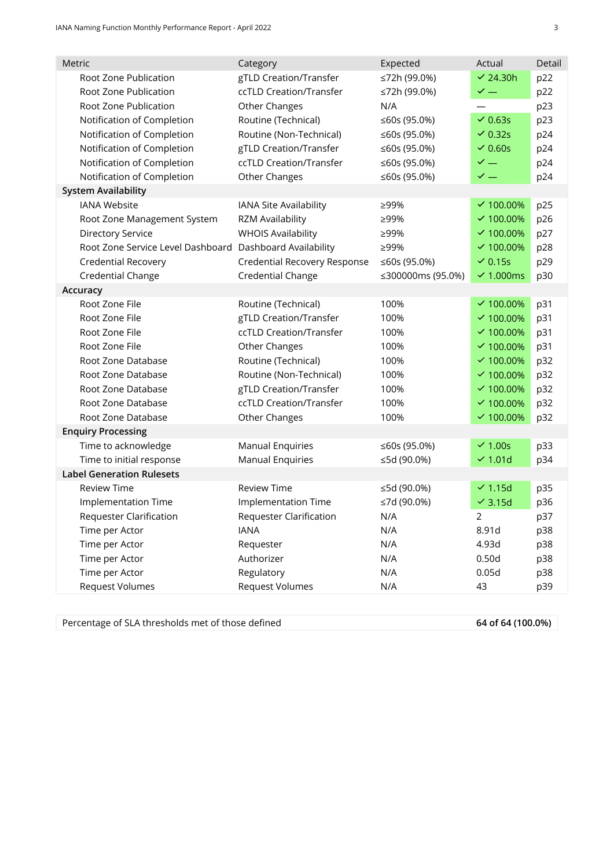| Metric                                                   | Category                       | Expected          | Actual               | Detail |
|----------------------------------------------------------|--------------------------------|-------------------|----------------------|--------|
| Root Zone Publication                                    | gTLD Creation/Transfer         | ≤72h (99.0%)      | $\vee$ 24.30h        | p22    |
| Root Zone Publication                                    | ccTLD Creation/Transfer        | ≤72h (99.0%)      | $\checkmark$ $=$     | p22    |
| Root Zone Publication                                    | Other Changes                  | N/A               |                      | p23    |
| Notification of Completion                               | Routine (Technical)            | ≤60s (95.0%)      | $\vee$ 0.63s         | p23    |
| Notification of Completion                               | Routine (Non-Technical)        | ≤60s (95.0%)      | $\vee$ 0.32s         | p24    |
| Notification of Completion                               | gTLD Creation/Transfer         | ≤60s (95.0%)      | $\vee$ 0.60s         | p24    |
| Notification of Completion                               | ccTLD Creation/Transfer        | ≤60s (95.0%)      | $\checkmark$ —       | p24    |
| Notification of Completion                               | Other Changes                  | ≤60s (95.0%)      | $\checkmark$ $-$     | p24    |
| <b>System Availability</b>                               |                                |                   |                      |        |
| <b>IANA Website</b>                                      | IANA Site Availability         | ≥99%              | $\times$ 100.00%     | p25    |
| Root Zone Management System                              | RZM Availability               | ≥99%              | $\times$ 100.00%     | p26    |
| <b>Directory Service</b>                                 | <b>WHOIS Availability</b>      | ≥99%              | $\times$ 100.00%     | p27    |
| Root Zone Service Level Dashboard Dashboard Availability |                                | ≥99%              | $\times$ 100.00%     | p28    |
| <b>Credential Recovery</b>                               | Credential Recovery Response   | ≤60s (95.0%)      | $\overline{6}$ 0.15s | p29    |
| Credential Change                                        | Credential Change              | ≤300000ms (95.0%) | $\sim$ 1.000ms       | p30    |
| Accuracy                                                 |                                |                   |                      |        |
| Root Zone File                                           | Routine (Technical)            | 100%              | $\times$ 100.00%     | p31    |
| Root Zone File                                           | gTLD Creation/Transfer         | 100%              | $\times$ 100.00%     | p31    |
| Root Zone File                                           | ccTLD Creation/Transfer        | 100%              | $\times$ 100.00%     | p31    |
| Root Zone File                                           | Other Changes                  | 100%              | $\times$ 100.00%     | p31    |
| Root Zone Database                                       | Routine (Technical)            | 100%              | $\times$ 100.00%     | p32    |
| Root Zone Database                                       | Routine (Non-Technical)        | 100%              | $\times$ 100.00%     | p32    |
| Root Zone Database                                       | gTLD Creation/Transfer         | 100%              | $\times$ 100.00%     | p32    |
| Root Zone Database                                       | ccTLD Creation/Transfer        | 100%              | $\times$ 100.00%     | p32    |
| Root Zone Database                                       | Other Changes                  | 100%              | $\times$ 100.00%     | p32    |
| <b>Enquiry Processing</b>                                |                                |                   |                      |        |
| Time to acknowledge                                      | <b>Manual Enquiries</b>        | ≤60s (95.0%)      | $\sim$ 1.00s         | p33    |
| Time to initial response                                 | <b>Manual Enquiries</b>        | ≤5d (90.0%)       | $\sim$ 1.01d         | p34    |
| <b>Label Generation Rulesets</b>                         |                                |                   |                      |        |
| <b>Review Time</b>                                       | <b>Review Time</b>             | ≤5d (90.0%)       | $\vee$ 1.15d         | p35    |
| Implementation Time                                      | <b>Implementation Time</b>     | ≤7d (90.0%)       | $\checkmark$ 3.15d   | p36    |
| <b>Requester Clarification</b>                           | <b>Requester Clarification</b> | N/A               | 2                    | p37    |
| Time per Actor                                           | <b>IANA</b>                    | N/A               | 8.91d                | p38    |
| Time per Actor                                           | Requester                      | N/A               | 4.93d                | p38    |
| Time per Actor                                           | Authorizer                     | N/A               | 0.50d                | p38    |
| Time per Actor                                           | Regulatory                     | N/A               | 0.05d                | p38    |
| <b>Request Volumes</b>                                   | <b>Request Volumes</b>         | N/A               | 43                   | p39    |
|                                                          |                                |                   |                      |        |

Percentage of SLA thresholds met of those defined **64 of 64 (100.0%)**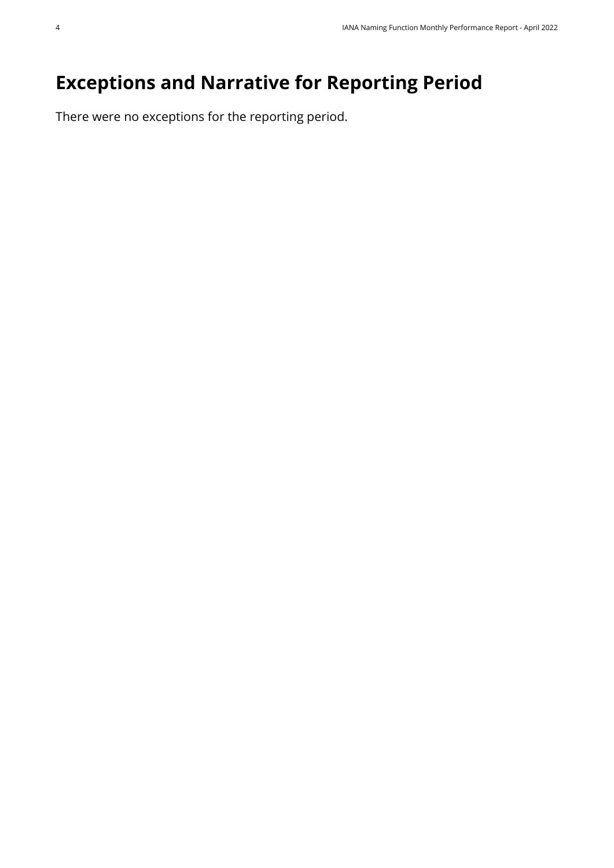## <span id="page-3-0"></span>**Exceptions and Narrative for Reporting Period**

There were no exceptions for the reporting period.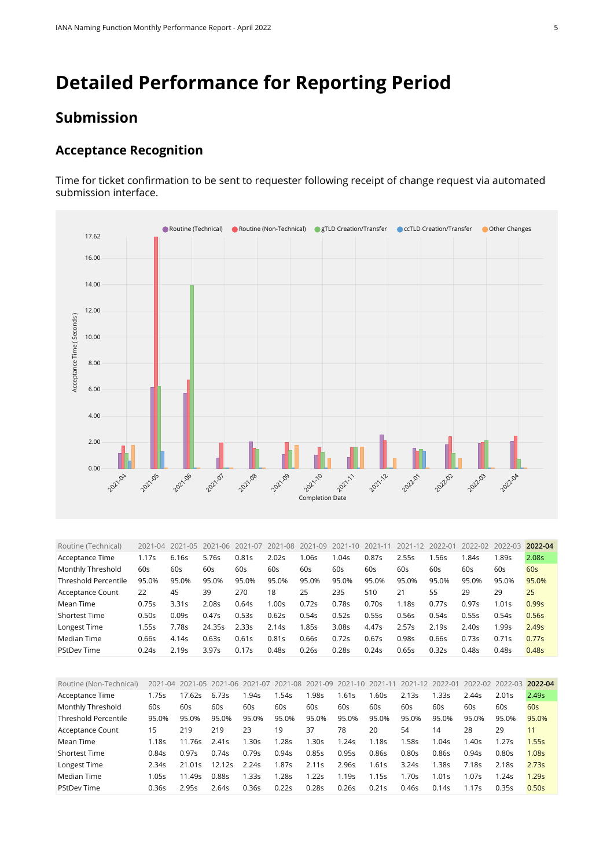## <span id="page-4-0"></span>**Detailed Performance for Reporting Period**

#### **Submission**

#### **Acceptance Recognition**

Time for ticket confirmation to be sent to requester following receipt of change request via automated submission interface.



<span id="page-4-1"></span>

| Routine (Technical)  | $2021 - 04$ | $2021 - 05$       | 2021-06 | 2021-07 | 2021-08           | 2021-09 | 2021-10 | 2021-11 | 2021-12 | 2022-01           | 2022-02 | 2022-03 | 2022-04           |
|----------------------|-------------|-------------------|---------|---------|-------------------|---------|---------|---------|---------|-------------------|---------|---------|-------------------|
| Acceptance Time      | 1.17s       | 6.16s             | 5.76s   | 0.81s   | 2.02s             | l.06s   | 1.04s   | 0.87s   | 2.55s   | 1.56s             | 1.84s   | 1.89s   | 2.08s             |
| Monthly Threshold    | 60s         | 60s               | 60s     | 60s     | 60s               | 60s     | 60s     | 60s     | 60s     | 60s               | 60s     | 60s     | 60s               |
| Threshold Percentile | 95.0%       | 95.0%             | 95.0%   | 95.0%   | 95.0%             | 95.0%   | 95.0%   | 95.0%   | 95.0%   | 95.0%             | 95.0%   | 95.0%   | 95.0%             |
| Acceptance Count     | 22          | 45                | 39      | 270     | 18                | 25      | 235     | 510     | 21      | 55                | 29      | 29      | 25                |
| Mean Time            | 0.75s       | 3.31s             | 2.08s   | 0.64s   | 1.00 <sub>S</sub> | 0.72s   | 0.785   | 0.70s   | 1.18s   | 0.77s             | 0.97s   | 1.01s   | 0.99s             |
| <b>Shortest Time</b> | 0.50s       | 0.09s             | 0.47s   | 0.53s   | 0.62s             | 0.54s   | 0.52s   | 0.55s   | 0.56s   | 0.54s             | 0.55s   | 0.54s   | 0.56s             |
| Longest Time         | .55s        | 7.78s             | 24.35s  | 2.335   | 2.14s             | 1.85s   | 3.08s   | 4.47s   | 2.57s   | 2.19 <sub>S</sub> | 2.40s   | 1.99s   | 2.49 <sub>S</sub> |
| Median Time          | 0.66s       | 4.14s             | 0.63s   | 0.61s   | 0.81s             | 0.66s   | 0.72s   | 0.67s   | 0.98s   | 0.66s             | 0.73s   | 0.71s   | 0.77s             |
| <b>PStDev Time</b>   | 0.24s       | 2.19 <sub>S</sub> | 3.97s   | 0.17s   | 0.48s             | 0.26s   | 0.28s   | 0.24s   | 0.65s   | 0.32s             | 0.48s   | 0.48s   | 0.48s             |

<span id="page-4-2"></span>

| Routine (Non-Technical)     | $2021 - 04$ | 2021-05 | 2021-06 2021-07 |       | 2021-08 | 2021-09          | 2021-10 | 2021-11 | 2021-12 | 2022-01 | 2022-02 | 2022-03 | 2022-04           |
|-----------------------------|-------------|---------|-----------------|-------|---------|------------------|---------|---------|---------|---------|---------|---------|-------------------|
| Acceptance Time             | 1.75s       | 17.62s  | 6.73s           | 1.94s | .54s    | .98s             | 1.61s   | .60s    | 2.13s   | .33s    | 2.44s   | 2.01s   | 2.49s             |
| Monthly Threshold           | 60s         | 60s     | 60s             | 60s   | 60s     | 60s              | 60s     | 60s     | 60s     | 60s     | 60s     | 60s     | 60s               |
| <b>Threshold Percentile</b> | 95.0%       | 95.0%   | 95.0%           | 95.0% | 95.0%   | 95.0%            | 95.0%   | 95.0%   | 95.0%   | 95.0%   | 95.0%   | 95.0%   | 95.0%             |
| Acceptance Count            | 15          | 219     | 219             | 23    | 19      | 37               | 78      | 20      | 54      | 14      | 28      | 29      |                   |
| Mean Time                   | 1.18s       | 11.76s  | 2.41s           | 1.30s | 1.28s   | .30 <sub>S</sub> | 1.24s   | 1.18s   | 1.58s   | 1.04s   | 1.40s   | 1.27s   | 1.55s             |
| <b>Shortest Time</b>        | 0.84s       | 0.97s   | 0.74s           | 0.79s | 0.94s   | 0.85s            | 0.95s   | 0.86s   | 0.80s   | 0.86s   | 0.94s   | 0.80s   | 1.08 <sub>S</sub> |
| Longest Time                | 2.34s       | 21.01s  | 12.12s          | 2.24s | 1.87s   | 2.11s            | 2.96s   | 1.61s   | 3.24s   | 1.38s   | 7.18s   | 2.18s   | 2.73s             |
| Median Time                 | 1.05s       | 11.49s  | 0.885           | 1.33s | 1.28s   | .22s             | 1.19s   | 1.15s   | .70s    | 1.01s   | 1.07s   | 1.24s   | 1.29s             |
| <b>PStDev Time</b>          | 0.36s       | 2.95s   | 2.64s           | 0.36s | 0.22s   | 0.28s            | 0.26s   | 0.21s   | 0.46s   | 0.14s   | 1.17s   | 0.35s   | 0.50s             |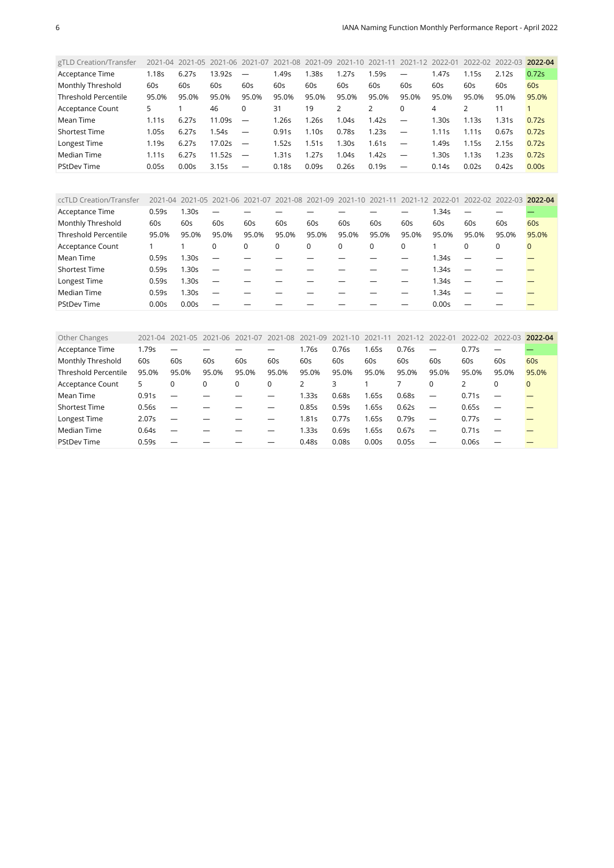<span id="page-5-0"></span>

| gTLD Creation/Transfer      |                   |       | 2021-04 2021-05 2021-06 |                          | 2021-07 2021-08 2021-09 2021-10 |       |       | $2021 - 11$ | 2021-12                         | 2022-01          | 2022-02 | 2022-03 | 2022-04 |
|-----------------------------|-------------------|-------|-------------------------|--------------------------|---------------------------------|-------|-------|-------------|---------------------------------|------------------|---------|---------|---------|
| Acceptance Time             | 1.18s             | 6.27s | 13.92s                  | $\overline{\phantom{m}}$ | .49s                            | 1.38s | 1.27s | l.59s       | $\overline{\phantom{0}}$        | 1.47s            | 1.15s   | 2.12s   | 0.72s   |
| Monthly Threshold           | 60s               | 60s   | 60s                     | 60s                      | 60s                             | 60s   | 60s   | 60s         | 60s                             | 60s              | 60s     | 60s     | 60s     |
| <b>Threshold Percentile</b> | 95.0%             | 95.0% | 95.0%                   | 95.0%                    | 95.0%                           | 95.0% | 95.0% | 95.0%       | 95.0%                           | 95.0%            | 95.0%   | 95.0%   | 95.0%   |
| Acceptance Count            | 5                 |       | 46                      |                          | 31                              | 19    |       |             | 0                               | 4                |         |         |         |
| Mean Time                   | 1.11s             | 6.27s | 11.09s                  | $\overline{\phantom{m}}$ | 1.26s                           | 1.26s | 1.04s | 1.42s       | $\overline{\phantom{0}}$        | 1.30s            | 1.13s   | 1.31s   | 0.72s   |
| <b>Shortest Time</b>        | 1.05s             | 6.27s | 1.54s                   |                          | 0.91s                           | 1.10s | 0.78s | 1.23s       | $\overbrace{\phantom{1232211}}$ | 1.11s            | 1.11s   | 0.67s   | 0.72s   |
| Longest Time                | 1.19 <sub>S</sub> | 6.27s | 17.02s                  | $\overline{\phantom{m}}$ | .52s                            | 1.51s | 1.30s | 1.61s       | $\overline{\phantom{0}}$        | 1.49s            | 1.15s   | 2.15s   | 0.72s   |
| Median Time                 | 1.11s             | 6.27s | 11.52s                  | $\overline{\phantom{m}}$ | .31s                            | 1.27s | 1.04s | 1.42s       | $\overline{\phantom{0}}$        | .30 <sub>S</sub> | 1.13s   | 1.23s   | 0.72s   |
| <b>PStDev Time</b>          | 0.05s             | 0.00s | 3.15s                   |                          | 0.18s                           | 0.09s | 0.26s | 0.19s       |                                 | 0.14s            | 0.02s   | 0.42s   | 0.00s   |

<span id="page-5-1"></span>

| ccTLD Creation/Transfer | $2021 - 04$ |                   | 2021-05 2021-06 2021-07  |             | 2021-08 2021-09 2021-10 2021-11 |       |       |       | 2021-12 2022-01 |       | 2022-02  | 2022-03 | 2022-04  |
|-------------------------|-------------|-------------------|--------------------------|-------------|---------------------------------|-------|-------|-------|-----------------|-------|----------|---------|----------|
| Acceptance Time         | 0.59s       | 1.30s             |                          |             |                                 |       |       |       |                 | l.34s |          |         |          |
| Monthly Threshold       | 60s         | 60s               | 60s                      | 60s         | 60s                             | 60s   | 60s   | 60s   | 60s             | 60s   | 60s      | 60s     | 60s      |
| Threshold Percentile    | 95.0%       | 95.0%             | 95.0%                    | 95.0%       | 95.0%                           | 95.0% | 95.0% | 95.0% | 95.0%           | 95.0% | 95.0%    | 95.0%   | 95.0%    |
| Acceptance Count        |             |                   | $\mathbf{0}$             | $\mathbf 0$ | 0                               | 0     | 0     | 0     | $\Omega$        |       | $\Omega$ | 0       | $\Omega$ |
| Mean Time               | 0.59s       | 1.30s             | $\overline{\phantom{0}}$ |             |                                 |       |       |       |                 | 1.34s |          |         |          |
| Shortest Time           | 0.59s       | 1.30s             |                          |             |                                 |       |       |       |                 | 1.34s |          |         |          |
| Longest Time            | 0.59s       | 1.30 <sub>S</sub> |                          |             |                                 |       |       |       |                 | 1.34s |          |         |          |
| Median Time             | 0.59s       | 1.30s             |                          |             |                                 |       |       |       |                 | .34s  |          |         |          |
| <b>PStDev Time</b>      | 0.00s       | 0.00s             |                          |             |                                 |       |       |       |                 | 0.00s |          |         |          |

<span id="page-5-2"></span>

| Other Changes               | 2021-04 | 2021-05 | 2021-06 | 2021-07 | 2021-08 | 2021-09 | 2021-10 | 2021-11 | 2021-12 | 2022-01                  | 2022-02 | $2022 - 03$              | 2022-04      |
|-----------------------------|---------|---------|---------|---------|---------|---------|---------|---------|---------|--------------------------|---------|--------------------------|--------------|
| Acceptance Time             | 1.79s   |         |         |         |         | .76s    | 0.76s   | 1.65s   | 0.76s   | —                        | 0.77s   | $\overline{\phantom{m}}$ |              |
| Monthly Threshold           | 60s     | 60s     | 60s     | 60s     | 60s     | 60s     | 60s     | 60s     | 60s     | 60s                      | 60s     | 60s                      | 60s          |
| <b>Threshold Percentile</b> | 95.0%   | 95.0%   | 95.0%   | 95.0%   | 95.0%   | 95.0%   | 95.0%   | 95.0%   | 95.0%   | 95.0%                    | 95.0%   | 95.0%                    | 95.0%        |
| Acceptance Count            | 5       | 0       | 0       | 0       | 0       |         |         |         |         | $\Omega$                 |         | $\Omega$                 | $\mathbf{0}$ |
| Mean Time                   | 0.91s   |         |         |         |         | 1.33s   | 0.68s   | 1.65s   | 0.68s   | $\overline{\phantom{0}}$ | 0.71s   |                          |              |
| <b>Shortest Time</b>        | 0.56s   |         |         |         |         | 0.85s   | 0.59s   | 1.65s   | 0.62s   | $\overline{\phantom{0}}$ | 0.65s   |                          |              |
| Longest Time                | 2.07s   |         |         |         |         | .81s    | 0.77s   | 1.65s   | 0.79s   | $\overline{\phantom{0}}$ | 0.77s   | $\overline{\phantom{m}}$ |              |
| Median Time                 | 0.64s   |         |         |         |         | l.33s   | 0.69s   | 1.65s   | 0.67s   | $\overline{\phantom{0}}$ | 0.71s   |                          |              |
| <b>PStDev Time</b>          | 0.59s   |         |         |         |         | 0.48s   | 0.08s   | 0.00s   | 0.05s   | $\overline{\phantom{0}}$ | 0.06s   |                          |              |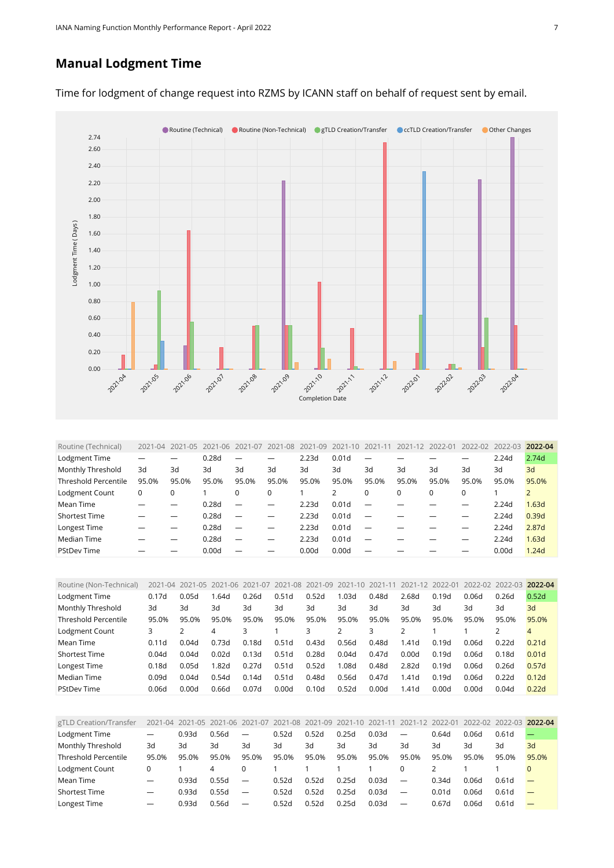#### **Manual Lodgment Time**



Time for lodgment of change request into RZMS by ICANN staff on behalf of request sent by email.

<span id="page-6-0"></span>

| Routine (Technical)         | $2021 - 04$ | $1 - 0.5$<br>2021 | $2021 - 06$ | 2021-07 | 2021-08 | 2021<br>$-09$ | $2021 - 10$       | 2021-11                  | 2021-12 | 2022-01  | 2022-02  | $2022 - 03$ | 2022-04 |
|-----------------------------|-------------|-------------------|-------------|---------|---------|---------------|-------------------|--------------------------|---------|----------|----------|-------------|---------|
| Lodgment Time               |             |                   | 0.28d       |         |         | 2.23d         | 0.01 <sub>d</sub> |                          |         |          |          | 2.24d       | 2.74d   |
| Monthly Threshold           | 3d          | 3d                | 3d          | 3d      | 3d      | 3d            | 3d                | 3d                       | 3d      | 3d       | 3d       | 3d          | 3d      |
| <b>Threshold Percentile</b> | 95.0%       | 95.0%             | 95.0%       | 95.0%   | 95.0%   | 95.0%         | 95.0%             | 95.0%                    | 95.0%   | 95.0%    | 95.0%    | 95.0%       | 95.0%   |
| Lodgment Count              | 0           | 0                 |             |         | 0       |               |                   | $\Omega$                 | 0       | $\Omega$ | $\Omega$ |             |         |
| Mean Time                   |             |                   | 0.28d       |         |         | 2.23d         | 0.01 <sub>d</sub> |                          |         |          |          | 2.24d       | 1.63d   |
| <b>Shortest Time</b>        |             |                   | 0.28d       |         |         | 2.23d         | 0.01d             |                          |         |          |          | 2.24d       | 0.39d   |
| Longest Time                |             |                   | 0.28d       |         |         | 2.23d         | 0.01 <sub>d</sub> |                          |         |          |          | 2.24d       | 2.87d   |
| Median Time                 |             |                   | 0.28d       |         |         | 2.23d         | 0.01 <sub>d</sub> |                          |         |          |          | 2.24d       | 1.63d   |
| <b>PStDev Time</b>          |             |                   | 0.00d       |         |         | 0.00d         | 0.00d             | $\overline{\phantom{0}}$ |         |          |          | 0.00d       | 1.24d   |

<span id="page-6-1"></span>

| Routine (Non-Technical)     |       |       | 2021-04 2021-05 2021-06 2021-07 |       | 2021-08 | 2021-09 2021-10 |       | 2021-11 | 2021-12 | 2022-01 | 2022-02 | 2022-03 | 2022-04           |
|-----------------------------|-------|-------|---------------------------------|-------|---------|-----------------|-------|---------|---------|---------|---------|---------|-------------------|
| Lodgment Time               | 0.17d | 0.05d | .64d                            | 0.26d | 0.51d   | 0.52d           | 1.03d | 0.48d   | 2.68d   | 0.19d   | 0.06d   | 0.26d   | 0.52d             |
| Monthly Threshold           | 3d    | Зd    | Зd                              | 3d    | 3d      | 3d              | 3d    | Зd      | 3d      | 3d      | 3d      | 3d      | 3d                |
| <b>Threshold Percentile</b> | 95.0% | 95.0% | 95.0%                           | 95.0% | 95.0%   | 95.0%           | 95.0% | 95.0%   | 95.0%   | 95.0%   | 95.0%   | 95.0%   | 95.0%             |
| Lodgment Count              |       |       | 4                               |       |         |                 |       |         |         |         |         |         | $\overline{4}$    |
| Mean Time                   | 0.11d | 0.04d | 0.73d                           | 0.18d | 0.51d   | 0.43d           | 0.56d | 0.48d   | 1.41d   | 0.19d   | 0.06d   | 0.22d   | 0.21 <sub>d</sub> |
| <b>Shortest Time</b>        | 0.04d | 0.04d | 0.02d                           | 0.13d | 0.51d   | 0.28d           | 0.04d | 0.47d   | 0.00d   | 0.19d   | 0.06d   | 0.18d   | 0.01 <sub>d</sub> |
| Longest Time                | 0.18d | 0.05d | l.82d                           | 0.27d | 0.51d   | 0.52d           | 1.08d | 0.48d   | 2.82d   | 0.19d   | 0.06d   | 0.26d   | 0.57d             |
| Median Time                 | 0.09d | 0.04d | 0.54d                           | 0.14d | 0.51d   | 0.48d           | 0.56d | 0.47d   | 1.41d   | 0.19d   | 0.06d   | 0.22d   | 0.12d             |
| <b>PStDev Time</b>          | 0.06d | 0.00d | 0.66d                           | 0.07d | 0.00d   | 0.10d           | 0.52d | 0.00d   | 1.41d   | 0.00d   | 0.00d   | 0.04d   | 0.22d             |

<span id="page-6-2"></span>

| gTLD Creation/Transfer      |                          |       | 2021-04 2021-05 2021-06 2021-07 2021-08 2021-09 2021-10 |                          |       |       |       | 2021-11 | 2021-12 2022-01                 |       | 2022-02 2022-03 2022-04 |                   |       |
|-----------------------------|--------------------------|-------|---------------------------------------------------------|--------------------------|-------|-------|-------|---------|---------------------------------|-------|-------------------------|-------------------|-------|
| Lodgment Time               | $\overline{\phantom{0}}$ | 0.93d | 0.56d                                                   | $\overline{\phantom{0}}$ | 0.52d | 0.52d | 0.25d | 0.03d   | $\overbrace{\phantom{1232211}}$ | 0.64d | 0.06d                   | 0.61d             |       |
| Monthly Threshold           | 3d                       | 3d    | 3d                                                      | 3d                       | 3d    | 3d    | 3d    | 3d      | 3d                              | 3d    | 3d                      | 3d                | 3d    |
| <b>Threshold Percentile</b> | 95.0%                    | 95.0% | 95.0%                                                   | 95.0%                    | 95.0% | 95.0% | 95.0% | 95.0%   | 95.0%                           | 95.0% | 95.0%                   | 95.0%             | 95.0% |
| Lodgment Count              |                          |       | 4                                                       |                          |       |       |       |         |                                 |       |                         |                   |       |
| Mean Time                   |                          | 0.93d | 0.55d                                                   | $\overline{\phantom{0}}$ | 0.52d | 0.52d | 0.25d | 0.03d   | $\overbrace{\phantom{1232211}}$ | 0.34d | 0.06d                   | 0.61 <sub>d</sub> |       |
| <b>Shortest Time</b>        | $\overline{\phantom{0}}$ | 0.93d | 0.55d                                                   | $\overline{\phantom{m}}$ | 0.52d | 0.52d | 0.25d | 0.03d   | $\overline{\phantom{m}}$        | 0.01d | 0.06d                   | 0.61 <sub>d</sub> |       |
| Longest Time                | $\overline{\phantom{m}}$ | 0.93d | 0.56d                                                   |                          | 0.52d | 0.52d | 0.25d | 0.03d   |                                 | 0.67d | 0.06d                   | 0.61d             |       |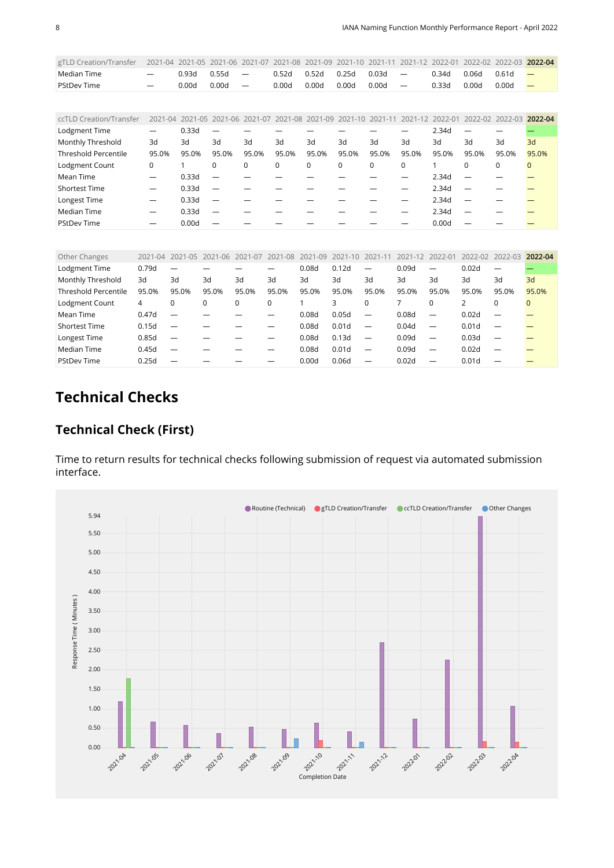<span id="page-7-0"></span>

| gTLD Creation/Transfer      | 2021-04     | 2021-05     | 2021-06     | 2021-07 | 2021-08 | 2021<br>$-09$ | $-10$<br>2021 | 2021    | $-12$                    | $2022 - 01$ | 2022-02         | $2022 - 03$ | 2022-04  |
|-----------------------------|-------------|-------------|-------------|---------|---------|---------------|---------------|---------|--------------------------|-------------|-----------------|-------------|----------|
| Median Time                 |             | 0.93d       | 0.55d       | —       | 0.52d   | 0.52d         | 0.25d         | 0.03d   | $\overline{\phantom{0}}$ | 0.34d       | 0.06d           | 0.61d       |          |
| <b>PStDev Time</b>          |             | 0.00d       | 0.00d       | —       | 0.00d   | 0.00d         | 0.00d         | 0.00d   | -                        | 0.33d       | 0.00d           | 0.00d       |          |
|                             |             |             |             |         |         |               |               |         |                          |             |                 |             |          |
| ccTLD Creation/Transfer     | 2021-04     | 2021-05     | $2021 - 06$ | 2021-07 | 2021-08 | 2021-09       | 2021-10       | 2021-11 | $2021 - 12$              | 2022-01     | $2022 - 02$     | $2022 - 03$ | 2022-04  |
| Lodgment Time               | —           | 0.33d       | —           |         |         |               |               |         |                          | 2.34d       | —               |             |          |
| Monthly Threshold           | 3d          | 3d          | 3d          | 3d      | 3d      | 3d            | 3d            | 3d      | 3d                       | 3d          | 3d              | 3d          | 3d       |
| <b>Threshold Percentile</b> | 95.0%       | 95.0%       | 95.0%       | 95.0%   | 95.0%   | 95.0%         | 95.0%         | 95.0%   | 95.0%                    | 95.0%       | 95.0%           | 95.0%       | 95.0%    |
| Lodgment Count              | 0           | 1           | 0           | 0       | 0       | $\mathbf 0$   | 0             | 0       | 0                        | 1           | $\Omega$        | $\mathbf 0$ | $\Omega$ |
| Mean Time                   | —           | 0.33d       |             |         |         |               |               |         |                          | 2.34d       |                 |             |          |
| <b>Shortest Time</b>        | —           | 0.33d       |             |         |         |               |               |         |                          | 2.34d       |                 |             |          |
| Longest Time                | —           | 0.33d       |             |         |         |               |               |         |                          | 2.34d       |                 |             |          |
| Median Time                 | —           | 0.33d       |             |         |         |               |               |         |                          | 2.34d       |                 |             |          |
| <b>PStDev Time</b>          |             | 0.00d       |             |         |         |               |               |         |                          | 0.00d       |                 |             |          |
|                             |             |             |             |         |         |               |               |         |                          |             |                 |             |          |
| Other Changes               | $2021 - 04$ | $2021 - 05$ | $2021 - 06$ | 2021-07 | 2021-08 | $2021 - 09$   | $2021 - 10$   | 2021-11 | $2021 - 12$              | 2022-01     | 2022-02 2022-03 |             | 2022-04  |
| Lodgmant Time               | 0.79d       |             |             |         |         | n usy         | 0.12d         |         | n uay                    |             | n usy           |             |          |

<span id="page-7-1"></span>

| ULIILI LIIUIIALU            |       |                          | AVAI VT AVAI VJ AVAI VV AVAI V/ AVAI VV |       |       | $\sim$ | $\sim$ $\sqrt{2}$ $\sim$ $\sqrt{2}$<br>$\sim$ | $\sim$                   | $\sim$ | $\sim$                   |                   | $L_{\rm VLL}$ $L_{\rm L}$ $L_{\rm VLL}$ $L_{\rm VLL}$ | -----       |
|-----------------------------|-------|--------------------------|-----------------------------------------|-------|-------|--------|-----------------------------------------------|--------------------------|--------|--------------------------|-------------------|-------------------------------------------------------|-------------|
| Lodgment Time               | 0.79d | —                        |                                         |       |       | 0.08d  | 0.12d                                         | $\overline{\phantom{0}}$ | 0.09d  | —                        | 0.02d             |                                                       |             |
| Monthly Threshold           | 3d    | 3d                       | 3d                                      | 3d    | 3d    | 3d     | 3d                                            | 3d                       | 3d     | 3d                       | 3d                | 3d                                                    | 3d          |
| <b>Threshold Percentile</b> | 95.0% | 95.0%                    | 95.0%                                   | 95.0% | 95.0% | 95.0%  | 95.0%                                         | 95.0%                    | 95.0%  | 95.0%                    | 95.0%             | 95.0%                                                 | 95.0%       |
| Lodgment Count              | 4     | 0                        | 0                                       | 0     | 0     |        | 3                                             | 0                        |        | 0                        |                   |                                                       | $\mathbf 0$ |
| Mean Time                   | 0.47d |                          |                                         |       |       | 0.08d  | 0.05d                                         | $\overline{\phantom{m}}$ | 0.08d  | $\overline{\phantom{0}}$ | 0.02d             |                                                       |             |
| <b>Shortest Time</b>        | 0.15d | $\overline{\phantom{0}}$ |                                         |       |       | 0.08d  | 0.01 <sub>d</sub>                             | $\overline{\phantom{m}}$ | 0.04d  | $\overline{\phantom{0}}$ | 0.01 <sub>d</sub> |                                                       |             |
| Longest Time                | 0.85d | $\overline{\phantom{0}}$ |                                         |       |       | 0.08d  | 0.13d                                         | $\overline{\phantom{m}}$ | 0.09d  |                          | 0.03d             |                                                       |             |
| Median Time                 | 0.45d |                          |                                         |       |       | 0.08d  | 0.01 <sub>d</sub>                             | $\overline{\phantom{m}}$ | 0.09d  | $\overline{\phantom{0}}$ | 0.02d             |                                                       |             |
| <b>PStDev Time</b>          | 0.25d |                          |                                         |       |       | 0.00d  | 0.06d                                         | $\overline{\phantom{0}}$ | 0.02d  | –                        | 0.01 <sub>d</sub> |                                                       |             |

## **Technical Checks**

#### **Technical Check (First)**

Time to return results for technical checks following submission of request via automated submission interface.

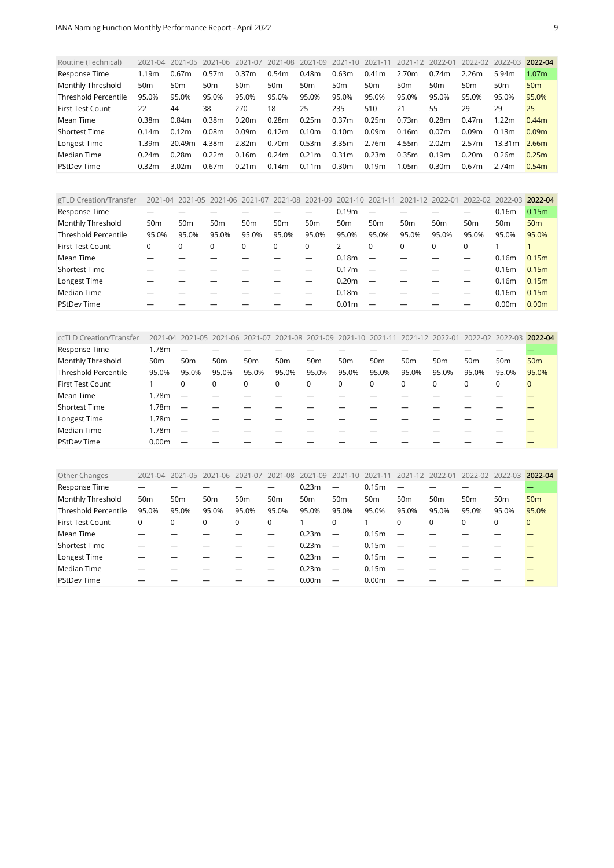<span id="page-8-0"></span>

| Routine (Technical)         | $2021 - 04$     | 2021-05 2021-06   |       | 2021-07           |                 |                   | 2021-08 2021-09 2021-10 2021-11 |                   | 2021-12 | 2022-01           | 2022-02 2022-03 |                   | 2022-04           |
|-----------------------------|-----------------|-------------------|-------|-------------------|-----------------|-------------------|---------------------------------|-------------------|---------|-------------------|-----------------|-------------------|-------------------|
| Response Time               | 1.19m           | 0.67m             | 0.57m | 0.37m             | 0.54m           | 0.48 <sub>m</sub> | 0.63m                           | 0.41 <sub>m</sub> | 2.70m   | 0.74m             | 2.26m           | 5.94m             | 1.07 <sub>m</sub> |
| Monthly Threshold           | 50 <sub>m</sub> | 50 <sub>m</sub>   | 50m   | 50m               | 50 <sub>m</sub> | 50 <sub>m</sub>   | 50m                             | 50 <sub>m</sub>   | 50m     | 50 <sub>m</sub>   | 50 <sub>m</sub> | 50 <sub>m</sub>   | 50 <sub>m</sub>   |
| <b>Threshold Percentile</b> | 95.0%           | 95.0%             | 95.0% | 95.0%             | 95.0%           | 95.0%             | 95.0%                           | 95.0%             | 95.0%   | 95.0%             | 95.0%           | 95.0%             | 95.0%             |
| <b>First Test Count</b>     | 22              | 44                | 38    | 270               | 18              | 25                | 235                             | 510               | 21      | 55                | 29              | 29                | 25                |
| Mean Time                   | 0.38m           | 0.84m             | 0.38m | 0.20m             | 0.28m           | 0.25m             | 0.37m                           | 0.25m             | 0.73m   | 0.28m             | 0.47m           | 1.22m             | 0.44m             |
| <b>Shortest Time</b>        | 0.14m           | 0.12 <sub>m</sub> | 0.08m | 0.09m             | 0.12m           | 0.10 <sub>m</sub> | 0.10 <sub>m</sub>               | 0.09m             | 0.16m   | 0.07 <sub>m</sub> | 0.09m           | 0.13 <sub>m</sub> | 0.09 <sub>m</sub> |
| Longest Time                | 1.39m           | 20.49m            | 4.38m | 2.82m             | 0.70m           | 0.53m             | 3.35m                           | 2.76m             | 4.55m   | 2.02m             | 2.57m           | 13.31m            | 2.66m             |
| Median Time                 | 0.24m           | 0.28m             | 0.22m | 0.16m             | 0.24m           | 0.21 <sub>m</sub> | 0.31 <sub>m</sub>               | 0.23m             | 0.35m   | 0.19m             | 0.20m           | 0.26m             | 0.25m             |
| <b>PStDev Time</b>          | 0.32m           | 3.02m             | 0.67m | 0.21 <sub>m</sub> | 0.14m           | 0.11 <sub>m</sub> | 0.30 <sub>m</sub>               | 0.19m             | 1.05m   | 0.30 <sub>m</sub> | 0.67m           | 2.74m             | 0.54m             |

<span id="page-8-1"></span>

| gTLD Creation/Transfer      |                 |                 | 2021-04 2021-05 2021-06 2021-07 2021-08 2021-09 2021-10 |                 |                 |                 |                   | 2021-11         | 2021-12 2022-01 |                 | 2022-02 2022-03 |                   | 2022-04           |
|-----------------------------|-----------------|-----------------|---------------------------------------------------------|-----------------|-----------------|-----------------|-------------------|-----------------|-----------------|-----------------|-----------------|-------------------|-------------------|
| Response Time               |                 |                 |                                                         |                 |                 |                 | 0.19 <sub>m</sub> |                 |                 |                 |                 | 0.16 <sub>m</sub> | 0.15 <sub>m</sub> |
| Monthly Threshold           | 50 <sub>m</sub> | 50 <sub>m</sub> | 50 <sub>m</sub>                                         | 50 <sub>m</sub> | 50 <sub>m</sub> | 50 <sub>m</sub> | 50 <sub>m</sub>   | 50 <sub>m</sub> | 50 <sub>m</sub> | 50 <sub>m</sub> | 50 <sub>m</sub> | 50 <sub>m</sub>   | 50 <sub>m</sub>   |
| <b>Threshold Percentile</b> | 95.0%           | 95.0%           | 95.0%                                                   | 95.0%           | 95.0%           | 95.0%           | 95.0%             | 95.0%           | 95.0%           | 95.0%           | 95.0%           | 95.0%             | 95.0%             |
| <b>First Test Count</b>     | 0               | 0               | 0                                                       |                 | $\Omega$        | $\mathbf 0$     | 2                 |                 | $\Omega$        | $\Omega$        | $\Omega$        |                   |                   |
| Mean Time                   |                 |                 |                                                         |                 |                 |                 | 0.18 <sub>m</sub> |                 |                 |                 |                 | 0.16 <sub>m</sub> | 0.15 <sub>m</sub> |
| <b>Shortest Time</b>        |                 |                 |                                                         |                 |                 |                 | 0.17 <sub>m</sub> |                 |                 |                 |                 | 0.16 <sub>m</sub> | 0.15m             |
| Longest Time                |                 |                 |                                                         |                 |                 |                 | 0.20 <sub>m</sub> |                 |                 |                 |                 | 0.16 <sub>m</sub> | 0.15m             |
| Median Time                 |                 |                 |                                                         |                 |                 |                 | 0.18 <sub>m</sub> |                 |                 |                 |                 | 0.16m             | 0.15m             |
| <b>PStDev Time</b>          |                 |                 |                                                         |                 |                 |                 | 0.01 <sub>m</sub> |                 |                 |                 |                 | 0.00 <sub>m</sub> | 0.00 <sub>m</sub> |

<span id="page-8-2"></span>

| ccTLD Creation/Transfer     |                   | 2021-04 2021-05 2021-06 2021-07 2021-08 2021-09 2021-10 2021-11 2021-12 2022-01 2022-02 2022-03 |                 |                 |                 |                 |                 |                 |                 |                 |                 |                 | 2022-04         |
|-----------------------------|-------------------|-------------------------------------------------------------------------------------------------|-----------------|-----------------|-----------------|-----------------|-----------------|-----------------|-----------------|-----------------|-----------------|-----------------|-----------------|
| Response Time               | 1.78m             |                                                                                                 |                 |                 |                 |                 |                 |                 |                 |                 |                 |                 |                 |
| Monthly Threshold           | 50 <sub>m</sub>   | 50 <sub>m</sub>                                                                                 | 50 <sub>m</sub> | 50 <sub>m</sub> | 50 <sub>m</sub> | 50 <sub>m</sub> | 50 <sub>m</sub> | 50 <sub>m</sub> | 50 <sub>m</sub> | 50 <sub>m</sub> | 50 <sub>m</sub> | 50 <sub>m</sub> | 50 <sub>m</sub> |
| <b>Threshold Percentile</b> | 95.0%             | 95.0%                                                                                           | 95.0%           | 95.0%           | 95.0%           | 95.0%           | 95.0%           | 95.0%           | 95.0%           | 95.0%           | 95.0%           | 95.0%           | 95.0%           |
| <b>First Test Count</b>     |                   | $\Omega$                                                                                        | 0               | 0               | 0               | 0               | 0               | $\mathbf 0$     | $\Omega$        | $\mathbf 0$     | 0               | 0               | $\Omega$        |
| Mean Time                   | 1.78m             |                                                                                                 |                 |                 |                 |                 |                 |                 |                 |                 |                 |                 |                 |
| Shortest Time               | 1.78m             |                                                                                                 |                 |                 |                 |                 |                 |                 |                 |                 |                 |                 |                 |
| Longest Time                | 1.78m             | $\overline{\phantom{a}}$                                                                        |                 |                 |                 |                 |                 |                 |                 |                 |                 |                 |                 |
| Median Time                 | 1.78m             |                                                                                                 |                 |                 |                 |                 |                 |                 |                 |                 |                 |                 |                 |
| <b>PStDev Time</b>          | 0.00 <sub>m</sub> |                                                                                                 |                 |                 |                 |                 |                 |                 |                 |                 |                 |                 |                 |

<span id="page-8-3"></span>

| Other Changes               | $2021 - 04$     | 2021-05         | 2021-06         | 2021-07         |                 | 2021-08 2021-09   | 2021-10 2021-11          |                   | 2021-12 2022-01          |                 | 2022-02         | 2022-03         | 2022-04         |
|-----------------------------|-----------------|-----------------|-----------------|-----------------|-----------------|-------------------|--------------------------|-------------------|--------------------------|-----------------|-----------------|-----------------|-----------------|
| Response Time               |                 |                 |                 |                 |                 | 0.23m             |                          | 0.15 <sub>m</sub> |                          |                 |                 |                 |                 |
| Monthly Threshold           | 50 <sub>m</sub> | 50 <sub>m</sub> | 50 <sub>m</sub> | 50 <sub>m</sub> | 50 <sub>m</sub> | 50 <sub>m</sub>   | 50 <sub>m</sub>          | 50 <sub>m</sub>   | 50 <sub>m</sub>          | 50 <sub>m</sub> | 50 <sub>m</sub> | 50 <sub>m</sub> | 50 <sub>m</sub> |
| <b>Threshold Percentile</b> | 95.0%           | 95.0%           | 95.0%           | 95.0%           | 95.0%           | 95.0%             | 95.0%                    | 95.0%             | 95.0%                    | 95.0%           | 95.0%           | 95.0%           | 95.0%           |
| <b>First Test Count</b>     | 0               | $\Omega$        | 0               | 0               | $\Omega$        |                   | 0                        |                   | $\Omega$                 | $\Omega$        | $\Omega$        | 0               | $\mathbf{0}$    |
| Mean Time                   |                 |                 |                 |                 |                 | 0.23m             | $\overline{\phantom{a}}$ | 0.15 <sub>m</sub> |                          |                 |                 |                 |                 |
| <b>Shortest Time</b>        |                 |                 |                 |                 |                 | 0.23m             | $\overline{\phantom{a}}$ | 0.15 <sub>m</sub> |                          |                 |                 |                 |                 |
| Longest Time                |                 |                 |                 |                 |                 | 0.23m             | $\overline{\phantom{m}}$ | 0.15 <sub>m</sub> | $\overline{\phantom{m}}$ |                 |                 |                 |                 |
| Median Time                 |                 |                 |                 |                 |                 | 0.23m             | $\overline{\phantom{m}}$ | 0.15 <sub>m</sub> | $\overline{\phantom{m}}$ |                 |                 |                 |                 |
| <b>PStDev Time</b>          |                 |                 |                 |                 |                 | 0.00 <sub>m</sub> |                          | 0.00 <sub>m</sub> |                          |                 |                 |                 |                 |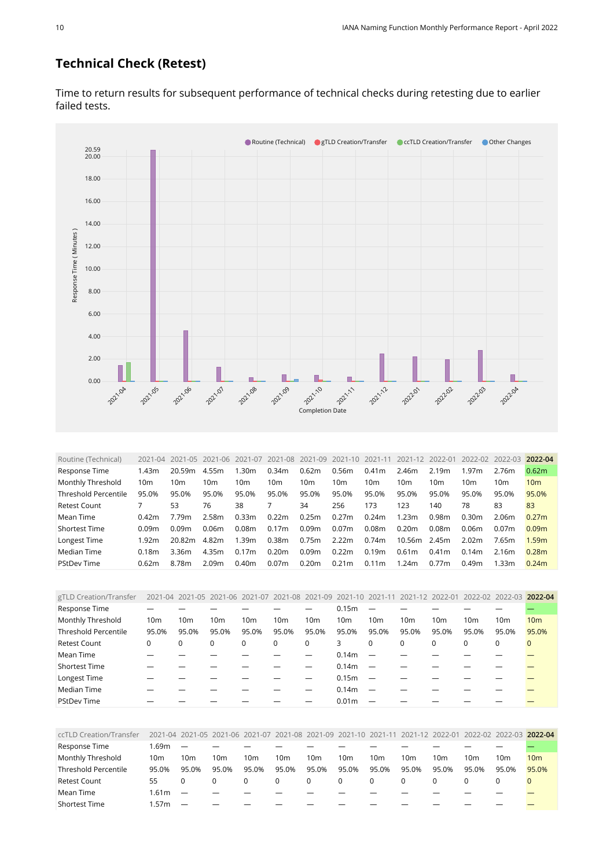#### **Technical Check (Retest)**

● Routine (Technical) ● gTLD Creation/Transfer ● ccTLD Creation/Transfer ● Other Changes 20.00 20.59 18.00 16.00 14.00 Response Time (Minutes) [Response Time \( Minutes \)](https://sle-dashboard.iana.org/chart/technical-test-retest/?granularity=monthly&start=2021-04-01&end=2022-05-01) 12.00 10.00 8.00 6.00 4.00 2.00 I П П г Ī. 0.00 Ī. 2021-12 2021.05 2021.06 **2021-10** 2021.04 2021.07 2021-08 2021.09 2021-11 202204 **202201** 202203 [Completion Date](https://sle-dashboard.iana.org/chart/technical-test-retest/?granularity=monthly&start=2021-04-01&end=2022-05-01)

Time to return results for subsequent performance of technical checks during retesting due to earlier failed tests.

<span id="page-9-0"></span>

| Routine (Technical)         | 2021-04         |        | 2021-05 2021-06   | 2021-07           | 2021-08 2021-09   |       | 2021-10           | 2021-11           | 2021-12           | 2022-01           | 2022-02 2022-03   |                   | 2022-04           |
|-----------------------------|-----------------|--------|-------------------|-------------------|-------------------|-------|-------------------|-------------------|-------------------|-------------------|-------------------|-------------------|-------------------|
| Response Time               | 1.43m           | 20.59m | 4.55m             | 1.30m             | 0.34 <sub>m</sub> | 0.62m | 0.56m             | 0.41m             | 2.46m             | 2.19m             | 1.97 <sub>m</sub> | 2.76m             | 0.62m             |
| Monthly Threshold           | 10 <sub>m</sub> | 10m    | 10 <sub>m</sub>   | 10m               | 10m               | 10m   | 10m               | 10 <sub>m</sub>   | 10 <sub>m</sub>   | 10m               | 10 <sub>m</sub>   | 10m               | 10 <sub>m</sub>   |
| <b>Threshold Percentile</b> | 95.0%           | 95.0%  | 95.0%             | 95.0%             | 95.0%             | 95.0% | 95.0%             | 95.0%             | 95.0%             | 95.0%             | 95.0%             | 95.0%             | 95.0%             |
| Retest Count                |                 | 53     | 76                | 38                |                   | 34    | 256               | 173               | 123               | 140               | 78                | 83                | 83                |
| Mean Time                   | 0.42m           | 7.79m  | 2.58m             | 0.33m             | 0.22m             | 0.25m | 0.27m             | 0.24m             | 1.23m             | 0.98m             | 0.30 <sub>m</sub> | 2.06m             | 0.27m             |
| <b>Shortest Time</b>        | 0.09m           | 0.09m  | 0.06 <sub>m</sub> | 0.08m             | 0.17m             | 0.09m | 0.07m             | 0.08m             | 0.20 <sub>m</sub> | 0.08 <sub>m</sub> | 0.06 <sub>m</sub> | 0.07 <sub>m</sub> | 0.09 <sub>m</sub> |
| Longest Time                | 1.92m           | 20.82m | 4.82m             | 1.39m             | 0.38m             | 0.75m | 2.22m             | 0.74m             | 10.56m            | 2.45m             | 2.02m             | 7.65m             | 1.59m             |
| Median Time                 | 0.18m           | 3.36m  | 4.35m             | 0.17m             | 0.20m             | 0.09m | 0.22m             | 0.19m             | 0.61m             | 0.41m             | 0.14m             | 2.16m             | 0.28m             |
| <b>PStDev Time</b>          | 0.62m           | 8.78m  | 2.09 <sub>m</sub> | 0.40 <sub>m</sub> | 0.07 <sub>m</sub> | 0.20m | 0.21 <sub>m</sub> | 0.11 <sub>m</sub> | 1.24m             | 0.77m             | 0.49m             | 1.33m             | 0.24m             |

<span id="page-9-1"></span>

| gTLD Creation/Transfer      |          |                 |                 |                 | 2021-04 2021-05 2021-06 2021-07 2021-08 2021-09 2021-10 2021-11 2021-12 2022-01 |                 |                   |                 |                 |                 | 2022-02 2022-03 |          | 2022-04         |
|-----------------------------|----------|-----------------|-----------------|-----------------|---------------------------------------------------------------------------------|-----------------|-------------------|-----------------|-----------------|-----------------|-----------------|----------|-----------------|
| Response Time               |          |                 |                 |                 |                                                                                 |                 | 0.15m             |                 |                 |                 |                 |          |                 |
| Monthly Threshold           | 10m      | 10 <sub>m</sub> | 10 <sub>m</sub> | 10 <sub>m</sub> | 10m                                                                             | 10 <sub>m</sub> | 10 <sub>m</sub>   | 10 <sub>m</sub> | 10 <sub>m</sub> | 10 <sub>m</sub> | 10 <sub>m</sub> | 10m      | 10 <sub>m</sub> |
| <b>Threshold Percentile</b> | 95.0%    | 95.0%           | 95.0%           | 95.0%           | 95.0%                                                                           | 95.0%           | 95.0%             | 95.0%           | 95.0%           | 95.0%           | 95.0%           | 95.0%    | 95.0%           |
| <b>Retest Count</b>         | $\Omega$ |                 | 0               | 0               | $\Omega$                                                                        | $\Omega$        | 3                 | $\Omega$        | $\Omega$        | $\Omega$        | $\Omega$        | $\Omega$ | $\Omega$        |
| Mean Time                   |          |                 |                 |                 |                                                                                 |                 | 0.14 <sub>m</sub> |                 |                 |                 |                 |          |                 |
| <b>Shortest Time</b>        |          |                 |                 |                 |                                                                                 |                 | 0.14 <sub>m</sub> |                 |                 |                 |                 |          |                 |
| Longest Time                |          |                 |                 |                 |                                                                                 |                 | 0.15m             |                 |                 |                 |                 |          |                 |
| Median Time                 |          |                 |                 |                 |                                                                                 |                 | 0.14 <sub>m</sub> |                 |                 |                 |                 |          |                 |
| <b>PStDev Time</b>          |          |                 |                 |                 |                                                                                 |                 | 0.01 <sub>m</sub> |                 |                 |                 |                 |          |                 |

<span id="page-9-2"></span>

| ccTLD Creation/Transfer |       |       | 2021-04 2021-05 2021-06 2021-07 2021-08 2021-09 2021-10 2021-11 2021-12 2022-01 |       |                 |                 |                 |       |       |       | 2022-02 2022-03 2022-04 |       |       |
|-------------------------|-------|-------|---------------------------------------------------------------------------------|-------|-----------------|-----------------|-----------------|-------|-------|-------|-------------------------|-------|-------|
| Response Time           | .69m  |       |                                                                                 |       |                 |                 |                 |       |       |       |                         |       |       |
| Monthly Threshold       | 10m   | 10m   | 10m                                                                             | 10m   | 10 <sub>m</sub> | 10 <sub>m</sub> | 10 <sub>m</sub> | 10m   | 10m   | 10m   | 10 <sub>m</sub>         | 10m   | 10m   |
| Threshold Percentile    | 95.0% | 95.0% | 95.0%                                                                           | 95.0% | 95.0%           | 95.0%           | 95.0%           | 95.0% | 95.0% | 95.0% | 95.0%                   | 95.0% | 95.0% |
| <b>Retest Count</b>     | 55    |       |                                                                                 |       |                 |                 | $\Omega$        |       |       |       |                         |       |       |
| Mean Time               | 1.61m |       |                                                                                 |       |                 |                 |                 |       |       |       |                         |       |       |
| <b>Shortest Time</b>    | .57m  |       |                                                                                 |       |                 |                 |                 |       |       |       |                         |       |       |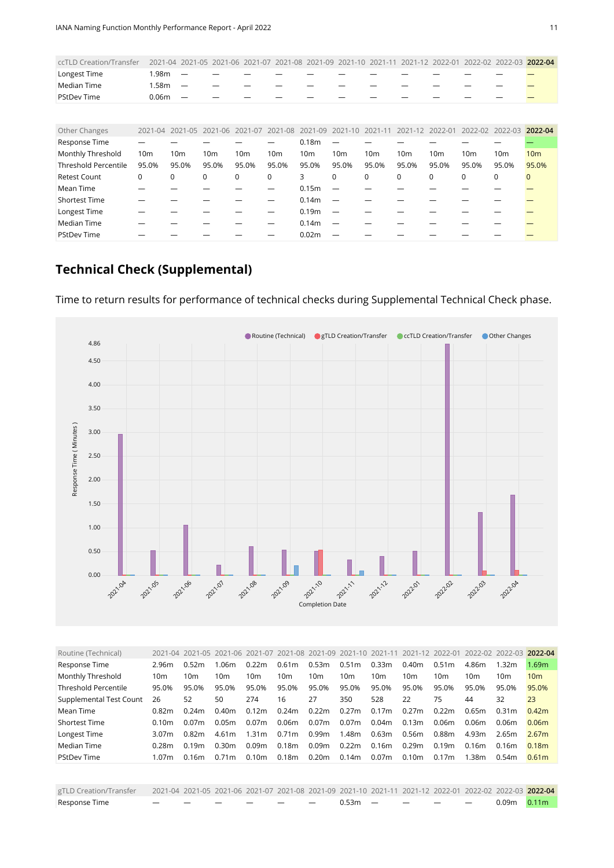| ccTLD Creation/Transfer |       |                          |                          |                          |  |  |  | 2021-04 2021-05 2021-06 2021-07 2021-08 2021-09 2021-10 2021-11 2021-12 2022-01 2022-02 2022-03 2022-04 |  |
|-------------------------|-------|--------------------------|--------------------------|--------------------------|--|--|--|---------------------------------------------------------------------------------------------------------|--|
| Longest Time            | .98m  | $\overline{\phantom{a}}$ | $\overline{\phantom{0}}$ | $\overline{\phantom{0}}$ |  |  |  |                                                                                                         |  |
| Median Time             | . 58m | $\overline{\phantom{0}}$ |                          | $\overline{\phantom{a}}$ |  |  |  |                                                                                                         |  |
| <b>PStDev Time</b>      | 0.06m | $\overline{\phantom{0}}$ | $\overline{\phantom{0}}$ |                          |  |  |  |                                                                                                         |  |

<span id="page-10-0"></span>

| Other Changes               |                 |                 |                 |                 |                 |                   | 2021-04 2021-05 2021-06 2021-07 2021-08 2021-09 2021-10 2021-11 |                 | 2021-12 2022-01 |          | 2022-02 2022-03 |                 | 2022-04         |
|-----------------------------|-----------------|-----------------|-----------------|-----------------|-----------------|-------------------|-----------------------------------------------------------------|-----------------|-----------------|----------|-----------------|-----------------|-----------------|
| Response Time               |                 |                 |                 |                 |                 | 0.18 <sub>m</sub> |                                                                 |                 |                 |          |                 |                 |                 |
| Monthly Threshold           | 10 <sub>m</sub> | 10 <sub>m</sub> | 10 <sub>m</sub> | 10 <sub>m</sub> | 10 <sub>m</sub> | 10 <sub>m</sub>   | 10 <sub>m</sub>                                                 | 10 <sub>m</sub> | 10 <sub>m</sub> | 10m      | 10 <sub>m</sub> | 10 <sub>m</sub> | 10 <sub>m</sub> |
| <b>Threshold Percentile</b> | 95.0%           | 95.0%           | 95.0%           | 95.0%           | 95.0%           | 95.0%             | 95.0%                                                           | 95.0%           | 95.0%           | 95.0%    | 95.0%           | 95.0%           | 95.0%           |
| <b>Retest Count</b>         | 0               | $\Omega$        | 0               | 0               | $\mathbf 0$     | 3                 | $\mathbf 0$                                                     | $\mathbf 0$     | $\Omega$        | $\Omega$ | $\Omega$        | 0               | $\mathbf 0$     |
| Mean Time                   |                 |                 |                 |                 |                 | 0.15 <sub>m</sub> | $\overline{\phantom{0}}$                                        |                 |                 |          |                 |                 |                 |
| <b>Shortest Time</b>        |                 |                 |                 |                 |                 | 0.14 <sub>m</sub> |                                                                 |                 |                 |          |                 |                 |                 |
| Longest Time                |                 |                 |                 |                 |                 | 0.19 <sub>m</sub> | $\overline{\phantom{m}}$                                        |                 |                 |          |                 |                 |                 |
| Median Time                 |                 |                 |                 |                 |                 | 0.14 <sub>m</sub> |                                                                 |                 |                 |          |                 |                 |                 |
| <b>PStDev Time</b>          |                 |                 |                 |                 |                 | 0.02 <sub>m</sub> |                                                                 |                 |                 |          |                 |                 |                 |

## **Technical Check (Supplemental)**



Time to return results for performance of technical checks during Supplemental Technical Check phase.

<span id="page-10-1"></span>

| Routine (Technical)     |                   |                 | 2021-04 2021-05 2021-06 2021-07 2021-08 2021-09 2021-10 2021-11 |                   |                   |                   |                   |                 | 2021-12 2022-01   |                   | 2022-02 2022-03 |                   | 2022-04           |
|-------------------------|-------------------|-----------------|-----------------------------------------------------------------|-------------------|-------------------|-------------------|-------------------|-----------------|-------------------|-------------------|-----------------|-------------------|-------------------|
| Response Time           | 2.96m             | 0.52m           | 1.06m                                                           | 0.22m             | 0.61m             | 0.53m             | 0.51 <sub>m</sub> | 0.33m           | 0.40 <sub>m</sub> | 0.51 <sub>m</sub> | 4.86m           | 1.32m             | 1.69m             |
| Monthly Threshold       | 10 <sub>m</sub>   | 10 <sub>m</sub> | 10m                                                             | 10 <sub>m</sub>   | 10 <sub>m</sub>   | 10m               | 10 <sub>m</sub>   | 10 <sub>m</sub> | 10 <sub>m</sub>   | 10 <sub>m</sub>   | 10 <sub>m</sub> | 10m               | 10 <sub>m</sub>   |
| Threshold Percentile    | 95.0%             | 95.0%           | 95.0%                                                           | 95.0%             | 95.0%             | 95.0%             | 95.0%             | 95.0%           | 95.0%             | 95.0%             | 95.0%           | 95.0%             | 95.0%             |
| Supplemental Test Count | 26                | 52              | 50                                                              | 274               | 16                | 27                | 350               | 528             | 22                | 75                | 44              | 32                | 23                |
| Mean Time               | 0.82 <sub>m</sub> | 0.24m           | 0.40 <sub>m</sub>                                               | 0.12m             | 0.24m             | 0.22m             | 0.27m             | 0.17m           | 0.27m             | 0.22m             | 0.65m           | 0.31 <sub>m</sub> | 0.42 <sub>m</sub> |
| <b>Shortest Time</b>    | 0.10m             | 0.07m           | 0.05 <sub>m</sub>                                               | 0.07 <sub>m</sub> | 0.06m             | 0.07 <sub>m</sub> | 0.07m             | 0.04m           | 0.13m             | 0.06m             | 0.06m           | 0.06m             | 0.06 <sub>m</sub> |
| Longest Time            | 3.07 <sub>m</sub> | 0.82m           | 4.61m                                                           | 1.31 <sub>m</sub> | 0.71 <sub>m</sub> | 0.99m             | 1.48m             | 0.63m           | 0.56m             | 0.88m             | 4.93m           | 2.65m             | 2.67m             |
| Median Time             | 0.28m             | 0.19m           | 0.30 <sub>m</sub>                                               | 0.09m             | 0.18m             | 0.09m             | 0.22m             | 0.16m           | 0.29m             | 0.19m             | 0.16m           | 0.16m             | 0.18m             |
| <b>PStDev Time</b>      | 1.07 <sub>m</sub> | 0.16m           | 0.71m                                                           | 0.10 <sub>m</sub> | 0.18m             | 0.20 <sub>m</sub> | 0.14m             | 0.07m           | 0.10 <sub>m</sub> | 0.17m             | 1.38m           | 0.54m             | 0.61 <sub>m</sub> |
|                         |                   |                 |                                                                 |                   |                   |                   |                   |                 |                   |                   |                 |                   |                   |

<span id="page-10-2"></span>

| gTLD Creation/Transfer 2021-04 2021-05 2021-06 2021-07 2021-08 2021-09 2021-10 2021-11 2021-12 2022-01 2022-02 2022-03 2022-04 |                             |  |  |  |  |  |                 |  |
|--------------------------------------------------------------------------------------------------------------------------------|-----------------------------|--|--|--|--|--|-----------------|--|
| Response Time                                                                                                                  | — — — — — — — 0.53m — — — — |  |  |  |  |  | $0.09m$ $0.11m$ |  |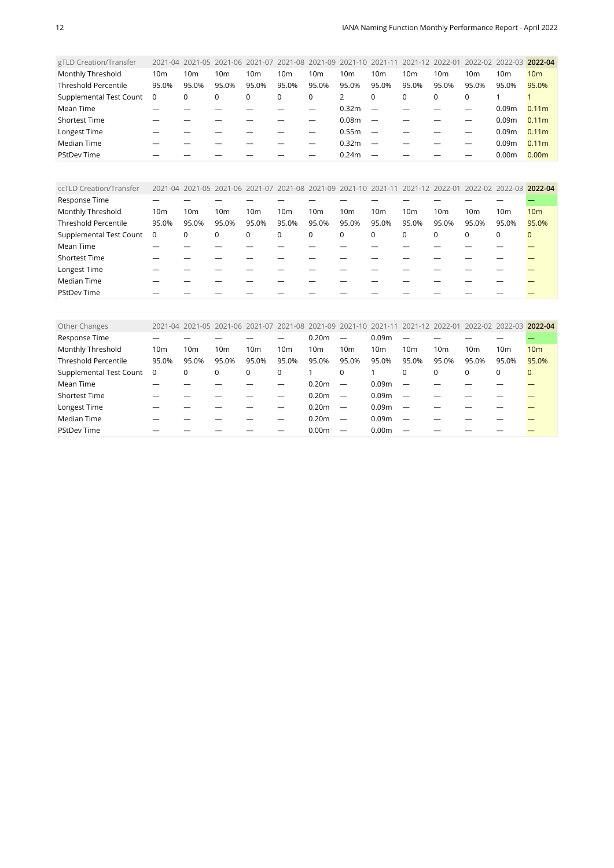| gTLD Creation/Transfer      |                 |                 |                 |       |                 |                 | 2021-04 2021-05 2021-06 2021-07 2021-08 2021-09 2021-10 2021-11 |                          |       |       | 2021-12 2022-01 2022-02 2022-03 2022-04 |                   |                   |
|-----------------------------|-----------------|-----------------|-----------------|-------|-----------------|-----------------|-----------------------------------------------------------------|--------------------------|-------|-------|-----------------------------------------|-------------------|-------------------|
| Monthly Threshold           | 10 <sub>m</sub> | 10 <sub>m</sub> | 10 <sub>m</sub> | 10m   | 10 <sub>m</sub> | 10 <sub>m</sub> | 10 <sub>m</sub>                                                 | 10 <sub>m</sub>          | 10m   | 10m   | 10 <sub>m</sub>                         | 10m               | 10 <sub>m</sub>   |
| <b>Threshold Percentile</b> | 95.0%           | 95.0%           | 95.0%           | 95.0% | 95.0%           | 95.0%           | 95.0%                                                           | 95.0%                    | 95.0% | 95.0% | 95.0%                                   | 95.0%             | 95.0%             |
| Supplemental Test Count     | 0               | 0               | $\Omega$        | 0     | 0               | 0               |                                                                 | $\mathbf 0$              | 0     | 0     | $\Omega$                                |                   |                   |
| Mean Time                   |                 |                 |                 |       |                 |                 | 0.32m                                                           | $\overline{\phantom{m}}$ |       |       |                                         | 0.09 <sub>m</sub> | 0.11 <sub>m</sub> |
| <b>Shortest Time</b>        |                 |                 |                 |       |                 |                 | 0.08 <sub>m</sub>                                               | $\overline{\phantom{m}}$ |       |       |                                         | 0.09 <sub>m</sub> | 0.11 <sub>m</sub> |
| Longest Time                |                 |                 |                 |       |                 |                 | 0.55m                                                           | $\overline{\phantom{m}}$ |       |       |                                         | 0.09 <sub>m</sub> | 0.11 <sub>m</sub> |
| Median Time                 |                 |                 |                 |       |                 |                 | 0.32m                                                           | $\overline{\phantom{m}}$ |       |       |                                         | 0.09 <sub>m</sub> | 0.11 <sub>m</sub> |
| <b>PStDev Time</b>          |                 |                 |                 |       |                 |                 | 0.24m                                                           |                          |       |       |                                         | 0.00 <sub>m</sub> | 0.00 <sub>m</sub> |
|                             |                 |                 |                 |       |                 |                 |                                                                 |                          |       |       |                                         |                   |                   |

<span id="page-11-0"></span>

| ccTLD Creation/Transfer     |                         |                 |       |                 |                 |                 |                 |                 |                 |          | 2021-04 2021-05 2021-06 2021-07 2021-08 2021-09 2021-10 2021-11 2021-12 2022-01 2022-02 2022-03 2022-04 |       |                 |
|-----------------------------|-------------------------|-----------------|-------|-----------------|-----------------|-----------------|-----------------|-----------------|-----------------|----------|---------------------------------------------------------------------------------------------------------|-------|-----------------|
| Response Time               |                         |                 |       |                 |                 |                 |                 |                 |                 |          |                                                                                                         |       |                 |
| Monthly Threshold           | 10 <sub>m</sub>         | 10 <sub>m</sub> | 10m   | 10 <sub>m</sub> | 10 <sub>m</sub> | 10 <sub>m</sub> | 10 <sub>m</sub> | 10 <sub>m</sub> | 10 <sub>m</sub> | 10m      | 10 <sub>m</sub>                                                                                         | 10m   | 10 <sub>m</sub> |
| <b>Threshold Percentile</b> | 95.0%                   | 95.0%           | 95.0% | 95.0%           | 95.0%           | 95.0%           | 95.0%           | 95.0%           | 95.0%           | 95.0%    | 95.0%                                                                                                   | 95.0% | 95.0%           |
| Supplemental Test Count     | $\overline{\mathbf{0}}$ | 0               | 0     | 0               | 0               | 0               | 0               | 0               | $\mathbf 0$     | $\Omega$ | 0                                                                                                       | 0     | $\mathbf 0$     |
| Mean Time                   |                         |                 |       |                 |                 |                 |                 |                 |                 |          |                                                                                                         |       |                 |
| <b>Shortest Time</b>        |                         |                 |       |                 |                 |                 |                 |                 |                 |          |                                                                                                         |       |                 |
| Longest Time                |                         |                 |       |                 |                 |                 |                 |                 |                 |          |                                                                                                         |       |                 |
| Median Time                 |                         |                 |       |                 |                 |                 |                 |                 |                 |          |                                                                                                         |       |                 |
| <b>PStDev Time</b>          |                         |                 |       |                 |                 |                 |                 |                 |                 |          |                                                                                                         |       |                 |

<span id="page-11-1"></span>

| Other Changes               |                 |                 |       |                 |                 |                   |                          | 2021-04 2021-05 2021-06 2021-07 2021-08 2021-09 2021-10 2021-11 2021-12 2022-01 |                          |                 | 2022-02 2022-03 |                 | 2022-04         |
|-----------------------------|-----------------|-----------------|-------|-----------------|-----------------|-------------------|--------------------------|---------------------------------------------------------------------------------|--------------------------|-----------------|-----------------|-----------------|-----------------|
| Response Time               |                 |                 |       |                 |                 | 0.20 <sub>m</sub> |                          | 0.09 <sub>m</sub>                                                               |                          |                 |                 |                 |                 |
| Monthly Threshold           | 10 <sub>m</sub> | 10 <sub>m</sub> | 10m   | 10 <sub>m</sub> | 10 <sub>m</sub> | 10 <sub>m</sub>   | 10 <sub>m</sub>          | 10 <sub>m</sub>                                                                 | 10 <sub>m</sub>          | 10 <sub>m</sub> | 10m             | 10 <sub>m</sub> | 10 <sub>m</sub> |
| <b>Threshold Percentile</b> | 95.0%           | 95.0%           | 95.0% | 95.0%           | 95.0%           | 95.0%             | 95.0%                    | 95.0%                                                                           | 95.0%                    | 95.0%           | 95.0%           | 95.0%           | 95.0%           |
| Supplemental Test Count     | $\overline{0}$  | 0               | 0     | 0               | 0               |                   | 0                        |                                                                                 | $\Omega$                 | $\mathbf 0$     | 0               | 0               | $\Omega$        |
| Mean Time                   |                 |                 |       |                 |                 | 0.20 <sub>m</sub> |                          | 0.09m                                                                           |                          |                 |                 |                 |                 |
| Shortest Time               |                 |                 |       |                 |                 | 0.20 <sub>m</sub> | $\overline{\phantom{m}}$ | 0.09 <sub>m</sub>                                                               |                          |                 |                 |                 |                 |
| Longest Time                |                 |                 |       |                 |                 | 0.20 <sub>m</sub> | $\overline{\phantom{m}}$ | 0.09 <sub>m</sub>                                                               |                          |                 |                 |                 |                 |
| Median Time                 |                 |                 |       |                 |                 | 0.20 <sub>m</sub> | $\overline{\phantom{0}}$ | 0.09 <sub>m</sub>                                                               | $\overline{\phantom{0}}$ |                 |                 |                 |                 |
| <b>PStDev Time</b>          |                 |                 |       |                 |                 | 0.00 <sub>m</sub> |                          | 0.00 <sub>m</sub>                                                               |                          |                 |                 |                 |                 |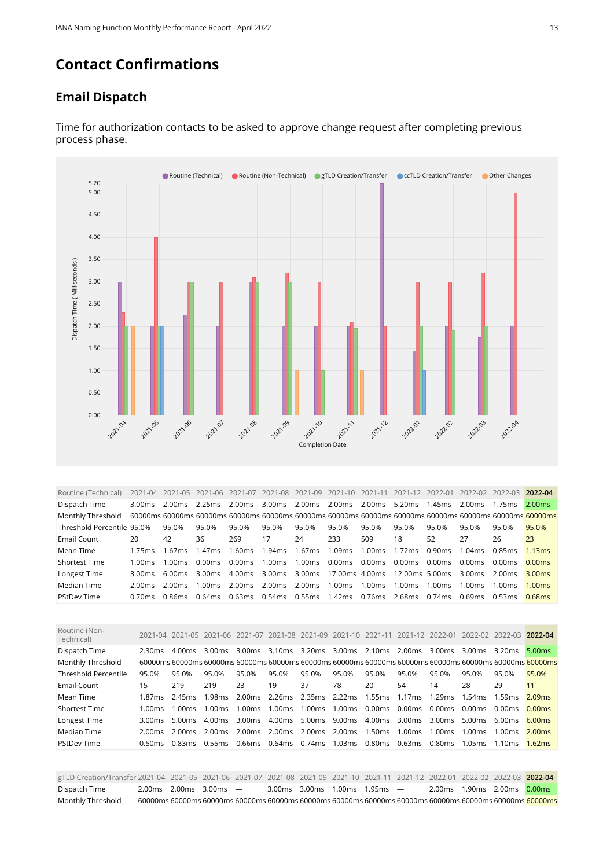### **Contact Confirmations**

#### **Email Dispatch**



Time for authorization contacts to be asked to approve change request after completing previous process phase.

<span id="page-12-0"></span>

| Routine (Technical)        |                    | 2021-04 2021-05 2021-06 2021-07 2021-08 2021-09 |        |        |        |        |                                                |        |                                                    |        |        | 2021-10 2021-11 2021-12 2022-01 2022-02 2022-03 2022-04                                                 |                    |
|----------------------------|--------------------|-------------------------------------------------|--------|--------|--------|--------|------------------------------------------------|--------|----------------------------------------------------|--------|--------|---------------------------------------------------------------------------------------------------------|--------------------|
| Dispatch Time              | 3.00 <sub>ms</sub> | 2.00ms                                          | 2.25ms | 2.00ms | 3.00ms |        | 2.00ms 2.00ms 2.00ms                           |        | 5.20ms                                             | 1.45ms | 2.00ms | 1.75ms                                                                                                  | 2.00ms             |
| Monthly Threshold          |                    |                                                 |        |        |        |        |                                                |        |                                                    |        |        | 60000ms 60000ms 60000ms 60000ms 60000ms 60000ms 60000ms 60000ms 60000ms 60000ms 60000ms 60000ms 60000ms |                    |
| Threshold Percentile 95.0% |                    | 95.0%                                           | 95.0%  | 95.0%  | 95.0%  | 95.0%  | 95.0%                                          | 95.0%  | 95.0%                                              | 95.0%  | 95.0%  | 95.0%                                                                                                   | 95.0%              |
| Email Count                | 20                 | 42                                              | 36     | 269    | 17     | 24     | 233                                            | 509    | 18                                                 | 52     | 27     | 26                                                                                                      | 23                 |
| Mean Time                  | 1.75 <sub>ms</sub> | 1.67 <sub>ms</sub>                              | 1.47ms | 1.60ms | 1.94ms | 1.67ms | 1.09ms                                         | 1.00ms | 1.72ms                                             | 0.90ms | 1.04ms | 0.85ms                                                                                                  | 1.13ms             |
| <b>Shortest Time</b>       | 1.00 $ms$          | 1.00 <sub>ms</sub>                              | 0.00ms | 0.00ms | 1.00ms | 1.00ms | 0.00ms                                         | 0.00ms | 0.00ms                                             | 0.00ms | 0.00ms | 0.00ms                                                                                                  | 0.00ms             |
| Longest Time               | 3.00ms             | 6.00ms                                          | 3.00ms |        |        |        |                                                |        | 4.00ms 3.00ms 3.00ms 17.00ms 4.00ms 12.00ms 5.00ms |        | 3.00ms | 2.00ms                                                                                                  | 3.00 <sub>ms</sub> |
| Median Time                | 2.00ms             | 2.00 ms                                         | 1.00ms | 2.00ms | 2.00ms | 2.00ms | 1.00ms 1.00ms                                  |        | 1.00ms                                             | 1.00ms | 1.00ms | 1.00ms                                                                                                  | 1.00 <sub>ms</sub> |
| <b>PStDev Time</b>         | $0.70$ ms          | 0.86ms                                          | 0.64ms |        |        |        | 0.63ms  0.54ms  0.55ms  1.42ms  0.76ms  2.68ms |        |                                                    | 0.74ms | 0.69ms | 0.53ms                                                                                                  | $0.68$ ms          |

<span id="page-12-1"></span>

| Routine (Non-<br>Technical) |                    | 2021-04 2021-05 2021-06 2021-07 |                    |                                 |       |       | 2021-08 2021-09 2021-10 2021-11 |        |                             |        | 2021-12 2022-01 2022-02 2022-03 2022-04                        |        |                                                                                                         |
|-----------------------------|--------------------|---------------------------------|--------------------|---------------------------------|-------|-------|---------------------------------|--------|-----------------------------|--------|----------------------------------------------------------------|--------|---------------------------------------------------------------------------------------------------------|
| Dispatch Time               | 2.30 <sub>ms</sub> | 4.00ms                          | $3.00$ ms          |                                 |       |       |                                 |        |                             |        | 3.00ms 3.10ms 3.20ms 3.00ms 2.10ms 2.00ms 3.00ms 3.00ms 3.20ms |        | 5.00ms                                                                                                  |
| Monthly Threshold           |                    |                                 |                    |                                 |       |       |                                 |        |                             |        |                                                                |        | 60000ms 60000ms 60000ms 60000ms 60000ms 60000ms 60000ms 60000ms 60000ms 60000ms 60000ms 60000ms 60000ms |
| <b>Threshold Percentile</b> | 95.0%              | 95.0%                           | 95.0%              | 95.0%                           | 95.0% | 95.0% | 95.0%                           | 95.0%  | 95.0%                       | 95.0%  | 95.0%                                                          | 95.0%  | 95.0%                                                                                                   |
| Email Count                 | 15                 | 219                             | 219                | 23                              | 19    | 37    | 78                              | 20     | 54                          | 14     | 28                                                             | 29     | 11                                                                                                      |
| Mean Time                   | 1.87ms             | 2.45ms                          | 1.98 <sub>ms</sub> | 2.00ms 2.26ms 2.35ms 2.22ms     |       |       |                                 |        |                             |        | 1.55ms 1.17ms 1.29ms 1.54ms 1.59ms                             |        | 2.09ms                                                                                                  |
| <b>Shortest Time</b>        | 1.00 ms            | 1.00 ms                         | $1.00 \text{ms}$   | 1.00ms 1.00ms 1.00ms 1.00ms     |       |       |                                 |        | 0.00ms 0.00ms 0.00ms 0.00ms |        |                                                                | 0.00ms | 0.00ms                                                                                                  |
| Longest Time                | 3.00ms             | 5.00ms                          | 4.00ms             | 3.00 ms 4.00 ms 5.00 ms 9.00 ms |       |       |                                 | 4.00ms | 3.00ms 3.00ms               |        | 5.00ms                                                         | 6.00ms | 6.00ms                                                                                                  |
| Median Time                 | 2.00 ms            | 2.00 ms                         | 2.00ms             | 2.00 ms 2.00 ms 2.00 ms 2.00 ms |       |       |                                 | 1.50ms | 1.00ms                      | 1.00ms | 1.00ms                                                         | 1.00ms | 2.00ms                                                                                                  |
| <b>PStDev Time</b>          | 0.50 ms            | 0.83ms                          |                    | 0.55ms  0.66ms  0.64ms  0.74ms  |       |       | 1.03ms                          |        | 0.80ms  0.63ms  0.80ms      |        | 1.05ms                                                         | 1.10ms | 1.62ms                                                                                                  |
|                             |                    |                                 |                    |                                 |       |       |                                 |        |                             |        |                                                                |        |                                                                                                         |

<span id="page-12-2"></span>gTLD Creation/Transfer 2021-04 2021-05 2021-06 2021-07 2021-08 2021-09 2021-10 2021-11 2021-12 2022-01 2022-02 2022-03 **2022-04** Dispatch Time 2.00ms 2.00ms 3.00ms — 3.00ms 3.00ms 1.00ms 1.95ms — 2.00ms 1.90ms 2.00ms 0.00ms Monthly Threshold 60000ms 60000ms 60000ms 60000ms 60000ms 60000ms 60000ms 60000ms 60000ms 60000ms 60000ms 60000ms 60000ms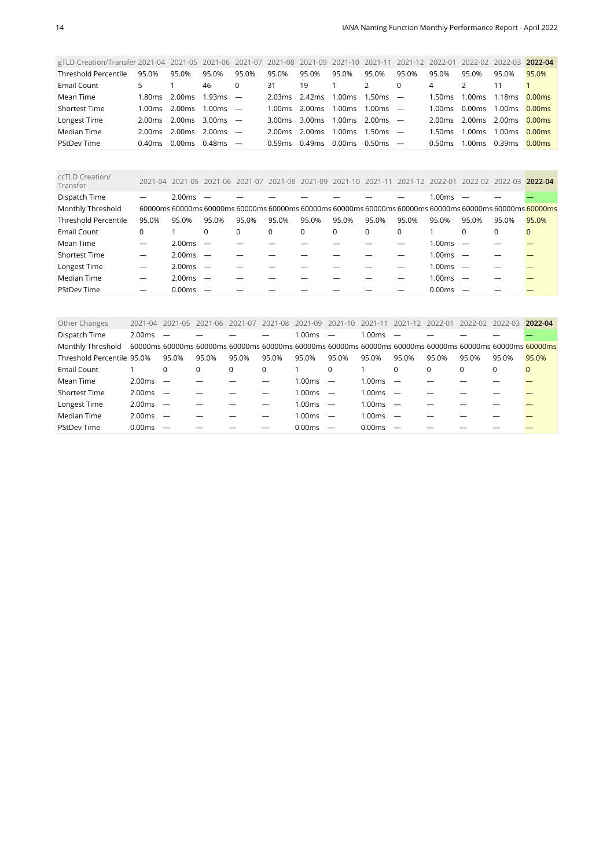| gTLD Creation/Transfer 2021-04 2021-05 2021-06 2021-07 2021-08 2021-09 2021-10 2021-11 |           |        |            |       |         |         |        |           | 2021-12                  | 2022-01            |         | 2022-02 2022-03 2022-04 |                    |
|----------------------------------------------------------------------------------------|-----------|--------|------------|-------|---------|---------|--------|-----------|--------------------------|--------------------|---------|-------------------------|--------------------|
| Threshold Percentile                                                                   | 95.0%     | 95.0%  | 95.0%      | 95.0% | 95.0%   | 95.0%   | 95.0%  | 95.0%     | 95.0%                    | 95.0%              | 95.0%   | 95.0%                   | 95.0%              |
| Email Count                                                                            |           |        | 46         |       | 31      | 19      |        | 2         |                          | 4                  |         |                         |                    |
| Mean Time                                                                              | 1.80ms    | 2.00ms | $1.93ms =$ |       | 2.03ms  | 2.42ms  | 1.00ms | 1.50ms    | $\overline{\phantom{a}}$ | ⊥50ms              | 1.00ms  | 1.18ms                  | 0.00 <sub>ms</sub> |
| Shortest Time                                                                          | 1.00ms    | 2.00ms | $1.00ms$ — |       | 1.00ms  | 2.00 ms | 1.00ms | 1.00 $ms$ | $\overline{\phantom{a}}$ | 1.00 <sub>ms</sub> | 0.00ms  | 1.00ms                  | 0.00 <sub>ms</sub> |
| Longest Time                                                                           | 2.00ms    | 2.00ms | $3.00ms$ - |       | 3.00 ms | 3.00 ms | 1.00ms | 2.00 ms   |                          | 2.00ms             | 2.00 ms | 2.00 ms                 | 0.00ms             |
| Median Time                                                                            | 2.00 ms   | 2.00ms | $2.00ms -$ |       | 2.00 ms | 2.00ms  | 1.00ms | 1.50 $ms$ |                          | 1.50ms             | 1.00ms  | 1.00 <sub>ms</sub>      | 0.00ms             |
| <b>PStDev Time</b>                                                                     | $0.40$ ms | 0.00ms | $0.48ms$ — |       | 0.59ms  | 0.49ms  | 0.00ms | 0.50 ms   |                          | 0.50ms             | 1.00ms  | 0.39ms                  | 0.00ms             |

<span id="page-13-0"></span>

| ccTLD Creation/<br>Transfer |       | 2021-04 2021-05 2021-06 2021-07 |                          |       |          |          | 2021-08 2021-09 2021-10 2021-11                                                                         |       | 2021-12 2022-01 |        | 2022-02  | 2022-03 | 2022-04  |
|-----------------------------|-------|---------------------------------|--------------------------|-------|----------|----------|---------------------------------------------------------------------------------------------------------|-------|-----------------|--------|----------|---------|----------|
| Dispatch Time               |       | 2.00ms                          |                          |       |          |          |                                                                                                         |       |                 | 1.00ms |          |         |          |
| Monthly Threshold           |       |                                 |                          |       |          |          | 60000ms 60000ms 60000ms 60000ms 60000ms 60000ms 60000ms 60000ms 60000ms 60000ms 60000ms 60000ms 60000ms |       |                 |        |          |         |          |
| <b>Threshold Percentile</b> | 95.0% | 95.0%                           | 95.0%                    | 95.0% | 95.0%    | 95.0%    | 95.0%                                                                                                   | 95.0% | 95.0%           | 95.0%  | 95.0%    | 95.0%   | 95.0%    |
| Email Count                 | 0     |                                 | $\Omega$                 | 0     | $\Omega$ | $\Omega$ | $\Omega$                                                                                                | 0     | $\Omega$        |        | $\Omega$ | 0       | $\Omega$ |
| Mean Time                   |       | 2.00ms                          |                          |       |          |          |                                                                                                         |       |                 | 1.00ms |          |         |          |
| <b>Shortest Time</b>        |       | 2.00ms                          | $\overline{\phantom{a}}$ |       |          |          |                                                                                                         |       |                 | 1.00ms |          |         |          |
| Longest Time                |       | 2.00ms                          | $\overline{\phantom{0}}$ |       |          |          |                                                                                                         |       |                 | 1.00ms |          |         |          |
| Median Time                 |       | 2.00ms                          |                          |       |          |          |                                                                                                         |       |                 | 1.00ms |          |         |          |
| <b>PStDev Time</b>          |       | 0.00 <sub>ms</sub>              |                          |       |          |          |                                                                                                         |       |                 | 0.00ms |          |         |          |

<span id="page-13-1"></span>

| Other Changes              | $2021 - 04$ | 2021-05                  | 2021-06                                                                                                 | 2021-07  | 2021-08  | 2021-09    | 2021-10                  | 2021-11    | 2021-12  | 2022-01  | 2022-02 2022-03 |       | 2022-04  |
|----------------------------|-------------|--------------------------|---------------------------------------------------------------------------------------------------------|----------|----------|------------|--------------------------|------------|----------|----------|-----------------|-------|----------|
| Dispatch Time              | 2.00ms      | $\overline{\phantom{0}}$ |                                                                                                         |          |          | 1.00ms     |                          | 1.00ms     |          |          |                 |       |          |
| Monthly Threshold          |             |                          | 60000ms 60000ms 60000ms 60000ms 60000ms 60000ms 60000ms 60000ms 60000ms 60000ms 60000ms 60000ms 60000ms |          |          |            |                          |            |          |          |                 |       |          |
| Threshold Percentile 95.0% |             | 95.0%                    | 95.0%                                                                                                   | 95.0%    | 95.0%    | 95.0%      | 95.0%                    | 95.0%      | 95.0%    | 95.0%    | 95.0%           | 95.0% | 95.0%    |
| Email Count                |             | 0                        | $\Omega$                                                                                                | $\Omega$ | $\Omega$ |            | $\Omega$                 |            | $\Omega$ | $\Omega$ | $\Omega$        | 0     | $\Omega$ |
| Mean Time                  | 2.00ms      | $\overline{\phantom{0}}$ |                                                                                                         |          |          | 1.00ms     | $\overline{\phantom{m}}$ | 1.00ms     |          |          |                 |       |          |
| <b>Shortest Time</b>       | 2.00ms      | $\sim$                   |                                                                                                         |          |          | $1.00ms$ — |                          | $1.00ms$ — |          |          |                 |       |          |
| Longest Time               | 2.00ms      | $\overline{\phantom{0}}$ |                                                                                                         |          |          | $1.00ms$ - |                          | 1.00ms     |          |          |                 |       |          |
| Median Time                | 2.00ms      | $\overline{\phantom{0}}$ |                                                                                                         |          |          | 1.00ms     | $\overline{\phantom{0}}$ | 1.00ms     |          |          |                 |       |          |
| <b>PStDev Time</b>         | 0.00ms      |                          |                                                                                                         |          |          | 0.00ms     | $\overline{\phantom{a}}$ | 0.00ms     |          |          |                 |       |          |
|                            |             |                          |                                                                                                         |          |          |            |                          |            |          |          |                 |       |          |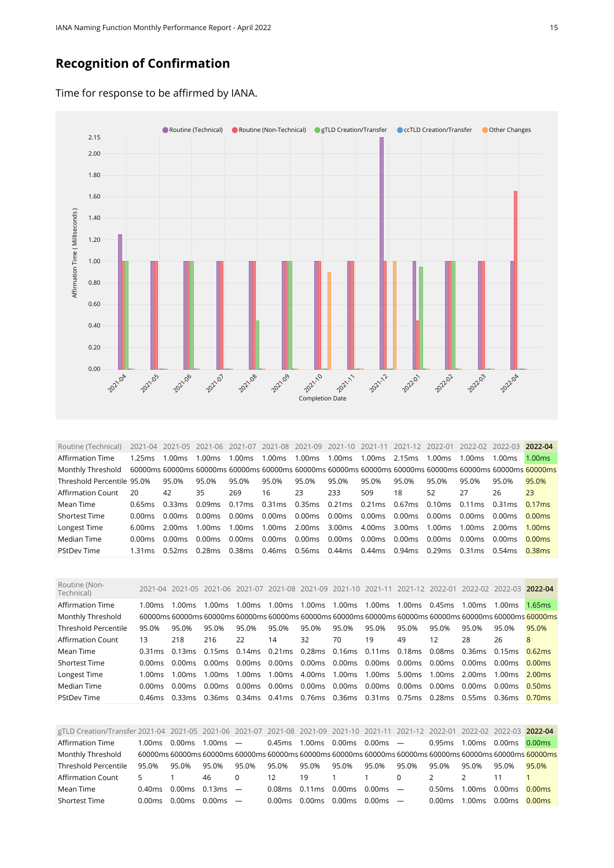#### **Recognition of Confirmation**

Time for response to be affirmed by IANA.



<span id="page-14-0"></span>Routine (Technical) 2021-04 2021-05 2021-06 2021-07 2021-08 2021-09 2021-10 2021-11 2021-12 2022-01 2022-02 2022-03 **2022-04** Affirmation Time 1.25ms 1.00ms 1.00ms 1.00ms 1.00ms 1.00ms 1.00ms 1.00ms 2.15ms 1.00ms 1.00ms 1.00ms 1.00ms Monthly Threshold 60000ms 60000ms 60000ms 60000ms 60000ms 60000ms 60000ms 60000ms 60000ms 60000ms 60000ms 60000ms 60000ms Threshold Percentile 95.0% 95.0% 95.0% 95.0% 95.0% 95.0% 95.0% 95.0% 95.0% 95.0% 95.0% 95.0% 95.0% Affirmation Count 20 42 35 269 16 23 233 509 18 52 27 26 23 Mean Time 0.65ms 0.33ms 0.09ms 0.17ms 0.31ms 0.35ms 0.21ms 0.21ms 0.67ms 0.10ms 0.11ms 0.31ms 0.17ms Shortest Time 0.00ms 0.00ms 0.00ms 0.00ms 0.00ms 0.00ms 0.00ms 0.00ms 0.00ms 0.00ms 0.00ms 0.00ms 0.00ms Longest Time 6.00ms 2.00ms 1.00ms 1.00ms 1.00ms 2.00ms 3.00ms 4.00ms 3.00ms 1.00ms 1.00ms 2.00ms 1.00ms Median Time 0.00ms 0.00ms 0.00ms 0.00ms 0.00ms 0.00ms 0.00ms 0.00ms 0.00ms 0.00ms 0.00ms 0.00ms 0.00ms PStDev Time 1.31ms 0.52ms 0.28ms 0.38ms 0.46ms 0.56ms 0.44ms 0.44ms 0.94ms 0.29ms 0.31ms 0.54ms 0.38ms

<span id="page-14-1"></span>

| Routine (Non-<br>Technical) |           | 2021-04 2021-05 2021-06 2021-07 |                                    |        |               |                         | 2021-08 2021-09 2021-10 2021-11 2021-12 2022-01                       |                |        |                    |                                   | 2022-02 2022-03 2022-04                                                                                 |                    |
|-----------------------------|-----------|---------------------------------|------------------------------------|--------|---------------|-------------------------|-----------------------------------------------------------------------|----------------|--------|--------------------|-----------------------------------|---------------------------------------------------------------------------------------------------------|--------------------|
| Affirmation Time            | 1.00 $ms$ | 1.00ms                          | 1.00ms                             | 1.00ms | 1.00ms 1.00ms |                         | 1.00ms                                                                | 1.00ms         | 1.00ms | 0.45ms             | $1.00 \text{ms}$ $1.00 \text{ms}$ |                                                                                                         | 1.65ms             |
| Monthly Threshold           |           |                                 |                                    |        |               |                         |                                                                       |                |        |                    |                                   | 60000ms 60000ms 60000ms 60000ms 60000ms 60000ms 60000ms 60000ms 60000ms 60000ms 60000ms 60000ms 60000ms |                    |
| <b>Threshold Percentile</b> | 95.0%     | 95.0%                           | 95.0%                              | 95.0%  | 95.0%         | 95.0%                   | 95.0%                                                                 | 95.0%          | 95.0%  | 95.0%              | 95.0%                             | 95.0%                                                                                                   | 95.0%              |
| Affirmation Count           | 13        | 218                             | 216                                | 22     | 14            | 32                      | 70                                                                    | 19             | 49     | 12                 | 28                                | 26                                                                                                      | 8                  |
| Mean Time                   | 0.31 ms   | 0.13ms                          | 0.15ms 0.14ms 0.21ms 0.28ms 0.16ms |        |               |                         |                                                                       | 0.11ms  0.18ms |        |                    | 0.08ms 0.36ms 0.15ms              |                                                                                                         | 0.62ms             |
| <b>Shortest Time</b>        | 0.00 ms   | 0.00ms                          | 0.00ms                             | 0.00ms |               | 0.00 ms 0.00 ms 0.00 ms |                                                                       | $0.00$ ms      | 0.00ms | 0.00ms             | 0.00ms 0.00ms                     |                                                                                                         | 0.00ms             |
| Longest Time                | 1.00 $ms$ | 1.00ms                          | $1.00 \text{ms}$                   | 1.00ms | 1.00ms 4.00ms |                         | 1.00ms                                                                | 1.00ms         | 5.00ms | 1.00 ms            | 2.00 ms                           | 1.00ms                                                                                                  | 2.00 <sub>ms</sub> |
| Median Time                 | 0.00 ms   | 0.00ms                          | 0.00ms                             | 0.00ms | 0.00ms 0.00ms |                         | 0.00ms                                                                | 0.00ms         | 0.00ms | 0.00 <sub>ms</sub> | 0.00ms                            | 0.00ms                                                                                                  | 0.50ms             |
| <b>PStDev Time</b>          | 0.46ms    | 0.33ms                          |                                    |        |               |                         | 0.36ms 0.34ms 0.41ms 0.76ms 0.36ms 0.31ms 0.75ms 0.28ms 0.55ms 0.36ms |                |        |                    |                                   |                                                                                                         | 0.70 <sub>ms</sub> |
|                             |           |                                 |                                    |        |               |                         |                                                                       |                |        |                    |                                   |                                                                                                         |                    |

<span id="page-14-2"></span>

| gTLD Creation/Transfer 2021-04 2021-05 2021-06 2021-07 2021-08 2021-09 2021-10 2021-11 2021-12 2022-01 2022-02 2022-03 2022-04 |           |                       |            |          |        |        |        |              |          |               |           |        |                                                                                                         |
|--------------------------------------------------------------------------------------------------------------------------------|-----------|-----------------------|------------|----------|--------|--------|--------|--------------|----------|---------------|-----------|--------|---------------------------------------------------------------------------------------------------------|
| <b>Affirmation Time</b>                                                                                                        | 1.00ms    | 0.00ms                | $1.00ms$ — |          | 0.45ms | 1.00ms | 0.00ms | $0.00ms$ $-$ |          | 0.95ms        | 1.00ms    | 0.00ms | 0.00ms                                                                                                  |
| Monthly Threshold                                                                                                              |           |                       |            |          |        |        |        |              |          |               |           |        | 60000ms 60000ms 60000ms 60000ms 60000ms 60000ms 60000ms 60000ms 60000ms 60000ms 60000ms 60000ms 60000ms |
| Threshold Percentile                                                                                                           | 95.0%     | 95.0%                 | 95.0%      | 95.0%    | 95.0%  | 95.0%  | 95.0%  | 95.0%        | 95.0%    | 95.0%         | 95.0%     | 95.0%  | 95.0%                                                                                                   |
| Affirmation Count                                                                                                              | 5.        |                       | 46         | $\Omega$ | 12     | - 19   |        |              | $\Omega$ | $\mathcal{P}$ |           |        |                                                                                                         |
| Mean Time                                                                                                                      | $0.40$ ms | $0.00$ ms $0.13$ ms — |            |          | 0.08ms | 0.11ms | 0.00ms | $0.00ms$ —   |          | 0.50ms        | 1.00ms    | 0.00ms | 0.00ms                                                                                                  |
| <b>Shortest Time</b>                                                                                                           | 0.00ms    | $0.00 \text{ms}$      | $0.00ms$ — |          | 0.00ms | 0.00ms | 0.00ms | $0.00ms$ —   |          | 0.00ms        | 1.00 $ms$ | 0.00ms | 0.00 <sub>ms</sub>                                                                                      |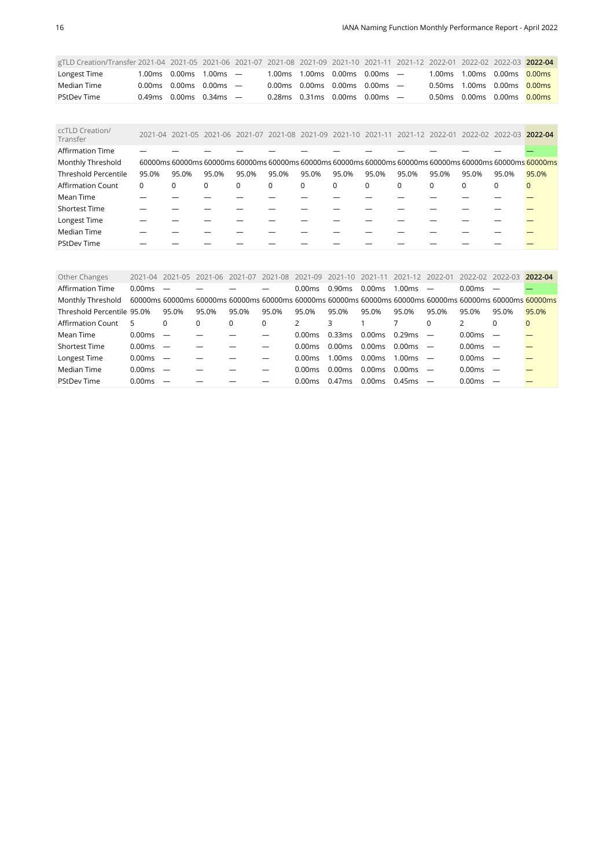| gTLD Creation/Transfer 2021-04 2021-05 2021-06 2021-07 2021-08 2021-09 2021-10 2021-11 2021-12 2022-01 2022-02 2022-03 2022-04 |  |                                                 |                                                 |                                                                             |  |  |                                 |  |
|--------------------------------------------------------------------------------------------------------------------------------|--|-------------------------------------------------|-------------------------------------------------|-----------------------------------------------------------------------------|--|--|---------------------------------|--|
| Longest Time                                                                                                                   |  | $1.00\,\text{ms}$ 0.00 ms $1.00\,\text{ms}$ $-$ |                                                 | $1.00\,\text{ms}$ $1.00\,\text{ms}$ $0.00\,\text{ms}$ $0.00\,\text{ms}$ $-$ |  |  | 1.00ms 1.00ms 0.00ms 0.00ms     |  |
| Median Time                                                                                                                    |  | $0.00 \text{ms}$ 0.00ms 0.00ms $-$              |                                                 | 0.00ms 0.00ms 0.00ms 0.00ms $-$                                             |  |  | 0.50 ms 1.00 ms 0.00 ms 0.00 ms |  |
| <b>PStDev Time</b>                                                                                                             |  | 0.49ms 0.00ms 0.34ms $-$                        | $0.28\,\mathrm{ms}$ 0.31 ms 0.00 ms 0.00 ms $-$ |                                                                             |  |  | 0.50ms 0.00ms 0.00ms 0.00ms     |  |

<span id="page-15-0"></span>

| ccTLD Creation/<br>Transfer |          |       |             |       |          | 2021-04 2021-05 2021-06 2021-07 2021-08 2021-09 2021-10 2021-11 2021-12 2022-01                         |          |             |          |          |          | 2022-02 2022-03 2022-04 |       |
|-----------------------------|----------|-------|-------------|-------|----------|---------------------------------------------------------------------------------------------------------|----------|-------------|----------|----------|----------|-------------------------|-------|
| <b>Affirmation Time</b>     |          |       |             |       |          |                                                                                                         |          |             |          |          |          |                         |       |
| Monthly Threshold           |          |       |             |       |          | 60000ms 60000ms 60000ms 60000ms 60000ms 60000ms 60000ms 60000ms 60000ms 60000ms 60000ms 60000ms 60000ms |          |             |          |          |          |                         |       |
| <b>Threshold Percentile</b> | 95.0%    | 95.0% | 95.0%       | 95.0% | 95.0%    | 95.0%                                                                                                   | 95.0%    | 95.0%       | 95.0%    | 95.0%    | 95.0%    | 95.0%                   | 95.0% |
| <b>Affirmation Count</b>    | $\Omega$ | 0     | $\mathbf 0$ | 0     | $\Omega$ | $\mathbf 0$                                                                                             | $\Omega$ | $\mathbf 0$ | $\Omega$ | $\Omega$ | $\Omega$ | $\Omega$                |       |
| Mean Time                   |          |       |             |       |          |                                                                                                         |          |             |          |          |          |                         |       |
| <b>Shortest Time</b>        |          |       |             |       |          |                                                                                                         |          |             |          |          |          |                         |       |
| Longest Time                |          |       |             |       |          |                                                                                                         |          |             |          |          |          |                         |       |
| Median Time                 |          |       |             |       |          |                                                                                                         |          |             |          |          |          |                         |       |
| <b>PStDev Time</b>          |          |       |             |       |          |                                                                                                         |          |             |          |          |          |                         |       |

<span id="page-15-1"></span>

| Other Changes              | 2021-04            | 2021-05                  | 2021-06  | 2021-07 | 2021-08  | 2021-09       | 2021-10 2021-11    |        | 2021-12            | 2022-01                  | 2022-02            | -2022-03 | 2022-04                                                                                                 |
|----------------------------|--------------------|--------------------------|----------|---------|----------|---------------|--------------------|--------|--------------------|--------------------------|--------------------|----------|---------------------------------------------------------------------------------------------------------|
| <b>Affirmation Time</b>    | 0.00ms             |                          |          |         |          | 0.00ms        | 0.90 <sub>ms</sub> | 0.00ms | 1.00ms             | $\overline{\phantom{a}}$ | 0.00 ms            |          |                                                                                                         |
| Monthly Threshold          |                    |                          |          |         |          |               |                    |        |                    |                          |                    |          | 60000ms 60000ms 60000ms 60000ms 60000ms 60000ms 60000ms 60000ms 60000ms 60000ms 60000ms 60000ms 60000ms |
| Threshold Percentile 95.0% |                    | 95.0%                    | 95.0%    | 95.0%   | 95.0%    | 95.0%         | 95.0%              | 95.0%  | 95.0%              | 95.0%                    | 95.0%              | 95.0%    | 95.0%                                                                                                   |
| Affirmation Count          | 5                  | $\Omega$                 | $\Omega$ | 0       | $\Omega$ | $\mathcal{P}$ | 3                  |        |                    |                          |                    | $\Omega$ | $\mathbf{0}$                                                                                            |
| Mean Time                  | 0.00ms             | $\overline{\phantom{a}}$ |          |         |          | 0.00ms        | 0.33ms             | 0.00ms | 0.29ms             |                          | 0.00 <sub>ms</sub> |          |                                                                                                         |
| <b>Shortest Time</b>       | 0.00ms             | $\overline{\phantom{m}}$ |          |         |          | 0.00ms        | 0.00ms             | 0.00ms | 0.00ms             |                          | 0.00ms             |          |                                                                                                         |
| Longest Time               | 0.00ms             | $\overline{\phantom{m}}$ |          |         |          | 0.00ms        | 1.00ms             | 0.00ms | 1.00 <sub>ms</sub> |                          | 0.00ms             |          |                                                                                                         |
| Median Time                | 0.00 <sub>ms</sub> | $\overline{\phantom{m}}$ |          |         |          | 0.00ms        | 0.00 <sub>ms</sub> | 0.00ms | 0.00ms             |                          | 0.00ms             |          |                                                                                                         |
| <b>PStDev Time</b>         | 0.00ms             |                          |          |         |          | 0.00ms        | 0.47ms             | 0.00ms | 0.45ms             |                          | 0.00ms             |          |                                                                                                         |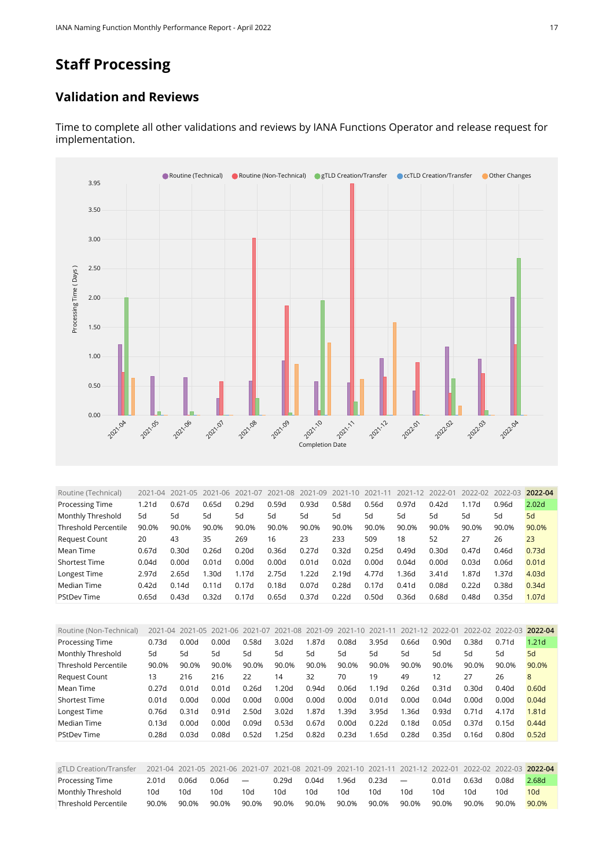## **Staff Processing**

#### **Validation and Reviews**



Time to complete all other validations and reviews by IANA Functions Operator and release request for implementation.

<span id="page-16-0"></span>

| Routine (Technical)  | 2021-04           | 2021<br>$-05$ | 2021-06 | 2021-07 | 2021-08 | -09<br>2021 | 2021-10 | $2021 - 11$ | 2021-12 | 2022-01 | 2022-02 | 2022-03 | 2022-04           |
|----------------------|-------------------|---------------|---------|---------|---------|-------------|---------|-------------|---------|---------|---------|---------|-------------------|
| Processing Time      | 1.21 <sub>d</sub> | 0.67d         | 0.65d   | 0.29d   | 0.59d   | 0.93d       | 0.58d   | 0.56d       | 0.97d   | 0.42d   | 1.17d   | 0.96d   | 2.02 <sub>d</sub> |
| Monthly Threshold    | 5d                | 5d            | 5d      | 5d      | 5d      | 5d          | 5d      | 5d          | 5d      | 5d      | 5d      | 5d      | 5d                |
| Threshold Percentile | 90.0%             | 90.0%         | 90.0%   | 90.0%   | 90.0%   | 90.0%       | 90.0%   | 90.0%       | 90.0%   | 90.0%   | 90.0%   | 90.0%   | 90.0%             |
| <b>Request Count</b> | 20                | 43            | 35      | 269     | 16      | 23          | 233     | 509         | 18      | 52      | 27      | 26      | 23                |
| Mean Time            | 0.67d             | 0.30d         | 0.26d   | 0.20d   | 0.36d   | 0.27d       | 0.32d   | 0.25d       | 0.49d   | 0.30d   | 0.47d   | 0.46d   | 0.73d             |
| <b>Shortest Time</b> | 0.04d             | 0.00d         | 0.01d   | 0.00d   | 0.00d   | 0.01d       | 0.02d   | 0.00d       | 0.04d   | 0.00d   | 0.03d   | 0.06d   | 0.01 <sub>d</sub> |
| Longest Time         | 2.97d             | 2.65d         | L30d    | 1.17d   | 2.75d   | 1.22d       | 2.19d   | 4.77d       | 1.36d   | 3.41d   | 1.87d   | 1.37d   | 4.03 <sub>d</sub> |
| Median Time          | 0.42d             | 0.14d         | 0.11d   | 0.17d   | 0.18d   | 0.07d       | 0.28d   | 0.17d       | 0.41d   | 0.08d   | 0.22d   | 0.38d   | 0.34d             |
| <b>PStDev Time</b>   | 0.65d             | 0.43d         | 0.32d   | 0.17d   | 0.65d   | 0.37d       | 0.22d   | 0.50d       | 0.36d   | 0.68d   | 0.48d   | 0.35d   | 1.07d             |

<span id="page-16-1"></span>

| Routine (Non-Technical)     |       |                   | 2021-04 2021-05 2021-06 2021-07 |                   | 2021-08 2021-09   |       | 2021-10 | 2021-11 | 2021-12 2022-01 |                   | $2022 - 02$ | 2022-03           | 2022-04           |
|-----------------------------|-------|-------------------|---------------------------------|-------------------|-------------------|-------|---------|---------|-----------------|-------------------|-------------|-------------------|-------------------|
| Processing Time             | 0.73d | 0.00d             | 0.00d                           | 0.58d             | 3.02d             | 1.87d | 0.08d   | 3.95d   | 0.66d           | 0.90d             | 0.38d       | 0.71d             | 1.21 <sub>d</sub> |
| Monthly Threshold           | 5d    | 5d                | 5d                              | 5d                | 5d                | 5d    | 5d      | 5d      | 5d              | 5d                | 5d          | 5d                | 5d                |
| <b>Threshold Percentile</b> | 90.0% | 90.0%             | 90.0%                           | 90.0%             | 90.0%             | 90.0% | 90.0%   | 90.0%   | 90.0%           | 90.0%             | 90.0%       | 90.0%             | 90.0%             |
| <b>Request Count</b>        | 13    | 216               | 216                             | 22                | 14                | 32    | 70      | 19      | 49              | 12                | 27          | 26                | 8                 |
| Mean Time                   | 0.27d | 0.01 <sub>d</sub> | 0.01 <sub>d</sub>               | 0.26d             | 1.20 <sub>d</sub> | 0.94d | 0.06d   | 1.19d   | 0.26d           | 0.31 <sub>d</sub> | 0.30d       | 0.40 <sub>d</sub> | 0.60d             |
| <b>Shortest Time</b>        | 0.01d | 0.00d             | 0.00d                           | 0.00d             | 0.00d             | 0.00d | 0.00d   | 0.01d   | 0.00d           | 0.04d             | 0.00d       | 0.00d             | 0.04d             |
| Longest Time                | 0.76d | 0.31d             | 0.91d                           | 2.50 <sub>d</sub> | 3.02 <sub>d</sub> | 1.87d | 1.39d   | 3.95d   | 1.36d           | 0.93d             | 0.71d       | 4.17d             | 1.81d             |
| Median Time                 | 0.13d | 0.00d             | 0.00d                           | 0.09d             | 0.53d             | 0.67d | 0.00d   | 0.22d   | 0.18d           | 0.05d             | 0.37d       | 0.15d             | 0.44d             |
| <b>PStDev Time</b>          | 0.28d | 0.03d             | 0.08d                           | 0.52d             | 1.25d             | 0.82d | 0.23d   | 1.65d   | 0.28d           | 0.35d             | 0.16d       | 0.80 <sub>d</sub> | 0.52d             |
|                             |       |                   |                                 |                   |                   |       |         |         |                 |                   |             |                   |                   |

<span id="page-16-2"></span>

| gTLD Creation/Transfer | 2021-04 2021-05 2021-06 2021-07 2021-08 2021-09 2021-10 2021-11 2021-12 2022-01 2022-02 2022-03 2022-04 |       |       |            |       |       |       |       |                          |       |       |       |       |
|------------------------|---------------------------------------------------------------------------------------------------------|-------|-------|------------|-------|-------|-------|-------|--------------------------|-------|-------|-------|-------|
| Processing Time        | 2.01d                                                                                                   | 0.06d | 0.06d | $\sim$ $-$ | 0.29d | 0.04d | 1.96d | 0.23d | $\overline{\phantom{0}}$ | 0.01d | 0.63d | 0.08d | 2.68d |
| Monthly Threshold      | 10d                                                                                                     | 10d   | 10d   | 10d        | 10d   | 10d   | 10d   | 10d   | 10d                      | 10d   | 10d   | 10d   | 10d   |
| Threshold Percentile   | 90.0%                                                                                                   | 90.0% | 90.0% | 90.0%      | 90.0% | 90.0% | 90.0% | 90.0% | 90.0%                    | 90.0% | 90.0% | 90.0% | 90.0% |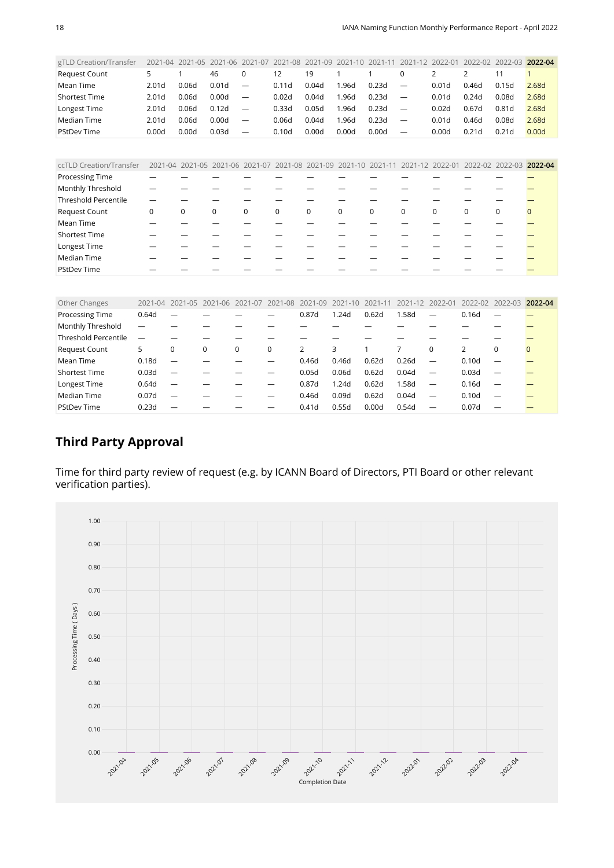<span id="page-17-0"></span>

| gTLD Creation/Transfer      | $2021 - 04$       | 2021-05                                                                                                 | 2021-06     | 2021-07                  | 2021-08     | 2021-09     | $2021 - 10$ | 2021-11      | 2021-12                  | 2022-01           | 2022-02           | 2022-03           | 2022-04      |
|-----------------------------|-------------------|---------------------------------------------------------------------------------------------------------|-------------|--------------------------|-------------|-------------|-------------|--------------|--------------------------|-------------------|-------------------|-------------------|--------------|
| Request Count               | 5                 |                                                                                                         | 46          | $\mathbf 0$              | 12          | 19          |             | $\mathbf{1}$ | $\mathbf 0$              | $\overline{2}$    | $\overline{2}$    | 11                | $\mathbf{1}$ |
| Mean Time                   | 2.01 <sub>d</sub> | 0.06d                                                                                                   | 0.01d       | -                        | 0.11d       | 0.04d       | 1.96d       | 0.23d        | $\overline{\phantom{0}}$ | 0.01 <sub>d</sub> | 0.46d             | 0.15d             | 2.68d        |
| <b>Shortest Time</b>        | 2.01 <sub>d</sub> | 0.06d                                                                                                   | 0.00d       | —                        | 0.02d       | 0.04d       | 1.96d       | 0.23d        | $\qquad \qquad -$        | 0.01 <sub>d</sub> | 0.24d             | 0.08d             | 2.68d        |
| Longest Time                | 2.01 <sub>d</sub> | 0.06d                                                                                                   | 0.12d       | —                        | 0.33d       | 0.05d       | 1.96d       | 0.23d        | $\overline{\phantom{0}}$ | 0.02d             | 0.67d             | 0.81 <sub>d</sub> | 2.68d        |
| Median Time                 | 2.01 <sub>d</sub> | 0.06d                                                                                                   | 0.00d       | $\overline{\phantom{0}}$ | 0.06d       | 0.04d       | 1.96d       | 0.23d        | $\overline{\phantom{0}}$ | 0.01 <sub>d</sub> | 0.46d             | 0.08d             | 2.68d        |
| <b>PStDev Time</b>          | 0.00d             | 0.00d                                                                                                   | 0.03d       | —                        | 0.10d       | 0.00d       | 0.00d       | 0.00d        | —                        | 0.00d             | 0.21 <sub>d</sub> | 0.21 <sub>d</sub> | 0.00d        |
|                             |                   |                                                                                                         |             |                          |             |             |             |              |                          |                   |                   |                   |              |
| ccTLD Creation/Transfer     |                   | 2021-04 2021-05 2021-06 2021-07 2021-08 2021-09 2021-10 2021-11 2021-12 2022-01 2022-02 2022-03 2022-04 |             |                          |             |             |             |              |                          |                   |                   |                   |              |
| Processing Time             |                   |                                                                                                         |             |                          |             |             |             |              |                          |                   |                   |                   |              |
| Monthly Threshold           |                   |                                                                                                         |             |                          |             |             |             |              |                          |                   |                   |                   |              |
| <b>Threshold Percentile</b> |                   |                                                                                                         |             |                          |             |             |             |              |                          |                   |                   |                   |              |
| Request Count               | 0                 | $\mathbf 0$                                                                                             | $\mathbf 0$ | $\mathbf 0$              | $\mathbf 0$ | $\mathbf 0$ | $\mathbf 0$ | $\mathbf 0$  | $\mathbf 0$              | $\mathbf 0$       | $\Omega$          | $\mathbf 0$       | $\mathbf{0}$ |
| Mean Time                   |                   |                                                                                                         |             |                          |             |             |             |              |                          |                   |                   |                   |              |
| <b>Shortest Time</b>        |                   |                                                                                                         |             |                          |             |             |             |              |                          |                   |                   |                   |              |
| Longest Time                |                   |                                                                                                         |             |                          |             |             |             |              |                          |                   |                   |                   |              |
| <b>Median Time</b>          |                   |                                                                                                         |             |                          |             |             |             |              |                          |                   |                   |                   |              |
| <b>PStDev Time</b>          |                   |                                                                                                         |             |                          |             |             |             |              |                          |                   |                   |                   |              |
|                             |                   |                                                                                                         |             |                          |             |             |             |              |                          |                   |                   |                   |              |
| Other Changes               | 2021-04           | 2021-05                                                                                                 | 2021-06     | 2021-07                  | 2021-08     | 2021-09     | $2021 - 10$ | $2021 - 11$  | $2021 - 12$              | 2022-01           | $2022 - 02$       | 2022-03           | 2022-04      |
| Processing Time             | 0.64d             |                                                                                                         |             |                          |             | 0.87d       | 1.24d       | 0.62d        | 1.58d                    |                   | 0.16d             |                   |              |
| Monthly Threshold           |                   |                                                                                                         |             |                          |             |             |             |              |                          |                   |                   |                   |              |

<span id="page-17-1"></span>

| Monthly Inreshold           |                          |                          |  |                   |       |       |       |                          |                   |          |
|-----------------------------|--------------------------|--------------------------|--|-------------------|-------|-------|-------|--------------------------|-------------------|----------|
| <b>Threshold Percentile</b> | $\overline{\phantom{a}}$ |                          |  |                   |       |       |       |                          |                   |          |
| <b>Request Count</b>        |                          | 0                        |  |                   | З     |       |       | 0                        |                   | $\Omega$ |
| Mean Time                   | 0.18d                    | $\overline{\phantom{0}}$ |  | 0.46d             | 0.46d | 0.62d | 0.26d | $\overline{\phantom{0}}$ | 0.10 <sub>d</sub> |          |
| <b>Shortest Time</b>        | 0.03d                    | $\overline{\phantom{m}}$ |  | 0.05d             | 0.06d | 0.62d | 0.04d | $\overline{\phantom{m}}$ | 0.03d             |          |
| Longest Time                | 0.64d                    | $\overline{\phantom{m}}$ |  | 0.87d             | 1.24d | 0.62d | 1.58d | $\overline{\phantom{0}}$ | 0.16d             |          |
| Median Time                 | 0.07d                    | $\overline{\phantom{0}}$ |  | 0.46d             | 0.09d | 0.62d | 0.04d | $\overline{\phantom{0}}$ | 0.10 <sub>d</sub> |          |
| <b>PStDev Time</b>          | 0.23d                    | $\overline{\phantom{0}}$ |  | 0.41 <sub>d</sub> | 0.55d | 0.00d | 0.54d | $\overline{\phantom{0}}$ | 0.07d             |          |

#### **Third Party Approval**

Time for third party review of request (e.g. by ICANN Board of Directors, PTI Board or other relevant verification parties).

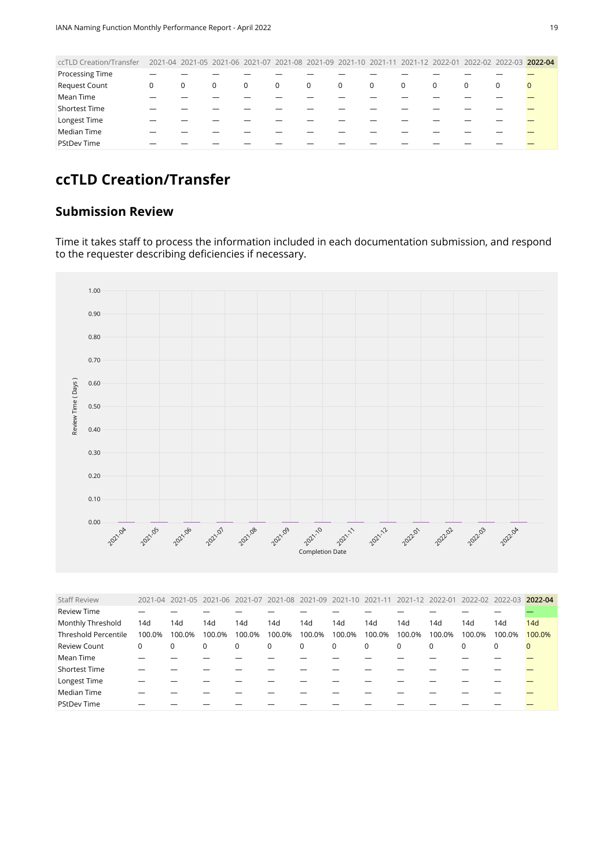<span id="page-18-0"></span>

| ccTLD Creation/Transfer | 2021-04 2021-05 2021-06 2021-07 2021-08 2021-09 2021-10 2021-11 2021-12 2022-01 2022-02 2022-03 2022-04 |          |   |             |             |              |             |              |          |          |   |  |
|-------------------------|---------------------------------------------------------------------------------------------------------|----------|---|-------------|-------------|--------------|-------------|--------------|----------|----------|---|--|
| <b>Processing Time</b>  |                                                                                                         |          |   |             |             |              |             |              |          |          |   |  |
| <b>Request Count</b>    | 0                                                                                                       | $\Omega$ | 0 | $\mathbf 0$ | $\mathbf 0$ | $\mathbf{0}$ | $\mathbf 0$ | $\mathbf{0}$ | $\Omega$ | $\Omega$ | 0 |  |
| Mean Time               |                                                                                                         |          |   |             |             |              |             |              |          |          |   |  |
| <b>Shortest Time</b>    |                                                                                                         |          |   |             |             |              |             |              |          |          |   |  |
| Longest Time            |                                                                                                         |          |   |             |             |              |             |              |          |          |   |  |
| Median Time             |                                                                                                         |          |   |             |             |              |             |              |          |          |   |  |
| <b>PStDev Time</b>      |                                                                                                         |          |   |             |             |              |             |              |          |          |   |  |
|                         |                                                                                                         |          |   |             |             |              |             |              |          |          |   |  |

## **ccTLD Creation/Transfer**

#### **Submission Review**

Time it takes staff to process the information included in each documentation submission, and respond to the requester describing deficiencies if necessary.



<span id="page-18-1"></span>

| <b>Staff Review</b>         |             |        | 2021-04 2021-05 2021-06 2021-07 |        |          |             | 2021-08 2021-09 2021-10 2021-11 2021-12 2022-01 |             |             |        |          | 2022-02 2022-03 | 2022-04     |
|-----------------------------|-------------|--------|---------------------------------|--------|----------|-------------|-------------------------------------------------|-------------|-------------|--------|----------|-----------------|-------------|
| <b>Review Time</b>          |             |        |                                 |        |          |             |                                                 |             |             |        |          |                 |             |
| Monthly Threshold           | 14d         | 14d    | 14d                             | 14d    | 14d      | 14d         | 14d                                             | 14d         | 14d         | 14d    | 14d      | 14d             | 14d         |
| <b>Threshold Percentile</b> | 100.0%      | 100.0% | 100.0%                          | 100.0% | 100.0%   | 100.0%      | 100.0%                                          | 100.0%      | 100.0%      | 100.0% | 100.0%   | 100.0%          | 100.0%      |
| <b>Review Count</b>         | $\mathbf 0$ | 0      | 0                               | 0      | $\Omega$ | $\mathbf 0$ | 0                                               | $\mathbf 0$ | $\mathbf 0$ | 0      | $\Omega$ | 0               | $\mathbf 0$ |
| Mean Time                   |             |        |                                 |        |          |             |                                                 |             |             |        |          |                 |             |
| Shortest Time               |             |        |                                 |        |          |             |                                                 |             |             |        |          |                 |             |
| Longest Time                |             |        |                                 |        |          |             |                                                 |             |             |        |          |                 |             |
| Median Time                 |             |        |                                 |        |          |             |                                                 |             |             |        |          |                 |             |
| <b>PStDev Time</b>          |             |        |                                 |        |          |             |                                                 |             |             |        |          |                 |             |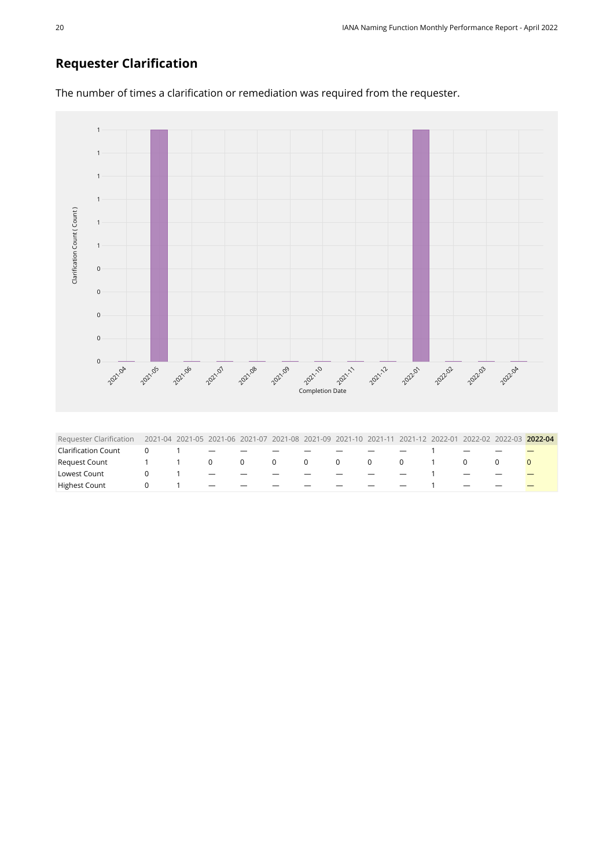#### **Requester Clarification**

<span id="page-19-0"></span>

The number of times a clarification or remediation was required from the requester.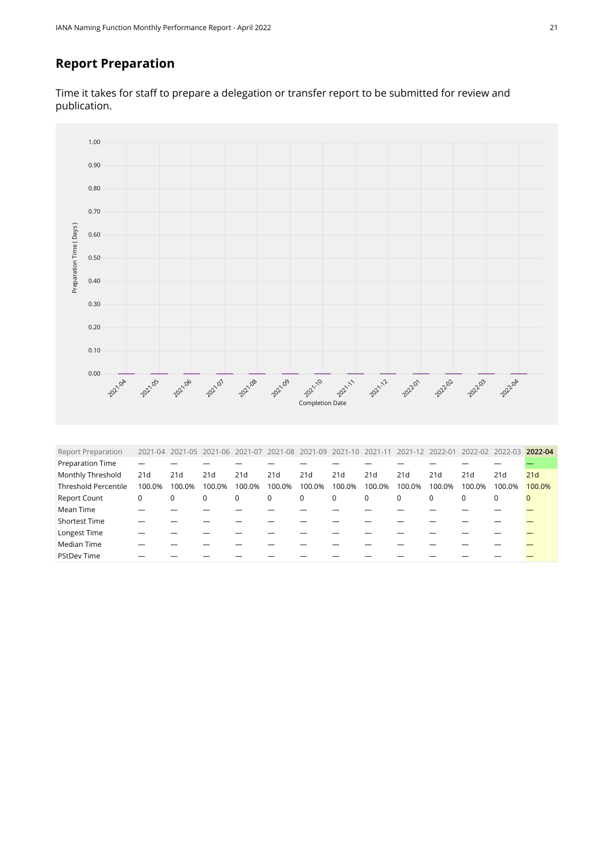#### **Report Preparation**

Time it takes for staff to prepare a delegation or transfer report to be submitted for review and publication.



<span id="page-20-0"></span>

| <b>Report Preparation</b>   | $2021 - 04$ |        |        |        | 2021-05 2021-06 2021-07 2021-08 2021-09 2021-10 2021-11 2021-12 2022-01 |             |        |        |             |             | 2022-02 2022-03 |             | 2022-04      |
|-----------------------------|-------------|--------|--------|--------|-------------------------------------------------------------------------|-------------|--------|--------|-------------|-------------|-----------------|-------------|--------------|
| Preparation Time            |             |        |        |        |                                                                         |             |        |        |             |             |                 |             |              |
| Monthly Threshold           | 21d         | 21d    | 21d    | 21d    | 21d                                                                     | 21d         | 21d    | 21d    | 21d         | 21d         | 21d             | 21d         | 21d          |
| <b>Threshold Percentile</b> | 100.0%      | 100.0% | 100.0% | 100.0% | 100.0%                                                                  | 100.0%      | 100.0% | 100.0% | 100.0%      | 100.0%      | 100.0%          | 100.0%      | 100.0%       |
| <b>Report Count</b>         | 0           | 0      | 0      | 0      | $\mathbf 0$                                                             | $\mathbf 0$ | 0      | 0      | $\mathbf 0$ | $\mathbf 0$ | $\Omega$        | $\mathbf 0$ | $\mathbf{0}$ |
| Mean Time                   |             |        |        |        |                                                                         |             |        |        |             |             |                 |             |              |
| <b>Shortest Time</b>        |             |        |        |        |                                                                         |             |        |        |             |             |                 |             |              |
| Longest Time                |             |        |        |        |                                                                         |             |        |        |             |             |                 |             |              |
| Median Time                 |             |        |        |        |                                                                         |             |        |        |             |             |                 |             |              |
| <b>PStDev Time</b>          |             |        |        |        |                                                                         |             |        |        |             |             |                 |             |              |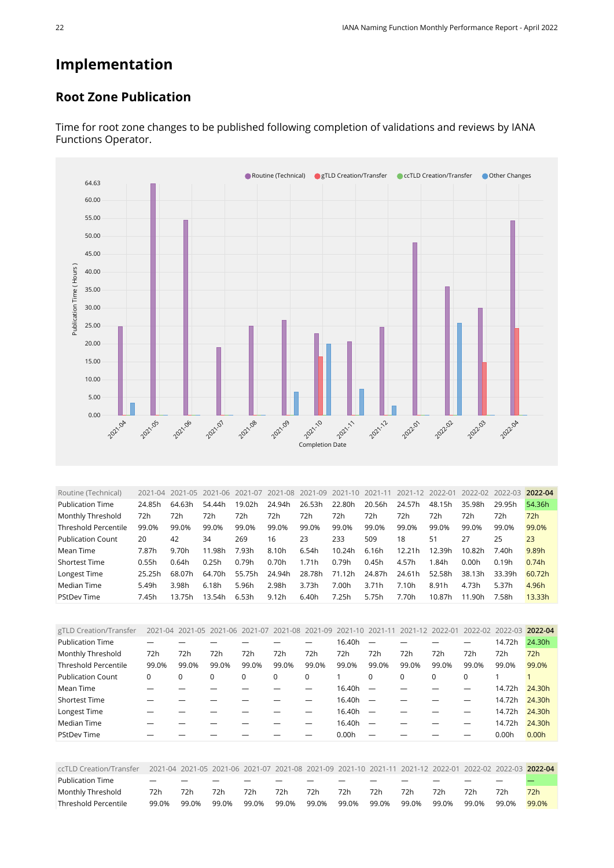## **Implementation**

#### **Root Zone Publication**



Time for root zone changes to be published following completion of validations and reviews by IANA Functions Operator.

<span id="page-21-0"></span>

| Routine (Technical)         | 2021-04 | 2021-05 | 2021-06 | 2021-07 | 2021-08 2021-09 |        | 2021-10 | 2021-11 | 2021-12 | 2022-01 | 2022-02 | 2022-03 | 2022-04 |
|-----------------------------|---------|---------|---------|---------|-----------------|--------|---------|---------|---------|---------|---------|---------|---------|
| <b>Publication Time</b>     | 24.85h  | 64.63h  | 54.44h  | 19.02h  | 24.94h          | 26.53h | 22.80h  | 20.56h  | 24.57h  | 48.15h  | 35.98h  | 29.95h  | 54.36h  |
| Monthly Threshold           | 72h     | 72h     | 72h     | 72h     | 72h             | 72h    | 72h     | 72h     | 72h     | 72h     | 72h     | 72h     | 72h     |
| <b>Threshold Percentile</b> | 99.0%   | 99.0%   | 99.0%   | 99.0%   | 99.0%           | 99.0%  | 99.0%   | 99.0%   | 99.0%   | 99.0%   | 99.0%   | 99.0%   | 99.0%   |
| <b>Publication Count</b>    | 20      | 42      | 34      | 269     | 16              | 23     | 233     | 509     | 18      | 51      | 27      | 25      | 23      |
| Mean Time                   | 7.87h   | 9.70h   | 11.98h  | 7.93h   | 8.10h           | 6.54h  | 10.24h  | 6.16h   | 12.21h  | 12.39h  | 10.82h  | 7.40h   | 9.89h   |
| <b>Shortest Time</b>        | 0.55h   | 0.64h   | 0.25h   | 0.79h   | 0.70h           | 1.71h  | 0.79h   | 0.45h   | 4.57h   | 1.84h   | 0.00h   | 0.19h   | 0.74h   |
| Longest Time                | 25.25h  | 68.07h  | 64.70h  | 55.75h  | 24.94h          | 28.78h | 71.12h  | 24.87h  | 24.61h  | 52.58h  | 38.13h  | 33.39h  | 60.72h  |
| Median Time                 | 5.49h   | 3.98h   | 6.18h   | 5.96h   | 2.98h           | 3.73h  | 7.00h   | 3.71h   | 7.10h   | 8.91h   | 4.73h   | 5.37h   | 4.96h   |
| <b>PStDev Time</b>          | 7.45h   | 13.75h  | 13.54h  | 6.53h   | 9.12h           | 6.40h  | 7.25h   | 5.75h   | 7.70h   | 10.87h  | 11.90h  | 7.58h   | 13.33h  |

<span id="page-21-1"></span>

| gTLD Creation/Transfer      |          |          | 2021-04 2021-05 2021-06 2021-07 2021-08 2021-09 2021-10 2021-11 |       |       |       |        |                          |       |             | 2021-12 2022-01 2022-02 2022-03 |        | 2022-04 |
|-----------------------------|----------|----------|-----------------------------------------------------------------|-------|-------|-------|--------|--------------------------|-------|-------------|---------------------------------|--------|---------|
| <b>Publication Time</b>     |          |          |                                                                 |       |       |       | 16.40h |                          |       |             |                                 | 14.72h | 24.30h  |
| Monthly Threshold           | 72h      | 72h      | 72h                                                             | 72h   | 72h   | 72h   | 72h    | 72h                      | 72h   | 72h         | 72h                             | 72h    | 72h     |
| <b>Threshold Percentile</b> | 99.0%    | 99.0%    | 99.0%                                                           | 99.0% | 99.0% | 99.0% | 99.0%  | 99.0%                    | 99.0% | 99.0%       | 99.0%                           | 99.0%  | 99.0%   |
| <b>Publication Count</b>    | $\Omega$ | $\Omega$ | 0                                                               | 0     | 0     | 0     |        | $\Omega$                 | 0     | $\mathbf 0$ | 0                               |        |         |
| Mean Time                   |          |          |                                                                 |       |       |       | 16.40h |                          |       |             |                                 | 14.72h | 24.30h  |
| <b>Shortest Time</b>        |          |          |                                                                 |       |       |       | 16.40h | $\overline{\phantom{0}}$ |       |             |                                 | 14.72h | 24.30h  |
| Longest Time                |          |          |                                                                 |       |       |       | 16.40h |                          |       |             |                                 | 14.72h | 24.30h  |
| Median Time                 |          |          |                                                                 |       |       |       | 16.40h |                          |       |             |                                 | 14.72h | 24.30h  |
| <b>PStDev Time</b>          |          |          |                                                                 |       |       |       | 0.00h  |                          |       |             |                                 | 0.00h  | 0.00h   |

<span id="page-21-2"></span>

| ccTLD Creation/Transfer |                          |       |       |       |       |       |       |       |       |       | 2021-04 2021-05 2021-06 2021-07 2021-08 2021-09 2021-10 2021-11 2021-12 2022-01 2022-02 2022-03 2022-04 |       |       |
|-------------------------|--------------------------|-------|-------|-------|-------|-------|-------|-------|-------|-------|---------------------------------------------------------------------------------------------------------|-------|-------|
| <b>Publication Time</b> | $\overline{\phantom{0}}$ |       |       | _     |       |       |       |       |       |       |                                                                                                         |       |       |
| Monthly Threshold       | 72h                      | 72h   | 72h   | 72h   | 72h   | 72h   | 72h   | 72h   | 72h   | 72h   | 72h                                                                                                     | 72h   | 72h   |
| Threshold Percentile    | 99.0%                    | 99.0% | 99.0% | 99.0% | 99.0% | 99.0% | 99.0% | 99.0% | 99.0% | 99.0% | 99.0%                                                                                                   | 99.0% | 99.0% |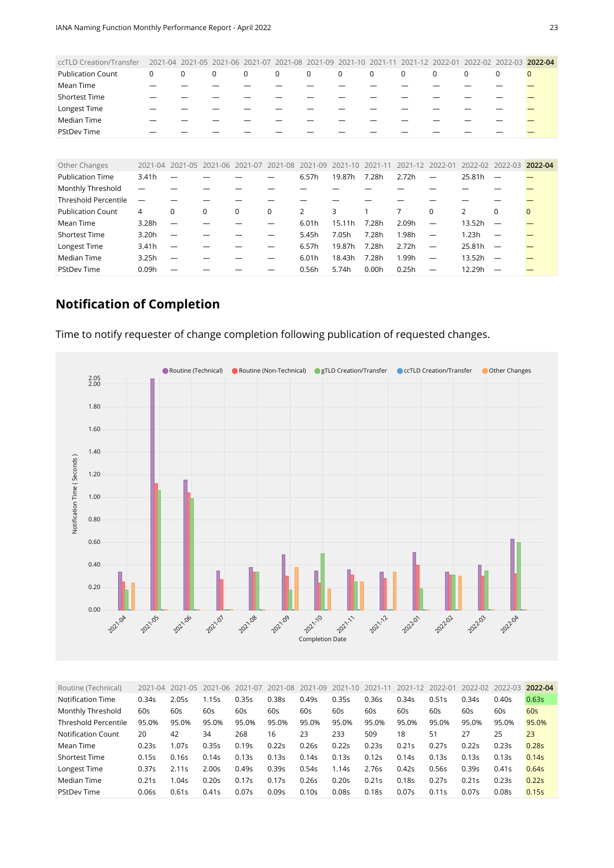<span id="page-22-0"></span>

| ccTLD Creation/Transfer     | 2021-04 | $2021 - 05$ | 2021-06     | $2021 - 07$ | 2021<br>$-08$ | $2021 - 09$    | $2021 - 10$ | 2021        |             | $2022 - 01$ | $2022 - 02$     | 2022-03                  | 2022-04      |
|-----------------------------|---------|-------------|-------------|-------------|---------------|----------------|-------------|-------------|-------------|-------------|-----------------|--------------------------|--------------|
| <b>Publication Count</b>    | 0       | $\mathbf 0$ | $\mathbf 0$ | $\mathbf 0$ | $\mathbf 0$   | $\mathbf 0$    | $\mathbf 0$ | $\mathbf 0$ | $\mathbf 0$ | $\mathbf 0$ | 0               | $\mathbf 0$              | $\mathbf{0}$ |
| Mean Time                   |         |             |             |             |               |                |             |             |             |             |                 |                          |              |
| <b>Shortest Time</b>        |         |             |             |             |               |                |             |             |             |             |                 |                          |              |
| Longest Time                |         |             |             |             |               |                |             |             |             |             |                 |                          |              |
| Median Time                 |         |             |             |             |               |                |             |             |             |             |                 |                          |              |
| <b>PStDev Time</b>          |         |             |             |             |               |                |             |             |             |             |                 |                          |              |
|                             |         |             |             |             |               |                |             |             |             |             |                 |                          |              |
| Other Changes               | 2021-04 | 2021-05     | 2021-06     | 2021-07     | 2021-08       | $2021 - 09$    | $2021 - 10$ | 2021-11     | $2021 - 12$ | 2022-01     | 2022-02 2022-03 |                          | 2022-04      |
| <b>Publication Time</b>     | 3.41h   |             |             |             |               | 6.57h          | 19.87h      | 7.28h       | 2.72h       | —           | 25.81h          | $\overline{\phantom{m}}$ |              |
| Monthly Threshold           |         |             |             |             |               |                |             |             |             |             |                 |                          |              |
| <b>Threshold Percentile</b> | -       |             |             |             |               |                |             |             |             |             |                 |                          |              |
| <b>Publication Count</b>    | 4       | $\Omega$    | $\Omega$    | $\Omega$    | 0             | $\overline{2}$ | 3           |             | 7           | $\Omega$    | 2               | $\Omega$                 | $\Omega$     |
| Mean Time                   | 3.28h   |             |             |             |               | 6.01h          | 15.11h      | 7.28h       | 2.09h       | -           | 13.52h          |                          |              |
| <b>Shortest Time</b>        | 3.20h   |             |             |             |               | 5.45h          | 7.05h       | 7.28h       | 1.98h       | —           | 1.23h           |                          |              |
| Longest Time                | 3.41h   |             |             |             |               | 6.57h          | 19.87h      | 7.28h       | 2.72h       | —           | 25.81h          | —                        |              |
| Median Time                 | 3.25h   |             |             |             |               | 6.01h          | 18.43h      | 7.28h       | 1.99h       | —           | 13.52h          | —                        |              |
| <b>PStDev Time</b>          | 0.09h   |             |             |             |               | 0.56h          | 5.74h       | 0.00h       | 0.25h       |             | 12.29h          |                          |              |

#### **Notification of Completion**

Time to notify requester of change completion following publication of requested changes.



<span id="page-22-1"></span>

| Routine (Technical)         | $2021 - 04$ | 2021-05 | 2021-06 | 2021-07 | 2021-08 | 2021-09           | 2021-10           | 2021-11 | 2021-12 | 2022-01 | 2022-02 | 2022-03 | 2022-04           |
|-----------------------------|-------------|---------|---------|---------|---------|-------------------|-------------------|---------|---------|---------|---------|---------|-------------------|
| Notification Time           | 0.34s       | 2.05s   | 1.15s   | 0.35s   | 0.38s   | 0.49s             | 0.35s             | 0.36s   | 0.34s   | 0.51s   | 0.34s   | 0.40s   | 0.63s             |
| Monthly Threshold           | 60s         | 60s     | 60s     | 60s     | 60s     | 60s               | 60s               | 60s     | 60s     | 60s     | 60s     | 60s     | 60s               |
| <b>Threshold Percentile</b> | 95.0%       | 95.0%   | 95.0%   | 95.0%   | 95.0%   | 95.0%             | 95.0%             | 95.0%   | 95.0%   | 95.0%   | 95.0%   | 95.0%   | 95.0%             |
| Notification Count          | 20          | 42      | 34      | 268     | 16      | 23                | 233               | 509     | 18      | 51      | 27      | 25      | 23                |
| Mean Time                   | 0.23s       | 1.07s   | 0.35s   | 0.19s   | 0.22s   | 0.26s             | 0.22s             | 0.23s   | 0.21s   | 0.27s   | 0.22s   | 0.23s   | 0.28 <sub>S</sub> |
| <b>Shortest Time</b>        | 0.15s       | 0.16s   | 0.14s   | 0.13s   | 0.13s   | 0.14s             | 0.13s             | 0.12s   | 0.14s   | 0.13s   | 0.13s   | 0.13s   | 0.14s             |
| Longest Time                | 0.37s       | 2.11s   | 2.00s   | 0.49s   | 0.39s   | 0.54s             | l.14s             | 2.76s   | 0.42s   | 0.56s   | 0.39s   | 0.41s   | 0.64s             |
| Median Time                 | 0.21s       | 1.04s   | 0.20s   | 0.17s   | 0.17s   | 0.26s             | 0.20s             | 0.21s   | 0.18s   | 0.27s   | 0.21s   | 0.23s   | 0.22s             |
| <b>PStDev Time</b>          | 0.06s       | 0.61s   | 0.41s   | 0.07s   | 0.09s   | 0.10 <sub>S</sub> | 0.08 <sub>S</sub> | 0.18s   | 0.07s   | 0.11s   | 0.07s   | 0.08s   | 0.15s             |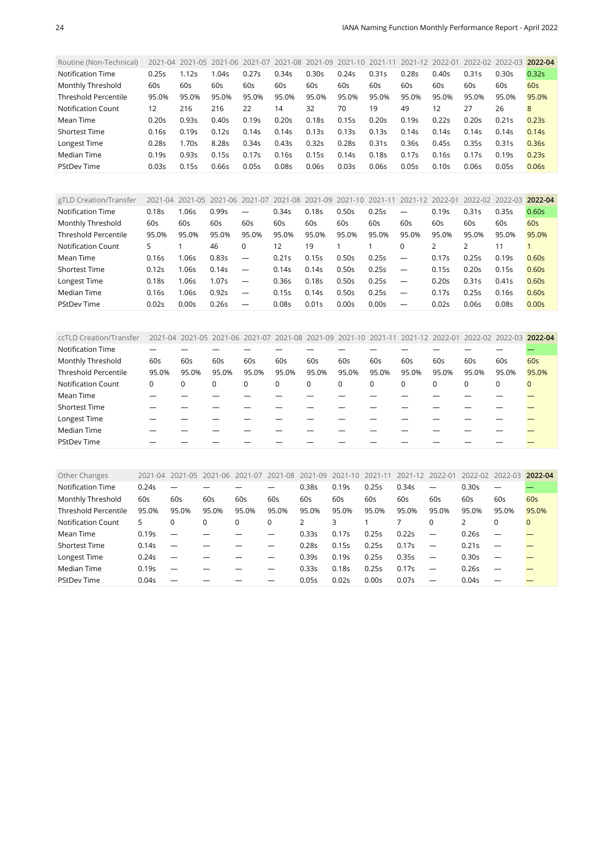<span id="page-23-0"></span>

| Routine (Non-Technical)     |       |       | 2021-04 2021-05 2021-06 2021-07 |       | 2021-08 2021-09 2021-10 |       |       | 2021-11 | 2021-12 2022-01 |       | 2022-02 2022-03 |       | 2022-04 |
|-----------------------------|-------|-------|---------------------------------|-------|-------------------------|-------|-------|---------|-----------------|-------|-----------------|-------|---------|
| Notification Time           | 0.25s | l.12s | 1.04s                           | 0.27s | 0.34s                   | 0.30s | 0.24s | 0.31s   | 0.28s           | 0.40s | 0.31s           | 0.30s | 0.32s   |
| Monthly Threshold           | 60s   | 60s   | 60s                             | 60s   | 60s                     | 60s   | 60s   | 60s     | 60s             | 60s   | 60s             | 60s   | 60s     |
| <b>Threshold Percentile</b> | 95.0% | 95.0% | 95.0%                           | 95.0% | 95.0%                   | 95.0% | 95.0% | 95.0%   | 95.0%           | 95.0% | 95.0%           | 95.0% | 95.0%   |
| <b>Notification Count</b>   | 12    | 216   | 216                             | 22    | 14                      | 32    | 70    | 19      | 49              | 12    | 27              | 26    | 8       |
| Mean Time                   | 0.20s | 0.93s | 0.40s                           | 0.19s | 0.20s                   | 0.18s | 0.15s | 0.20s   | 0.19s           | 0.22s | 0.20s           | 0.21s | 0.23s   |
| <b>Shortest Time</b>        | 0.16s | 0.19s | 0.12s                           | 0.14s | 0.14s                   | 0.13s | 0.13s | 0.13s   | 0.14s           | 0.14s | 0.14s           | 0.14s | 0.14s   |
| Longest Time                | 0.28s | 1.70s | 8.285                           | 0.34s | 0.43s                   | 0.32s | 0.28s | 0.31s   | 0.36s           | 0.45s | 0.35s           | 0.31s | 0.36s   |
| Median Time                 | 0.19s | 0.93s | 0.15s                           | 0.17s | 0.16s                   | 0.15s | 0.14s | 0.18s   | 0.17s           | 0.16s | 0.17s           | 0.19s | 0.23s   |
| <b>PStDev Time</b>          | 0.03s | 0.15s | 0.66s                           | 0.05s | 0.08s                   | 0.06s | 0.03s | 0.06s   | 0.05s           | 0.10s | 0.06s           | 0.05s | 0.06s   |

<span id="page-23-1"></span>

| gTLD Creation/Transfer    | $2021 - 04$ | 2021-05 | 2021-06 | 2021-07                  | 2021-08           |       | 2021-09 2021-10 | 2021-11 | $2021 - 12$              | 2022-01 | 2022-02 | 2022-03 | 2022-04 |
|---------------------------|-------------|---------|---------|--------------------------|-------------------|-------|-----------------|---------|--------------------------|---------|---------|---------|---------|
| Notification Time         | 0.18s       | .06s    | 0.99s   | —                        | 0.34s             | 0.18s | 0.50s           | 0.25s   |                          | 0.19s   | 0.31s   | 0.35s   | 0.60s   |
| Monthly Threshold         | 60s         | 60s     | 60s     | 60s                      | 60s               | 60s   | 60s             | 60s     | 60s                      | 60s     | 60s     | 60s     | 60s     |
| Threshold Percentile      | 95.0%       | 95.0%   | 95.0%   | 95.0%                    | 95.0%             | 95.0% | 95.0%           | 95.0%   | 95.0%                    | 95.0%   | 95.0%   | 95.0%   | 95.0%   |
| <b>Notification Count</b> | 5           |         | 46      | $\Omega$                 | 12                | 19    |                 |         | $\Omega$                 |         |         |         |         |
| Mean Time                 | 0.16s       | .06s    | 0.83s   | $\overline{\phantom{0}}$ | 0.21s             | 0.15s | 0.50s           | 0.25s   | $\overline{\phantom{m}}$ | 0.17s   | 0.25s   | 0.19s   | 0.60s   |
| <b>Shortest Time</b>      | 0.12s       | .06s    | 0.14s   | $\overline{\phantom{m}}$ | 0.14s             | 0.14s | 0.50s           | 0.25s   | $\overline{\phantom{m}}$ | 0.15s   | 0.20s   | 0.15s   | 0.60s   |
| Longest Time              | 0.18s       | .06s    | 1.07s   | $\overline{\phantom{0}}$ | 0.36s             | 0.18s | 0.50s           | 0.25s   | $\overline{\phantom{0}}$ | 0.20s   | 0.31s   | 0.41s   | 0.60s   |
| Median Time               | 0.16s       | .06s    | 0.92s   | $\overline{\phantom{m}}$ | 0.15s             | 0.14s | 0.50s           | 0.25s   | $\overline{\phantom{m}}$ | 0.17s   | 0.25s   | 0.16s   | 0.60s   |
| <b>PStDev Time</b>        | 0.02s       | 0.00s   | 0.26s   | $\overline{\phantom{m}}$ | 0.08 <sub>S</sub> | 0.01s | 0.00s           | 0.00s   | $\overline{\phantom{m}}$ | 0.02s   | 0.06s   | 0.08s   | 0.00s   |

<span id="page-23-2"></span>

| ccTLD Creation/Transfer     |       |          |       | 2021-04 2021-05 2021-06 2021-07 2021-08 2021-09 2021-10 2021-11 2021-12 2022-01 2022-02 2022-03 2022-04 |          |       |       |             |          |             |       |       |              |
|-----------------------------|-------|----------|-------|---------------------------------------------------------------------------------------------------------|----------|-------|-------|-------------|----------|-------------|-------|-------|--------------|
| <b>Notification Time</b>    |       |          |       |                                                                                                         |          |       |       |             |          |             |       |       |              |
| Monthly Threshold           | 60s   | 60s      | 60s   | 60s                                                                                                     | 60s      | 60s   | 60s   | 60s         | 60s      | 60s         | 60s   | 60s   | 60s          |
| <b>Threshold Percentile</b> | 95.0% | 95.0%    | 95.0% | 95.0%                                                                                                   | 95.0%    | 95.0% | 95.0% | 95.0%       | 95.0%    | 95.0%       | 95.0% | 95.0% | 95.0%        |
| <b>Notification Count</b>   | 0     | $\Omega$ | 0     | 0                                                                                                       | $\Omega$ | 0     | 0     | $\mathbf 0$ | $\Omega$ | $\mathbf 0$ | 0     | 0     | $\mathbf{0}$ |
| Mean Time                   |       |          |       |                                                                                                         |          |       |       |             |          |             |       |       |              |
| <b>Shortest Time</b>        |       |          |       |                                                                                                         |          |       |       |             |          |             |       |       |              |
| Longest Time                |       |          |       |                                                                                                         |          |       |       |             |          |             |       |       |              |
| Median Time                 |       |          |       |                                                                                                         |          |       |       |             |          |             |       |       |              |
| <b>PStDev Time</b>          |       |          |       |                                                                                                         |          |       |       |             |          |             |       |       |              |

<span id="page-23-3"></span>

| Other Changes               | 2021-04 | 2021-05                  | 2021-06 | 2021-07 | 2021-08  | 2021-09           | 2021-10 | 2021-11 | 2021-12 | 2022-01                         | 2022-02 | 2022-03                  | 2022-04      |
|-----------------------------|---------|--------------------------|---------|---------|----------|-------------------|---------|---------|---------|---------------------------------|---------|--------------------------|--------------|
| Notification Time           | 0.24s   |                          |         |         |          | 0.38s             | 0.19s   | 0.25s   | 0.34s   |                                 | 0.30s   | $\overline{\phantom{m}}$ |              |
| Monthly Threshold           | 60s     | 60s                      | 60s     | 60s     | 60s      | 60s               | 60s     | 60s     | 60s     | 60s                             | 60s     | 60s                      | 60s          |
| <b>Threshold Percentile</b> | 95.0%   | 95.0%                    | 95.0%   | 95.0%   | 95.0%    | 95.0%             | 95.0%   | 95.0%   | 95.0%   | 95.0%                           | 95.0%   | 95.0%                    | 95.0%        |
| Notification Count          | 5       | $\Omega$                 | 0       | 0       | $\Omega$ | $\overline{2}$    | 3       |         |         | $\Omega$                        |         | 0                        | $\mathbf{0}$ |
| Mean Time                   | 0.19s   | $\overline{\phantom{m}}$ |         |         |          | 0.33s             | 0.17s   | 0.25s   | 0.22s   | $\overline{\phantom{0}}$        | 0.26s   |                          |              |
| <b>Shortest Time</b>        | 0.14s   |                          |         |         |          | 0.28 <sub>S</sub> | 0.15s   | 0.25s   | 0.17s   |                                 | 0.21s   | $\overline{\phantom{0}}$ |              |
| Longest Time                | 0.24s   |                          |         |         |          | 0.39s             | 0.19s   | 0.25s   | 0.35s   | $\overline{\phantom{0}}$        | 0.30s   |                          |              |
| Median Time                 | 0.19s   | $\overline{\phantom{0}}$ |         |         |          | 0.33s             | 0.18s   | 0.25s   | 0.17s   | $\hspace{0.1mm}-\hspace{0.1mm}$ | 0.26s   | $\overline{\phantom{m}}$ |              |
| <b>PStDev Time</b>          | 0.04s   |                          |         |         |          | 0.05s             | 0.02s   | 0.00s   | 0.07s   |                                 | 0.04s   |                          |              |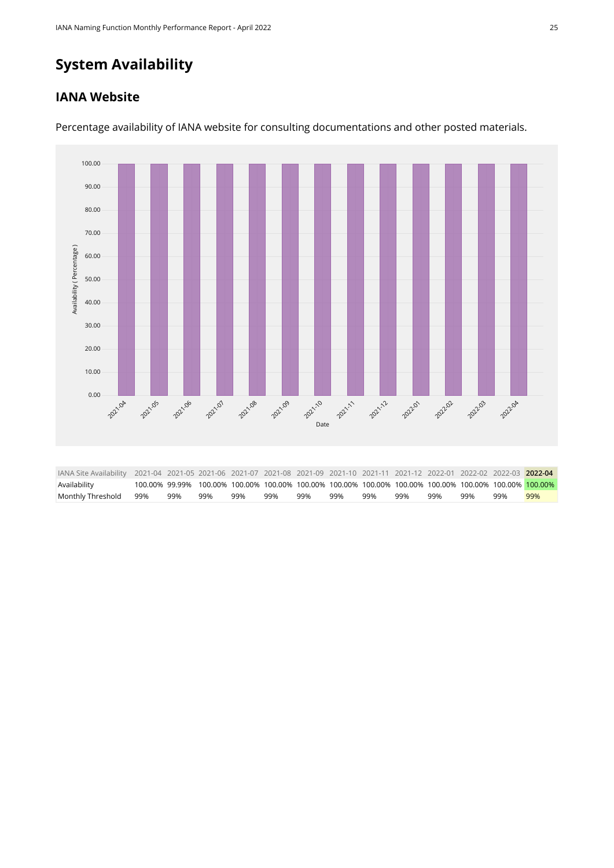## **System Availability**

#### **IANA Website**



Percentage availability of IANA website for consulting documentations and other posted materials.

<span id="page-24-0"></span>

| IANA Site Availability 2021-04 2021-05 2021-06 2021-07 2021-08 2021-09 2021-10 2021-11 2021-12 2022-01 2022-02 2022-03 2022-04 |     |     |     |     |     |     |     |                                                                                                        |     |     |     |     |
|--------------------------------------------------------------------------------------------------------------------------------|-----|-----|-----|-----|-----|-----|-----|--------------------------------------------------------------------------------------------------------|-----|-----|-----|-----|
| Availability                                                                                                                   |     |     |     |     |     |     |     | 100.00% 99.99% 100.00% 100.00% 100.00% 100.00% 100.00% 100.00% 100.00% 100.00% 100.00% 100.00% 100.00% |     |     |     |     |
| Monthly Threshold 99%                                                                                                          | 99% | 99% | 99% | 99% | 99% | 99% | 99% | 99%                                                                                                    | 99% | 99% | 99% | 99% |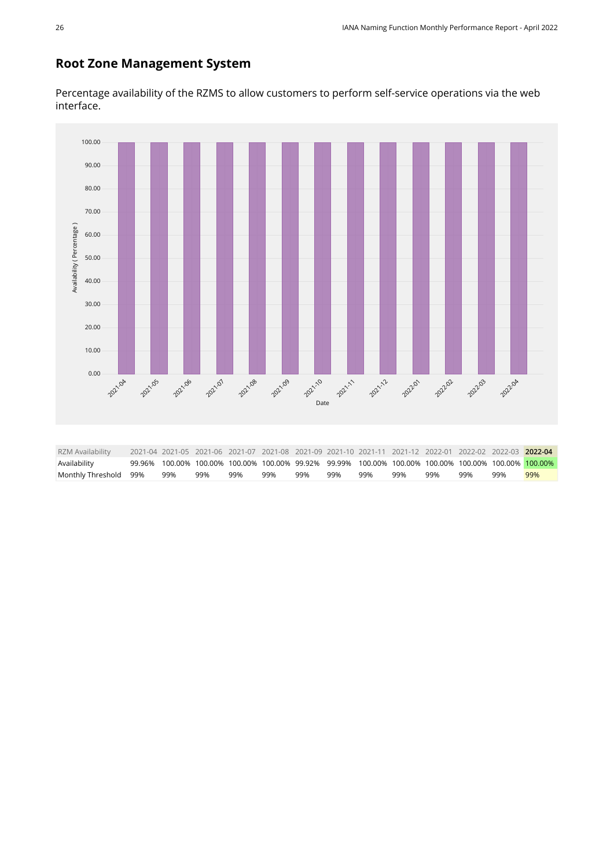#### **Root Zone Management System**

Percentage availability of the RZMS to allow customers to perform self-service operations via the web interface.

<span id="page-25-0"></span>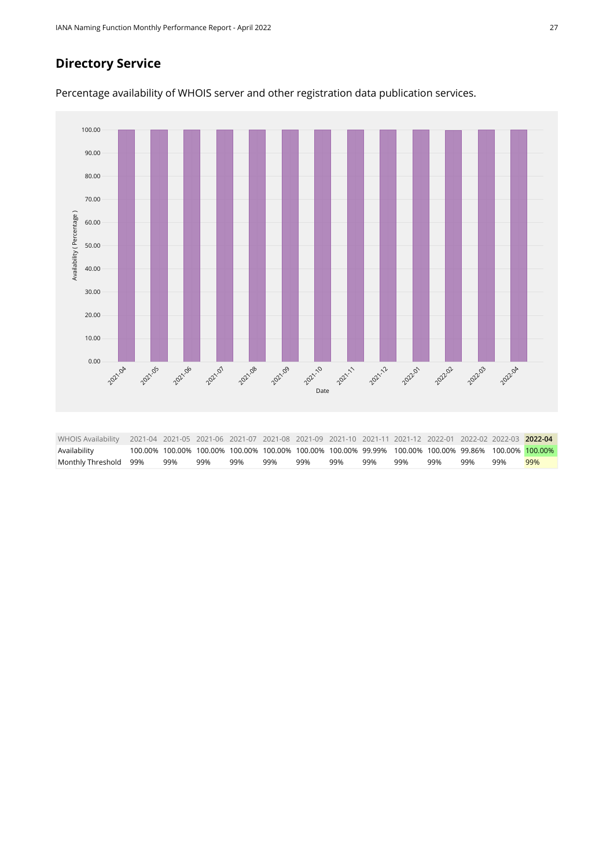#### **Directory Service**

Percentage availability of WHOIS server and other registration data publication services.

<span id="page-26-0"></span>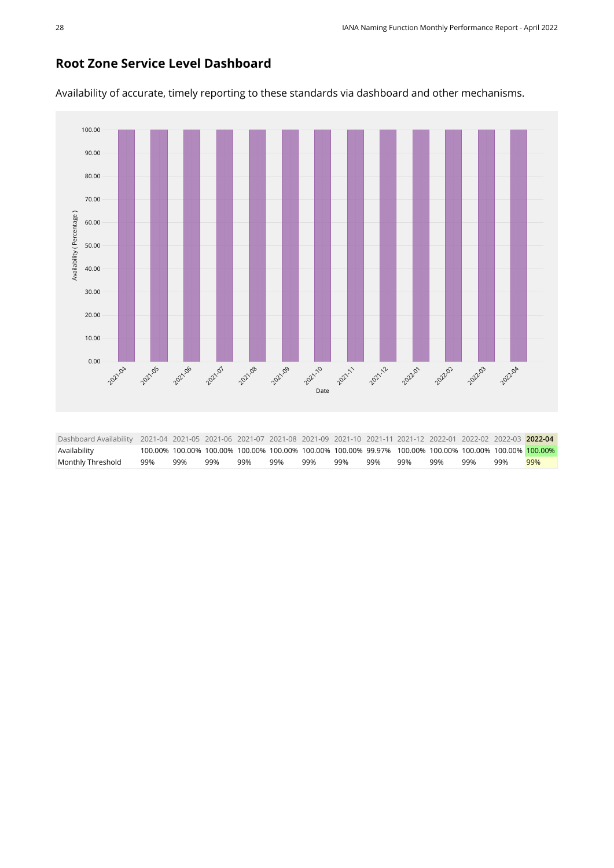#### **Root Zone Service Level Dashboard**

100.00 90.00 80.00 70.00 Availability (Percentage) [Availability \( Percentage \)](https://sle-dashboard.iana.org/chart/root-zone-service-level-dashboard/?granularity=monthly&start=2021-04-01&end=2022-05-01) 60.00 50.00 40.00 30.00 20.00 10.00 0.00 **2021-09** 2021-10 2021.04 2021.05 2021-06 2021.07 2021-08 2021-11 2021-12 **202202 202201** 202203 202204 [Date](https://sle-dashboard.iana.org/chart/root-zone-service-level-dashboard/?granularity=monthly&start=2021-04-01&end=2022-05-01) Dashboard Availability 2021-04 2021-05 2021-06 2021-07 2021-08 2021-09 2021-10 2021-11 2021-12 2022-01 2022-02 2022-03 **2022-04** Availability 100.00% 100.00% 100.00% 100.00% 100.00% 100.00% 100.00% 99.97% 100.00% 100.00% 100.00% 100.00% 100.00%

<span id="page-27-0"></span>Monthly Threshold 99% 99% 99% 99% 99% 99% 99% 99% 99% 99% 99% 99% 99%

Availability of accurate, timely reporting to these standards via dashboard and other mechanisms.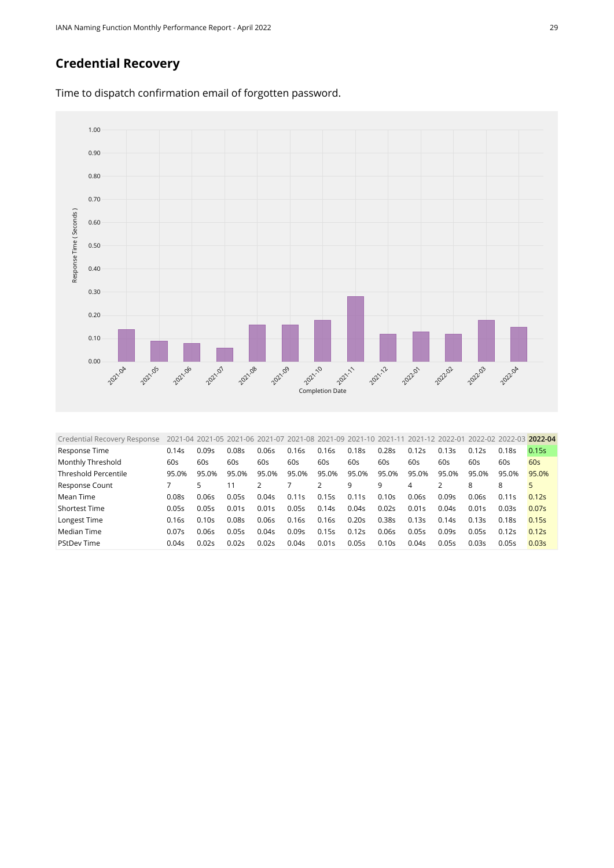#### **Credential Recovery**



Time to dispatch confirmation email of forgotten password.

<span id="page-28-0"></span>

| 0.14s | 0.09s | 0.08s |     |                                                             |                                  | 0.18s                                                       |                |                                                                                                                                |                                                             |                                                                                |                | 0.15s                                                                                  |
|-------|-------|-------|-----|-------------------------------------------------------------|----------------------------------|-------------------------------------------------------------|----------------|--------------------------------------------------------------------------------------------------------------------------------|-------------------------------------------------------------|--------------------------------------------------------------------------------|----------------|----------------------------------------------------------------------------------------|
| 60s   | 60s   | 60s   | 60s | 60s                                                         | 60s                              | 60s                                                         | 60s            | 60s                                                                                                                            | 60s                                                         | 60s                                                                            | 60s            | 60s                                                                                    |
| 95.0% | 95.0% | 95.0% |     | 95.0%                                                       |                                  | 95.0%                                                       |                |                                                                                                                                |                                                             | 95.0%                                                                          |                | 95.0%                                                                                  |
|       |       | 11    |     |                                                             |                                  | 9                                                           | 9              | 4                                                                                                                              |                                                             | 8                                                                              | 8              |                                                                                        |
| 0.08s | 0.06s | 0.05s |     |                                                             |                                  |                                                             |                |                                                                                                                                |                                                             | 0.06s                                                                          |                | 0.12s                                                                                  |
| 0.05s | 0.05s | 0.01s |     | 0.05s                                                       |                                  | 0.04s                                                       |                |                                                                                                                                |                                                             | 0.01s                                                                          |                | 0.07s                                                                                  |
| 0.16s | 0.10s | 0.08s |     |                                                             |                                  |                                                             |                |                                                                                                                                |                                                             |                                                                                |                | 0.15s                                                                                  |
| 0.07s | 0.06s | 0.05s |     | 0.09s                                                       |                                  | 0.12s                                                       |                |                                                                                                                                |                                                             | 0.05s                                                                          |                | 0.12s                                                                                  |
| 0.04s |       | 0.02s |     |                                                             |                                  | 0.05s                                                       |                |                                                                                                                                |                                                             | 0.03s                                                                          |                | 0.03s                                                                                  |
|       |       | 0.02s |     | 0.06s<br>95.0%<br>0.04s<br>0.01s<br>0.06s<br>0.045<br>0.02s | 0.16s<br>0.11s<br>0.16s<br>0.04s | 0.16s<br>95.0%<br>0.15s<br>0.14s<br>0.16s<br>0.15s<br>0.01s | 0.11s<br>0.20s | 2021-04 2021-05 2021-06 2021-07 2021-08 2021-09 2021-10 2021-11<br>0.28s<br>95.0%<br>0.10s<br>0.02s<br>0.385<br>0.06s<br>0.10s | 0.12s<br>95.0%<br>0.06s<br>0.01s<br>0.13s<br>0.05s<br>0.04s | 2021-12 2022-01<br>0.13s<br>95.0%<br>0.09s<br>0.04s<br>0.14s<br>0.09s<br>0.05s | 0.12s<br>0.13s | 2022-02 2022-03 2022-04<br>0.18s<br>95.0%<br>0.11s<br>0.03s<br>0.18s<br>0.12s<br>0.05s |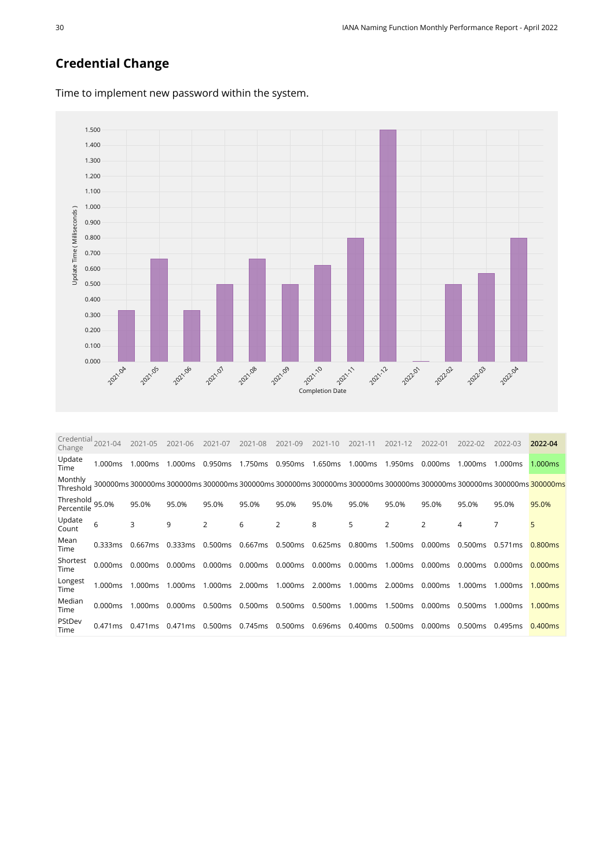#### **Credential Change**



Time to implement new password within the system.

<span id="page-29-0"></span>

| Credential<br>Change    | 2021-04 | 2021-05           | $2021 - 06$ | 2021-07 | 2021-08 | 2021-09 | 2021-10 | 2021-11 | 2021-12             | 2022-01 | 2022-02 | 2022-03 | 2022-04                                                                                            |
|-------------------------|---------|-------------------|-------------|---------|---------|---------|---------|---------|---------------------|---------|---------|---------|----------------------------------------------------------------------------------------------------|
| Update<br>Time          | 1.000ms | 1.000ms           | 1.000ms     | 0.950ms | 1.750ms | 0.950ms | 1.650ms | 1.000ms | 1.950ms             | 0.000ms | 1.000ms | 1.000ms | 1.000ms                                                                                            |
| Monthly<br>Threshold    |         | 300000ms 300000ms |             |         |         |         |         |         |                     |         |         |         | 300000ms 300000ms 300000ms 300000ms 300000ms 300000ms 300000ms 300000ms 300000ms 300000ms 300000ms |
| Threshold<br>Percentile | 95.0%   | 95.0%             | 95.0%       | 95.0%   | 95.0%   | 95.0%   | 95.0%   | 95.0%   | 95.0%               | 95.0%   | 95.0%   | 95.0%   | 95.0%                                                                                              |
| Update<br>Count         | 6       | 3                 | 9           | 2       | 6       | 2       | 8       | 5       | 2                   | 2       | 4       | 7       | 5                                                                                                  |
| Mean<br>Time            | 0.333ms | 0.667ms           | 0.333ms     | 0.500ms | 0.667ms | 0.500ms | 0.625ms | 0.800ms | 1.500 <sub>ms</sub> | 0.000ms | 0.500ms | 0.571ms | 0.800 <sub>ms</sub>                                                                                |
| Shortest<br>Time        | 0.000ms | 0.000ms           | 0.000ms     | 0.000ms | 0.000ms | 0.000ms | 0.000ms | 0.000ms | 1.000ms             | 0.000ms | 0.000ms | 0.000ms | 0.000ms                                                                                            |
| Longest<br>Time         | 1.000ms | 1.000ms           | 1.000ms     | 1.000ms | 2.000ms | 1.000ms | 2.000ms | 1.000ms | 2.000ms             | 0.000ms | 1.000ms | 1.000ms | 1.000ms                                                                                            |
| Median<br>Time          | 0.000ms | 1.000ms           | 0.000ms     | 0.500ms | 0.500ms | 0.500ms | 0.500ms | 1.000ms | 1.500ms             | 0.000ms | 0.500ms | 1.000ms | 1.000ms                                                                                            |
| PStDev<br>Time          | 0.471ms | 0.471ms           | 0.471 ms    | 0.500ms | 0.745ms | 0.500ms | 0.696ms | 0.400ms | 0.500ms             | 0.000ms | 0.500ms | 0.495ms | 0.400ms                                                                                            |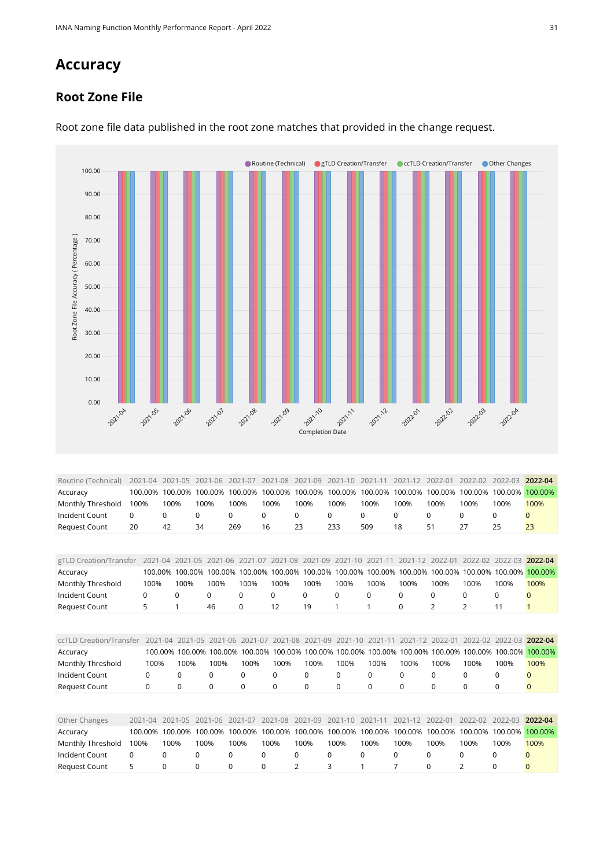## **Accuracy**

#### **Root Zone File**



Root zone file data published in the root zone matches that provided in the change request.

<span id="page-30-0"></span>

| 100% | 100% | 100% | 100% | 100% | 100% | 100% | 100% | 100% | 100% | 100% | 100% | 100%                                                                                                                                                                                                               |
|------|------|------|------|------|------|------|------|------|------|------|------|--------------------------------------------------------------------------------------------------------------------------------------------------------------------------------------------------------------------|
| 0    |      |      | 0    |      | 0    |      | 0    |      |      |      |      |                                                                                                                                                                                                                    |
| 20   | 42   | 34   | 269  | 16   | 23   | 233  | 509  | 18   | 51   |      | 25   | 23                                                                                                                                                                                                                 |
|      |      |      |      |      |      |      |      |      |      |      |      |                                                                                                                                                                                                                    |
|      |      |      |      |      |      |      |      |      |      |      |      |                                                                                                                                                                                                                    |
|      |      |      |      |      |      |      |      |      |      |      |      | 2021-04 2021-05 2021-06 2021-07 2021-08 2021-09 2021-10 2021-11 2021-12 2022-01 2022-02 2022-03 2022-04<br>100.00% 100.00% 100.00% 100.00% 100.00% 100.00% 100.00% 100.00% 100.00% 100.00% 100.00% 100.00% 100.00% |

<span id="page-30-3"></span><span id="page-30-2"></span><span id="page-30-1"></span>

| gTLD Creation/Transfer     | 2021-04  | 2021-05     | 2021-06     | 2021-07                 | 2021-08     | 2021-09  | $2021 - 10$ | 2021-11                 | $2021 - 12$     | $2022 - 01$ | $2022 - 02$ | $2022 - 03$  | 2022-04      |
|----------------------------|----------|-------------|-------------|-------------------------|-------------|----------|-------------|-------------------------|-----------------|-------------|-------------|--------------|--------------|
| Accuracy                   | 100.00%  | 100.00%     | 100.00%     | 100.00%                 | 100.00%     | 100.00%  | 100.00%     |                         | 100.00% 100.00% | 100.00%     | 100.00%     | 100.00%      | 100.00%      |
| Monthly Threshold          | 100%     | 100%        | 100%        | 100%                    | 100%        | 100%     | 100%        | 100%                    | 100%            | 100%        | 100%        | 100%         | 100%         |
| Incident Count             | 0        | 0           | $\Omega$    | 0                       | $\Omega$    | $\Omega$ | $\Omega$    | $\Omega$                | 0               | 0           | $\Omega$    | 0            |              |
| <b>Request Count</b>       | 5        |             | 46          | 0                       | 12          | 19       |             | 1                       | $\Omega$        | 2           | 2           | 11           |              |
|                            |          |             |             |                         |             |          |             |                         |                 |             |             |              |              |
| ccTLD Creation/Transfer    | 2021-04  | $2021 - 05$ | 2021-06     | 2021-07                 | 2021-08     | 2021-09  | $2021 - 10$ | 2021-11                 | $2021 - 12$     | 2022-01     | 2022-02     | 2022-03      | 2022-04      |
| Accuracy                   | 100.00%  |             |             | 100.00% 100.00% 100.00% | 100.00%     |          |             | 100.00% 100.00% 100.00% | 100.00%         | 100.00%     | 100.00%     | 100.00%      | 100.00%      |
| Monthly Threshold          | 100%     | 100%        | 100%        | 100%                    | 100%        | 100%     | 100%        | 100%                    | 100%            | 100%        | 100%        | 100%         | 100%         |
| Incident Count             | $\Omega$ | 0           | 0           | $\Omega$                | $\Omega$    | $\Omega$ | 0           | $\Omega$                | $\mathbf 0$     | $\Omega$    | $\Omega$    | 0            | $\Omega$     |
| <b>Request Count</b>       | 0        | 0           | 0           | $\Omega$                | $\mathbf 0$ | 0        | 0           | 0                       | $\mathbf 0$     | 0           | $\Omega$    | $\mathbf 0$  | $\mathbf{0}$ |
|                            |          |             |             |                         |             |          |             |                         |                 |             |             |              |              |
| Other Changes              | 2021-04  | $2021 - 05$ | $2021 - 06$ | 2021-07                 | 2021-08     | 2021-09  | $2021 - 10$ | 2021-11                 | $2021 - 12$     | 2022-01     | 2022-02     | $2022 - 03$  | 2022-04      |
| Accuracy                   | 100.00%  | 100.00%     | 100.00%     | 100.00%                 | 100.00%     | 100.00%  | 100.00%     | 100.00%                 | 100.00%         | 100.00%     | 100.00%     | 100.00%      | 100.00%      |
| Monthly Threshold          | 100%     | 100%        | 100%        | 100%                    | 100%        | 100%     | 100%        | 100%                    | 100%            | 100%        | 100%        | 100%         | 100%         |
| Incident Count<br>$\Omega$ | 0        | $\Omega$    | 0           | $\Omega$                |             | $\Omega$ | $\Omega$    | $\Omega$                | $\Omega$        | $\Omega$    | $\Omega$    | $\Omega$     | $\Omega$     |
| 5<br><b>Request Count</b>  | 0        | 0           | U           | $\Omega$                |             |          | 3           |                         |                 | $\Omega$    |             | <sup>0</sup> | $\Omega$     |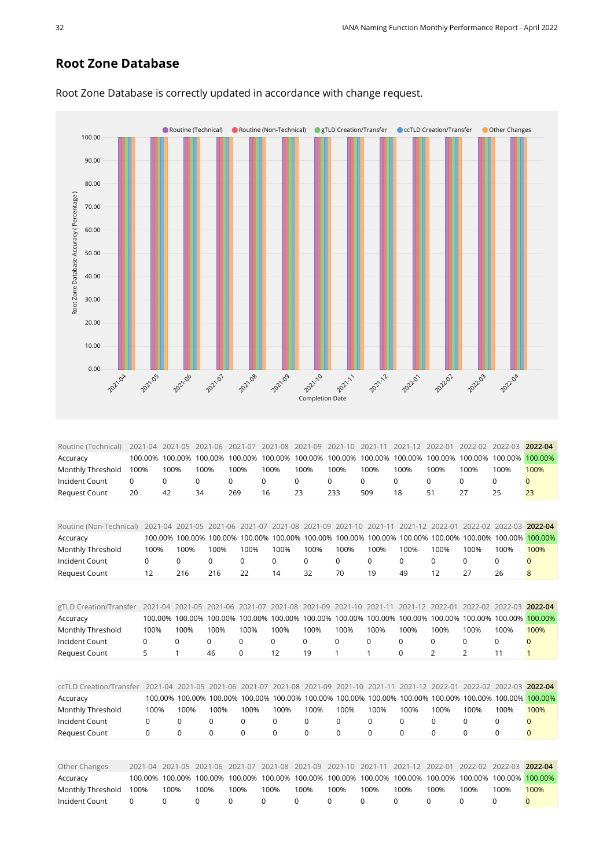#### **Root Zone Database**



Root Zone Database is correctly updated in accordance with change request.

<span id="page-31-4"></span><span id="page-31-3"></span><span id="page-31-2"></span><span id="page-31-1"></span><span id="page-31-0"></span>

| Routine (Non-Technical) |          | $2021 - 04$ | $2021 - 05$     | $2021 - 06$ | 2021-07         | 2021-08  | 2021-09         | 2021-10     | 2021-11                                                                                         |             | 2022-01         | 2022-02  | 2022-03     | 2022-04      |
|-------------------------|----------|-------------|-----------------|-------------|-----------------|----------|-----------------|-------------|-------------------------------------------------------------------------------------------------|-------------|-----------------|----------|-------------|--------------|
| Accuracy                |          | 100.00%     | 100.00%         | 100.00%     | 100.00%         | 100.00%  | 100.00%         | 100.00%     | 100.00%                                                                                         | 100.00%     | 100.00%         | 100.00%  | 100.00%     | 100.00%      |
| Monthly Threshold       |          | 100%        | 100%            | 100%        | 100%            | 100%     | 100%            | 100%        | 100%                                                                                            | 100%        | 100%            | 100%     | 100%        | 100%         |
| Incident Count          | 0        |             | 0               | 0           | $\mathbf 0$     | 0        | 0               | 0           | 0                                                                                               | $\Omega$    | 0               | 0        | $\mathbf 0$ | $\Omega$     |
| <b>Request Count</b>    |          | 12          | 216             | 216         | 22              | 14       | 32              | 70          | 19                                                                                              | 49          | 12              | 27       | 26          | 8            |
|                         |          |             |                 |             |                 |          |                 |             |                                                                                                 |             |                 |          |             |              |
| gTLD Creation/Transfer  |          |             | 2021-04 2021-05 | 2021-06     | 2021-07         | 2021-08  | 2021-09         | $2021 - 10$ | $2021 - 11$                                                                                     | $2021 - 12$ | 2022-01         | 2022-02  | 2022-03     | 2022-04      |
| Accuracy                |          | 100.00%     | 100.00%         | 100.00%     | 100.00%         | 100.00%  | 100.00%         | 100.00%     | 100.00%                                                                                         | 100.00%     | 100.00%         | 100.00%  | 100.00%     | 100.00%      |
| Monthly Threshold       |          | 100%        | 100%            | 100%        | 100%            | 100%     | 100%            | 100%        | 100%                                                                                            | 100%        | 100%            | 100%     | 100%        | 100%         |
| Incident Count          | 0        |             | 0               | $\mathbf 0$ | 0               | 0        | $\Omega$        | 0           | 0                                                                                               | 0           | 0               | 0        | 0           | $\mathbf{0}$ |
| <b>Request Count</b>    | 5        |             | 1               | 46          | 0               | 12       | 19              |             | 1                                                                                               | 0           | 2               | 2        | 11          | $\mathbf{1}$ |
|                         |          |             |                 |             |                 |          |                 |             |                                                                                                 |             |                 |          |             |              |
| ccTLD Creation/Transfer |          | $2021 - 04$ | 2021-05         |             | 2021-06 2021-07 |          | 2021-08 2021-09 | $2021 - 10$ | 2021-11                                                                                         |             | 2021-12 2022-01 | 2022-02  | 2022-03     | 2022-04      |
| Accuracy                |          |             |                 |             |                 |          |                 |             | 100.00% 100.00% 100.00% 100.00% 100.00% 100.00% 100.00% 100.00% 100.00% 100.00% 100.00% 100.00% |             |                 |          |             | 100.00%      |
| Monthly Threshold       |          | 100%        | 100%            | 100%        | 100%            | 100%     | 100%            | 100%        | 100%                                                                                            | 100%        | 100%            | 100%     | 100%        | 100%         |
| Incident Count          |          | $\Omega$    | 0               | $\Omega$    | $\Omega$        | $\Omega$ | $\Omega$        | 0           | $\Omega$                                                                                        | $\mathbf 0$ | $\mathbf 0$     | $\Omega$ | $\Omega$    | $\Omega$     |
| <b>Request Count</b>    | $\Omega$ |             | 0               | $\Omega$    | $\Omega$        | $\Omega$ | $\Omega$        | $\Omega$    | $\Omega$                                                                                        | $\Omega$    | $\mathbf 0$     | $\Omega$ | $\Omega$    | $\mathbf{0}$ |
|                         |          |             |                 |             |                 |          |                 |             |                                                                                                 |             |                 |          |             |              |
| Other Changes           | 2021-04  |             | 2021-05         | 2021-06     | 2021-07         | 2021-08  | 2021-09         | $2021 - 10$ | $2021 - 11$                                                                                     | $2021 - 12$ | 2022-01         | 2022-02  | 2022-03     | 2022-04      |
| Accuracy                | 100.00%  |             | 100.00%         | 100.00%     | 100.00%         | 100.00%  | 100.00%         | 100.00%     | 100.00%                                                                                         | 100.00%     | 100.00%         | 100.00%  | 100.00%     | 100.00%      |
| Monthly Threshold       | 100%     | 100%        | 100%            |             | 100%            | 100%     | 100%            | 100%        | 100%                                                                                            | 100%        | 100%            | 100%     | 100%        | 100%         |
| Incident Count          | 0        | 0           | 0               | 0           | <sup>0</sup>    | O        |                 | $\Omega$    | 0                                                                                               | 0           | $\Omega$        | $\Omega$ | $\Omega$    | $\Omega$     |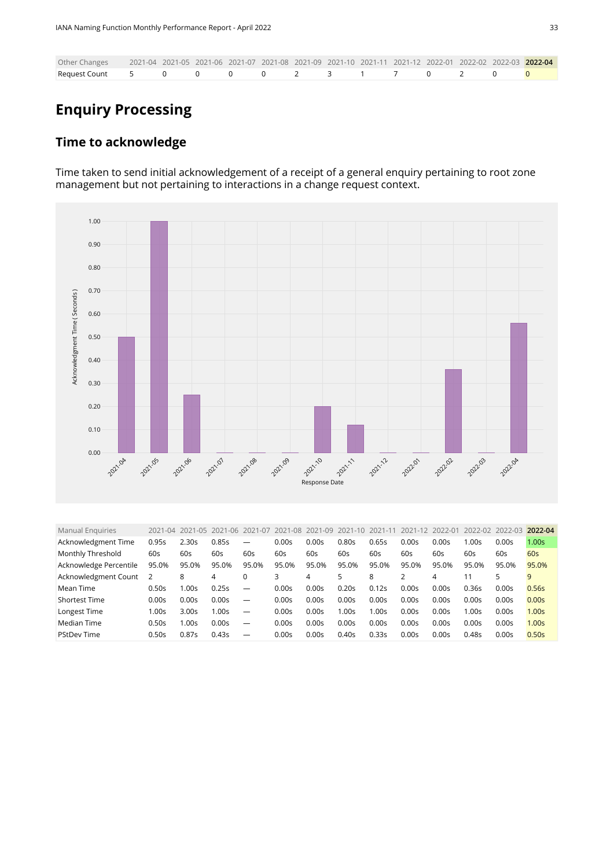| Other Changes 2021-04 2021-05 2021-06 2021-07 2021-08 2021-09 2021-10 2021-11 2021-12 2022-01 2022-02 2022-03 2022-04 |  |  |  |  |  |  |  |
|-----------------------------------------------------------------------------------------------------------------------|--|--|--|--|--|--|--|
|                                                                                                                       |  |  |  |  |  |  |  |

## **Enquiry Processing**

#### **Time to acknowledge**

Time taken to send initial acknowledgement of a receipt of a general enquiry pertaining to root zone management but not pertaining to interactions in a change request context.



<span id="page-32-0"></span>

| <b>Manual Enquiries</b> | 2021-04 | 2021-05           | 2021-06 | 2021-07                  | 2021-08           | 2021-09 | 2021-10 | 2021-11 | 2021-12 | 2022-01 | 2022-02 | 2022-03 | 2022-04           |
|-------------------------|---------|-------------------|---------|--------------------------|-------------------|---------|---------|---------|---------|---------|---------|---------|-------------------|
| Acknowledgment Time     | 0.95s   | 2.30s             | 0.85s   | $\overline{\phantom{a}}$ | 0.00s             | 0.00s   | 0.80s   | 0.65s   | 0.00s   | 0.00s   | 1.00s   | 0.00s   | 1.00 <sub>S</sub> |
| Monthly Threshold       | 60s     | 60s               | 60s     | 60s                      | 60s               | 60s     | 60s     | 60s     | 60s     | 60s     | 60s     | 60s     | 60s               |
| Acknowledge Percentile  | 95.0%   | 95.0%             | 95.0%   | 95.0%                    | 95.0%             | 95.0%   | 95.0%   | 95.0%   | 95.0%   | 95.0%   | 95.0%   | 95.0%   | 95.0%             |
| Acknowledgment Count    | 2       | 8                 | 4       | 0                        | 3                 | 4       | 5       | 8       | っ       | 4       | 11      | 5       | 9                 |
| Mean Time               | 0.50s   | .00s              | 0.25s   | $\overline{\phantom{m}}$ | 0.00 <sub>S</sub> | 0.00s   | 0.20s   | 0.12s   | 0.00s   | 0.00s   | 0.36s   | 0.00s   | 0.56s             |
| <b>Shortest Time</b>    | 0.00s   | 0.00s             | 0.00s   |                          | 0.00s             | 0.00s   | 0.00s   | 0.00s   | 0.00s   | 0.00s   | 0.00s   | 0.00s   | 0.00s             |
| Longest Time            | 1.00s   | 3.00 <sub>S</sub> | 1.00s   | $\overline{\phantom{m}}$ | 0.00s             | 0.00s   | 00s     | 1.00s   | 0.00s   | 0.00s   | 1.00s   | 0.00s   | 1.00 <sub>S</sub> |
| Median Time             | 0.50s   | .00 <sub>S</sub>  | 0.00s   | $\overline{\phantom{m}}$ | 0.00s             | 0.00s   | 0.00s   | 0.00s   | 0.00s   | 0.00s   | 0.00s   | 0.00s   | 1.00 <sub>S</sub> |
| <b>PStDev Time</b>      | 0.50s   | 0.87s             | 0.43s   | $\overline{\phantom{m}}$ | 0.00s             | 0.00s   | 0.40s   | 0.33s   | 0.00s   | 0.00s   | 0.48s   | 0.00s   | 0.50s             |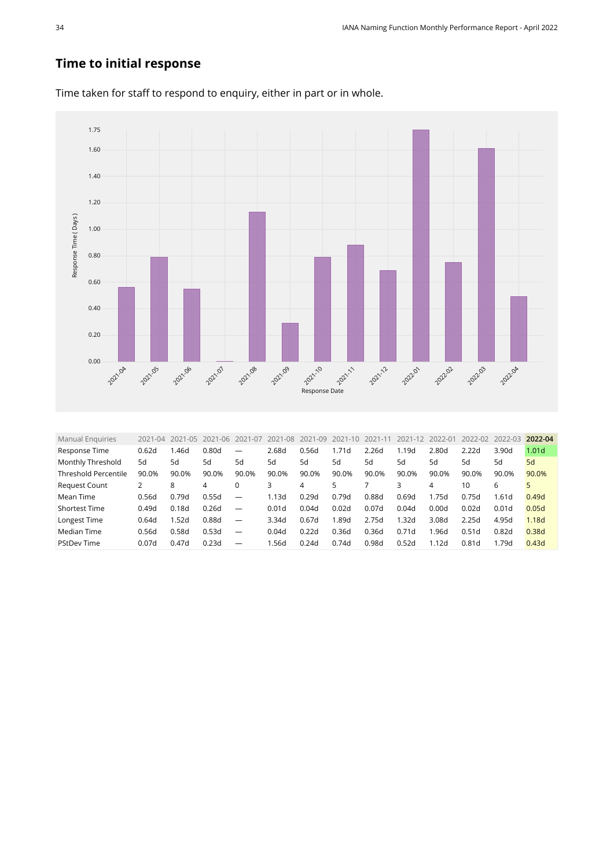#### **Time to initial response**



Time taken for staff to respond to enquiry, either in part or in whole.

<span id="page-33-0"></span>

| <b>Manual Enguiries</b>     | $2021 - 04$ | 2021-05 | 2021<br>$-06$     | 2021-07                  | 2021-08 | 2021-09 | $2021 - 10$ | 2021-11 | 2021-12 | 2022-01 | 2022-02           | 2022-03           | 2022-04           |
|-----------------------------|-------------|---------|-------------------|--------------------------|---------|---------|-------------|---------|---------|---------|-------------------|-------------------|-------------------|
| Response Time               | 0.62d       | 1.46d   | 0.80 <sub>d</sub> |                          | 2.68d   | 0.56d   | 1.71d       | 2.26d   | 1.19d   | 2.80d   | 2.22d             | 3.90d             | 1.01 <sub>d</sub> |
| Monthly Threshold           | 5d          | 5d      | 5d                | 5d                       | 5d      | 5d      | 5d          | 5d      | 5d      | 5d      | 5d                | 5d                | 5d                |
| <b>Threshold Percentile</b> | 90.0%       | 90.0%   | 90.0%             | 90.0%                    | 90.0%   | 90.0%   | 90.0%       | 90.0%   | 90.0%   | 90.0%   | 90.0%             | 90.0%             | 90.0%             |
| <b>Request Count</b>        | 2           | 8       | 4                 |                          |         | 4       | 5           |         |         | 4       | 10                | 6                 |                   |
| Mean Time                   | 0.56d       | 0.79d   | 0.55d             | $\overline{\phantom{0}}$ | 1.13d   | 0.29d   | 0.79d       | 0.88d   | 0.69d   | 1.75d   | 0.75d             | 1.61d             | 0.49d             |
| <b>Shortest Time</b>        | 0.49d       | 0.18d   | 0.26d             | —                        | 0.01d   | 0.04d   | 0.02d       | 0.07d   | 0.04d   | 0.00d   | 0.02d             | 0.01 <sub>d</sub> | 0.05d             |
| Longest Time                | 0.64d       | 1.52d   | 0.88d             | $\overline{\phantom{0}}$ | 3.34d   | 0.67d   | 1.89d       | 2.75d   | .32d    | 3.08d   | 2.25d             | 4.95d             | 1.18d             |
| Median Time                 | 0.56d       | 0.58d   | 0.53d             | $\overline{\phantom{0}}$ | 0.04d   | 0.22d   | 0.36d       | 0.36d   | 0.71d   | 1.96d   | 0.51d             | 0.82d             | 0.38d             |
| <b>PStDev Time</b>          | 0.07d       | 0.47d   | 0.23d             |                          | 1.56d   | 0.24d   | 0.74d       | 0.98d   | 0.52d   | 1.12d   | 0.81 <sub>d</sub> | 1.79d             | 0.43d             |
|                             |             |         |                   |                          |         |         |             |         |         |         |                   |                   |                   |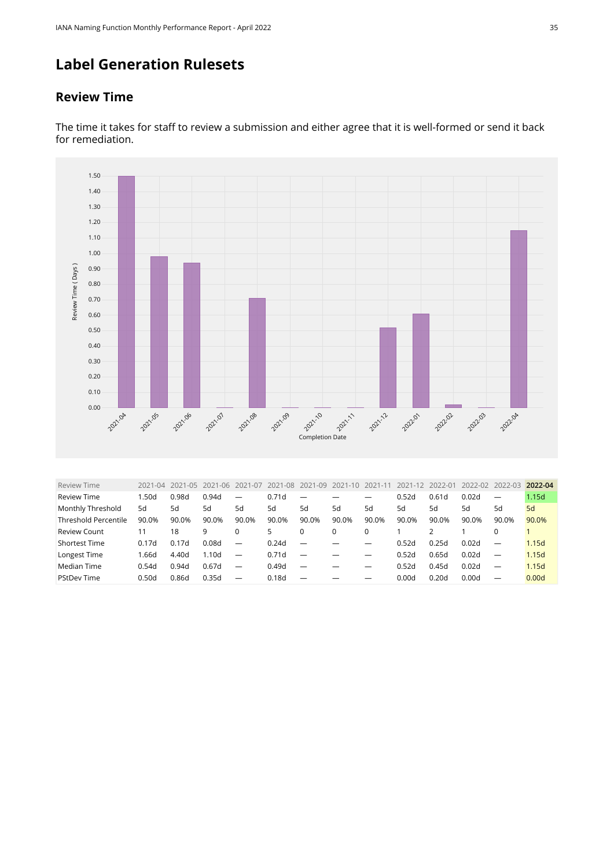## **Label Generation Rulesets**

#### **Review Time**



The time it takes for staff to review a submission and either agree that it is well-formed or send it back for remediation.

<span id="page-34-0"></span>

| <b>Review Time</b>          | $2021 - 04$ | 2021-05 | 2021<br>$-06$ | 2021-07                  | 2021-08 | 2021-09 | 2021-10 | $2021 - 1$ | 2021-12 | 2022-01 | 2022-02 | 2022-03                  | 2022-04 |
|-----------------------------|-------------|---------|---------------|--------------------------|---------|---------|---------|------------|---------|---------|---------|--------------------------|---------|
| <b>Review Time</b>          | .50d        | 0.98d   | 0.94d         |                          | 0.71d   |         |         |            | 0.52d   | 0.61d   | 0.02d   | $\overline{\phantom{m}}$ | 1.15d   |
| Monthly Threshold           | 5d          | 5d      | 5d            | 5d                       | 5d      | 5d      | 5d      | 5d         | 5d      | 5d      | 5d      | 5d                       | 5d      |
| <b>Threshold Percentile</b> | 90.0%       | 90.0%   | 90.0%         | 90.0%                    | 90.0%   | 90.0%   | 90.0%   | 90.0%      | 90.0%   | 90.0%   | 90.0%   | 90.0%                    | 90.0%   |
| <b>Review Count</b>         | 11          | 18      | 9             |                          | 5.      | 0       | 0       | $\Omega$   |         |         |         | 0                        |         |
| Shortest Time               | 0.17d       | 0.17d   | 0.08d         | $\overline{\phantom{0}}$ | 0.24d   |         |         | -          | 0.52d   | 0.25d   | 0.02d   | $\overline{\phantom{m}}$ | 1.15d   |
| Longest Time                | 1.66d       | 4.40d   | 1.10d         | $\overline{\phantom{0}}$ | 0.71d   |         |         |            | 0.52d   | 0.65d   | 0.02d   | $\overline{\phantom{m}}$ | 1.15d   |
| Median Time                 | 0.54d       | 0.94d   | 0.67d         |                          | 0.49d   |         |         | —          | 0.52d   | 0.45d   | 0.02d   | $\overline{\phantom{m}}$ | 1.15d   |
| <b>PStDev Time</b>          | 0.50d       | 0.86d   | 0.35d         |                          | 0.18d   |         |         |            | 0.00d   | 0.20d   | 0.00d   | $\overline{\phantom{m}}$ | 0.00d   |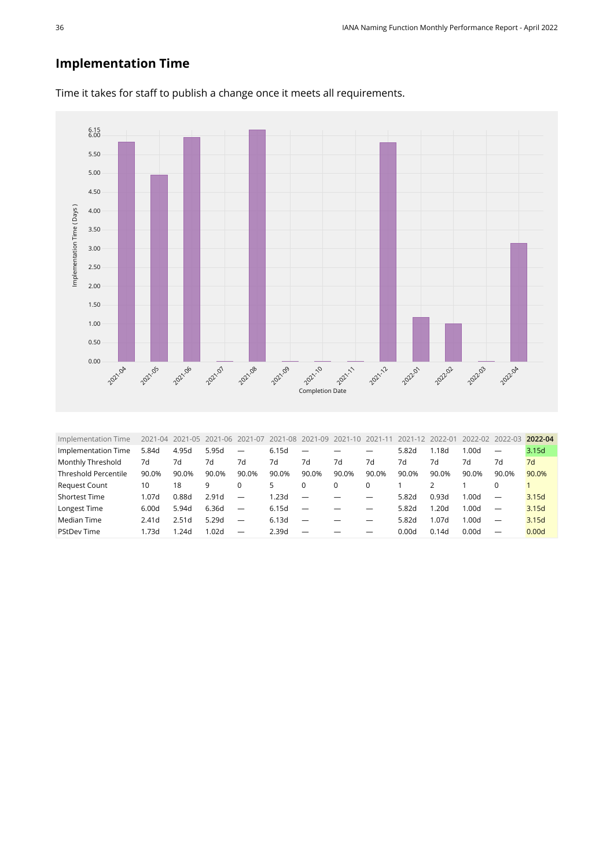#### **Implementation Time**



Time it takes for staff to publish a change once it meets all requirements.

<span id="page-35-0"></span>

| Implementation Time         | 2021-04           |       | 2021-05 2021-06 | 2021-07                  | 2021-08 | 2021-09 | 2021-10 2021-11 |                          | 2021-12 2022-01 |       | 2022-02 2022-03 |                          | 2022-04 |
|-----------------------------|-------------------|-------|-----------------|--------------------------|---------|---------|-----------------|--------------------------|-----------------|-------|-----------------|--------------------------|---------|
| Implementation Time         | 5.84d             | 4.95d | 5.95d           | $\overline{\phantom{0}}$ | 6.15d   |         |                 |                          | 5.82d           | 1.18d | 1.00d           | $\overline{\phantom{m}}$ | 3.15d   |
| Monthly Threshold           | 7d                | 7d    | 7d              | 7d                       | 7d      | 7d      | 7d              | 7d                       | 7d              | 7d    | 7d              | 7d                       | 7d      |
| <b>Threshold Percentile</b> | 90.0%             | 90.0% | 90.0%           | 90.0%                    | 90.0%   | 90.0%   | 90.0%           | 90.0%                    | 90.0%           | 90.0% | 90.0%           | 90.0%                    | 90.0%   |
| <b>Request Count</b>        | 10                | 18    | 9               | $\Omega$                 | 5.      |         | $\Omega$        | 0                        |                 |       |                 |                          |         |
| <b>Shortest Time</b>        | 1.07d             | 0.88d | 2.91d           | $\overline{\phantom{m}}$ | 1.23d   |         |                 |                          | 5.82d           | 0.93d | 1.00d           |                          | 3.15d   |
| Longest Time                | 6.00d             | 5.94d | 6.36d           | $\overline{\phantom{m}}$ | 6.15d   |         |                 |                          | 5.82d           | 1.20d | 1.00d           | $\overline{\phantom{m}}$ | 3.15d   |
| Median Time                 | 2.41 <sub>d</sub> | 2.51d | 5.29d           | $\overline{\phantom{m}}$ | 6.13d   |         |                 | $\overline{\phantom{0}}$ | 5.82d           | 1.07d | 1.00d           | $\overline{\phantom{m}}$ | 3.15d   |
| <b>PStDev Time</b>          | 1.73d             | 1.24d | 1.02d           | $\overline{\phantom{0}}$ | 2.39d   |         |                 |                          | 0.00d           | 0.14d | 0.00d           | $\overline{\phantom{0}}$ | 0.00d   |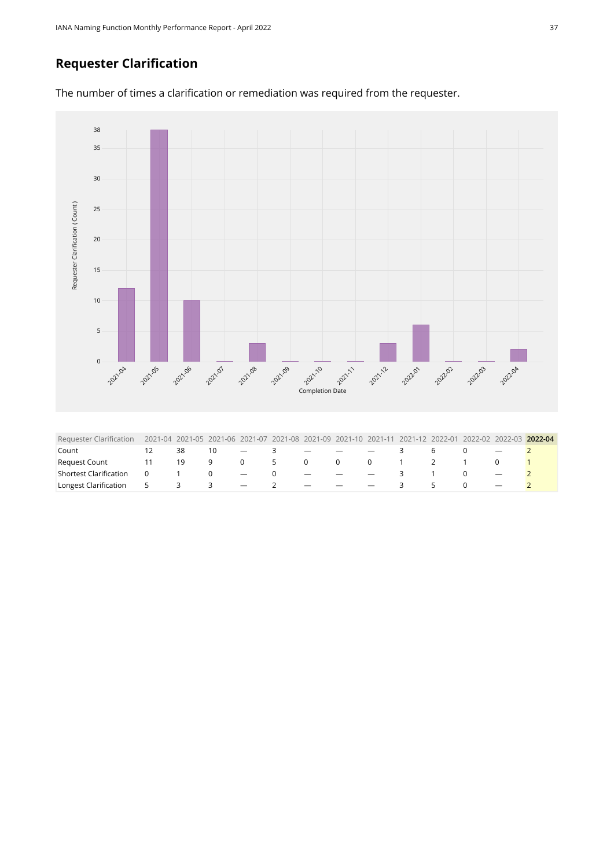#### **Requester Clarification**





<span id="page-36-0"></span>

| Requester Clarification - 2021-04 2021-05 2021-06 2021-07 2021-08 2021-09 2021-10 2021-11 2021-12 2022-01 2022-02 2022-03 2022-04 |                |    |                                |      |                   |  |         |                               |                 |  |  |
|-----------------------------------------------------------------------------------------------------------------------------------|----------------|----|--------------------------------|------|-------------------|--|---------|-------------------------------|-----------------|--|--|
| Count                                                                                                                             |                | 38 | 10                             | $-3$ |                   |  | $  -$ 3 |                               | $6\overline{6}$ |  |  |
| Request Count                                                                                                                     |                | 19 |                                |      | 9 0 5 0 0 0 1 2 1 |  |         |                               |                 |  |  |
| Shortest Clarification                                                                                                            | $\overline{0}$ |    | $1 \qquad 0 \qquad - \qquad 0$ |      |                   |  |         | $  -$ 3 1 0                   |                 |  |  |
| Longest Clarification $\begin{array}{ccccccc} 5 & 3 & 3 & - & 2 & - & - & - \end{array}$                                          |                |    |                                |      |                   |  |         | $\overline{3}$ $\overline{3}$ | 5               |  |  |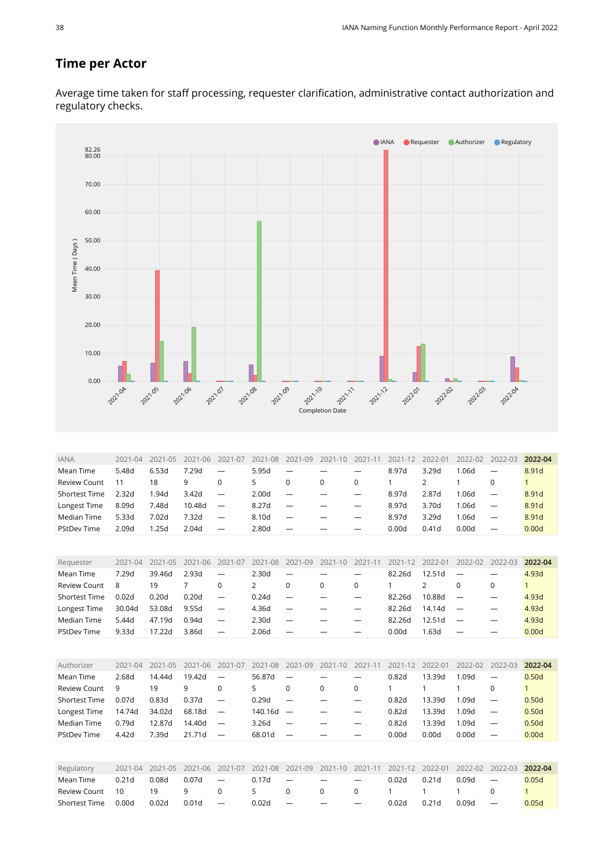#### **Time per Actor**

Average time taken for staff processing, requester clarification, administrative contact authorization and regulatory checks.



<span id="page-37-2"></span><span id="page-37-1"></span><span id="page-37-0"></span>

| Authorizer           | $2021 - 04$ | $2021 - 05$ | $2021 - 06$ | 2021-07                  | 2021-08 | 2021-09                  | 2021-10 | 2021-11 | 2021-12 | 2022-01 | 2022-02 | $2022 - 03$              | 2022-04 |
|----------------------|-------------|-------------|-------------|--------------------------|---------|--------------------------|---------|---------|---------|---------|---------|--------------------------|---------|
| Mean Time            | 2.68d       | 14.44d      | 19.42d      | $\overline{\phantom{0}}$ | 56.87d  |                          |         |         | 0.82d   | 13.39d  | 1.09d   | $\overline{\phantom{m}}$ | 0.50d   |
| <b>Review Count</b>  | 9           | 19          | 9           | 0                        |         | 0                        | 0       |         |         |         |         |                          |         |
| <b>Shortest Time</b> | 0.07d       | 0.83d       | 0.37d       | $\overline{\phantom{0}}$ | 0.29d   | $\overline{\phantom{0}}$ |         |         | 0.82d   | 13.39d  | 1.09d   | $\overline{\phantom{0}}$ | 0.50d   |
| Longest Time         | 14.74d      | 34.02d      | 68.18d      | $\overline{\phantom{a}}$ | 140.16d |                          |         |         | 0.82d   | 13.39d  | 1.09d   | $\overline{\phantom{0}}$ | 0.50d   |
| Median Time          | 0.79d       | 12.87d      | 14.40d      | $\overline{\phantom{m}}$ | 3.26d   | $\overline{\phantom{m}}$ |         |         | 0.82d   | 13.39d  | 1.09d   | $\qquad \qquad -$        | 0.50d   |
| <b>PStDev Time</b>   | 4.42d       | 7.39d       | 21.71d      | $\overline{\phantom{0}}$ | 68.01d  |                          |         |         | 0.00d   | 0.00d   | 0.00d   | $\overline{\phantom{0}}$ | 0.00d   |

<span id="page-37-3"></span>

| Regulatory       |       |                      |           |                          |           |                          |                          |                          |         |        |       | 2021-04 2021-05 2021-06 2021-07 2021-08 2021-09 2021-10 2021-11 2021-12 2022-01 2022-02 2022-03 2022-04 |       |
|------------------|-------|----------------------|-----------|--------------------------|-----------|--------------------------|--------------------------|--------------------------|---------|--------|-------|---------------------------------------------------------------------------------------------------------|-------|
| Mean Time        | 0.21d | 0.08d                | $0.07d$ — |                          | $0.17d -$ |                          | $\overline{\phantom{0}}$ | $\overline{\phantom{0}}$ | 0.02d   | 0.21 d | 0.09d | $\overline{\phantom{a}}$                                                                                | 0.05d |
| Review Count  10 |       | 19<br>$\overline{q}$ |           | - 0                      | 5 0       |                          | $\overline{0}$           |                          | 0 1 1 1 |        |       | $\cap$                                                                                                  |       |
| Shortest Time    | 0.00d | 0.02d                | 0.01d     | $\overline{\phantom{a}}$ | 0.02d     | $\overline{\phantom{0}}$ | $\overline{\phantom{0}}$ | $\overline{\phantom{0}}$ | 0.02d   | 0.21d  | 0.09d | $\overline{\phantom{0}}$                                                                                | 0.05d |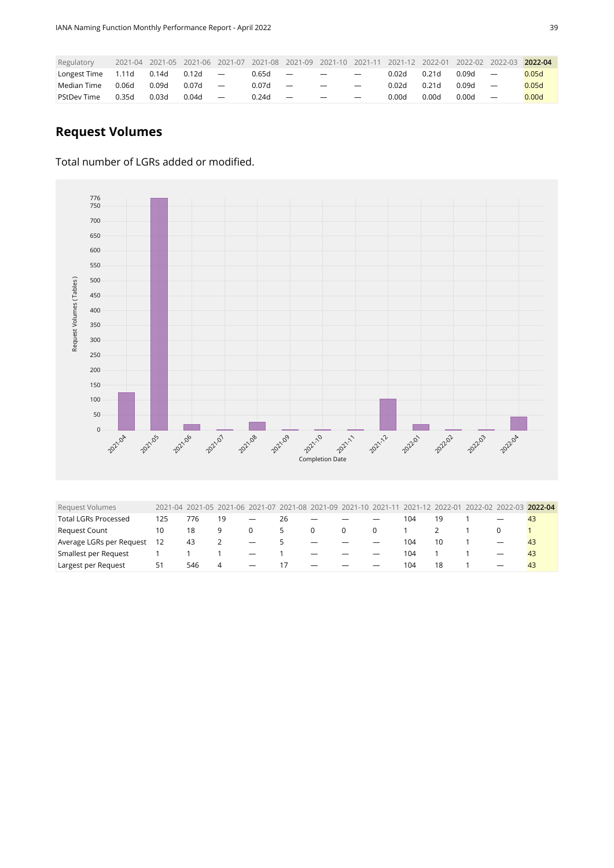| Regulatory         | 2021-04 |       |       |                          |       |                          | 2021-05 2021-06 2021-07 2021-08 2021-09 2021-10 2021-11 2021-12 2022-01 |                          |       |                   | 2022-02 2022-03 |                          | 2022-04 |
|--------------------|---------|-------|-------|--------------------------|-------|--------------------------|-------------------------------------------------------------------------|--------------------------|-------|-------------------|-----------------|--------------------------|---------|
| Longest Time       | 1.11d   | 0.14d | 0.12d | $\overline{\phantom{m}}$ | 0.65d | $\overline{\phantom{a}}$ | $\overline{\phantom{m}}$                                                | $\overline{\phantom{m}}$ | 0.02d | 0.21 <sub>d</sub> | 0.09d           | $\overline{\phantom{m}}$ | 0.05d   |
| Median Time        | 0.06d   | 0.09d | 0.07d | $\overline{\phantom{m}}$ | 0.07d | $\overline{\phantom{0}}$ | $\overline{\phantom{0}}$                                                |                          | 0.02d | 0.21 <sub>d</sub> | 0.09d           | $\overline{\phantom{m}}$ | 0.05d   |
| <b>PStDev Time</b> | 0.35d   | 0.03d | 0.04d | $\overline{\phantom{m}}$ | 0.24d | $\overline{\phantom{m}}$ | $\overline{\phantom{0}}$                                                | $\overline{\phantom{0}}$ | 0.00d | 0.00d             | 0.00d           | $\overline{\phantom{m}}$ | 0.00d   |

#### **Request Volumes**

#### Total number of LGRs added or modified.



<span id="page-38-0"></span>

| Request Volumes             |     |     |               |                          |               |                          |          |                          |     |    |  | 2021-04 2021-05 2021-06 2021-07 2021-08 2021-09 2021-10 2021-11 2021-12 2022-01 2022-02 2022-03 2022-04 |
|-----------------------------|-----|-----|---------------|--------------------------|---------------|--------------------------|----------|--------------------------|-----|----|--|---------------------------------------------------------------------------------------------------------|
| <b>Total LGRs Processed</b> | 125 | 776 | 19            |                          | 26            | $\overline{\phantom{m}}$ |          |                          | 104 | 19 |  | 43                                                                                                      |
| <b>Request Count</b>        | 10  | 18  | 9             |                          | $\mathcal{L}$ | $\Omega$                 | $\Omega$ | 0                        |     |    |  |                                                                                                         |
| Average LGRs per Request    | 12  | 43  | $\mathcal{L}$ | $\overline{\phantom{m}}$ | 5.            |                          |          | $\overline{\phantom{0}}$ | 104 | 10 |  | -43                                                                                                     |
| Smallest per Request        |     |     |               | $\overline{\phantom{a}}$ |               |                          |          | $\overline{\phantom{0}}$ | 104 |    |  | 43                                                                                                      |
| Largest per Request         | 51  | 546 | 4             | $\overline{\phantom{0}}$ |               | -                        |          | $\overline{\phantom{0}}$ | 104 | 18 |  | 43                                                                                                      |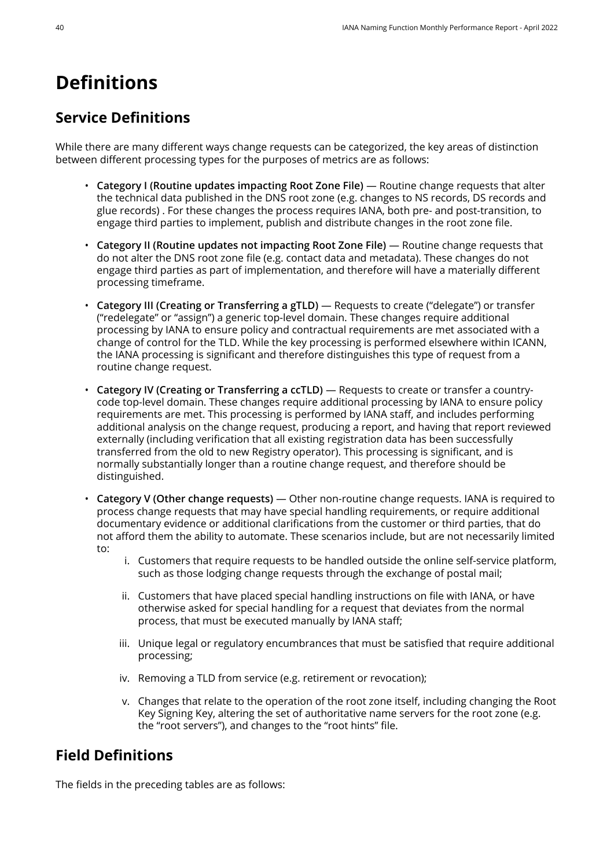## <span id="page-39-0"></span>**Definitions**

## **Service Definitions**

While there are many different ways change requests can be categorized, the key areas of distinction between different processing types for the purposes of metrics are as follows:

- **Category I (Routine updates impacting Root Zone File)** Routine change requests that alter the technical data published in the DNS root zone (e.g. changes to NS records, DS records and glue records) . For these changes the process requires IANA, both pre- and post-transition, to engage third parties to implement, publish and distribute changes in the root zone file.
- **Category II (Routine updates not impacting Root Zone File)** Routine change requests that do not alter the DNS root zone file (e.g. contact data and metadata). These changes do not engage third parties as part of implementation, and therefore will have a materially different processing timeframe.
- **Category III (Creating or Transferring a gTLD)** Requests to create ("delegate") or transfer ("redelegate" or "assign") a generic top-level domain. These changes require additional processing by IANA to ensure policy and contractual requirements are met associated with a change of control for the TLD. While the key processing is performed elsewhere within ICANN, the IANA processing is significant and therefore distinguishes this type of request from a routine change request.
- **Category IV (Creating or Transferring a ccTLD)** Requests to create or transfer a countrycode top-level domain. These changes require additional processing by IANA to ensure policy requirements are met. This processing is performed by IANA staff, and includes performing additional analysis on the change request, producing a report, and having that report reviewed externally (including verification that all existing registration data has been successfully transferred from the old to new Registry operator). This processing is significant, and is normally substantially longer than a routine change request, and therefore should be distinguished.
- **Category V (Other change requests)** Other non-routine change requests. IANA is required to process change requests that may have special handling requirements, or require additional documentary evidence or additional clarifications from the customer or third parties, that do not afford them the ability to automate. These scenarios include, but are not necessarily limited to:
	- i. Customers that require requests to be handled outside the online self-service platform, such as those lodging change requests through the exchange of postal mail;
	- ii. Customers that have placed special handling instructions on file with IANA, or have otherwise asked for special handling for a request that deviates from the normal process, that must be executed manually by IANA staff;
	- iii. Unique legal or regulatory encumbrances that must be satisfied that require additional processing;
	- iv. Removing a TLD from service (e.g. retirement or revocation);
	- v. Changes that relate to the operation of the root zone itself, including changing the Root Key Signing Key, altering the set of authoritative name servers for the root zone (e.g. the "root servers"), and changes to the "root hints" file.

### **Field Definitions**

The fields in the preceding tables are as follows: